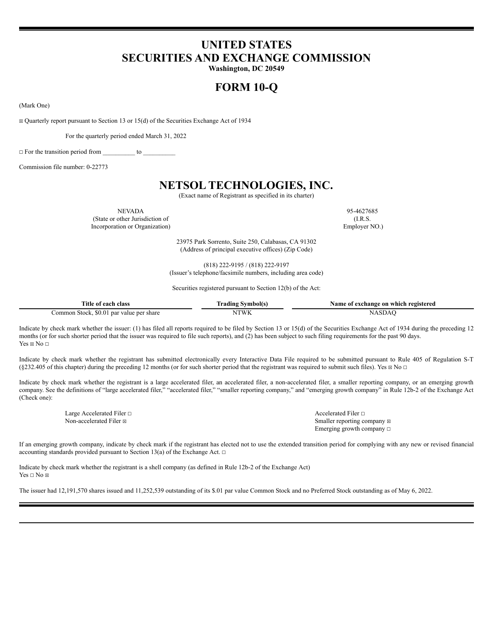# **UNITED STATES SECURITIES AND EXCHANGE COMMISSION**

**Washington, DC 20549**

# **FORM 10-Q**

(Mark One)

☒ Quarterly report pursuant to Section 13 or 15(d) of the Securities Exchange Act of 1934

For the quarterly period ended March 31, 2022

 $\Box$  For the transition period from  $\Box$  to  $\Box$ 

Commission file number: 0-22773

# **NETSOL TECHNOLOGIES, INC.**

(Exact name of Registrant as specified in its charter)

NEVADA 95-4627685 (State or other Jurisdiction of (I.R.S. Incorporation or Organization) Employer NO.)

23975 Park Sorrento, Suite 250, Calabasas, CA 91302 (Address of principal executive offices) (Zip Code)

(818) 222-9195 / (818) 222-9197 (Issuer's telephone/facsimile numbers, including area code)

Securities registered pursuant to Section 12(b) of the Act:

| Title of each class                      | Trading Symbol(s) | Name of exchange on which registered |
|------------------------------------------|-------------------|--------------------------------------|
| Common Stock, \$0.01 par value per share | <b>ITWK</b>       | NASDAC                               |

Indicate by check mark whether the issuer: (1) has filed all reports required to be filed by Section 13 or 15(d) of the Securities Exchange Act of 1934 during the preceding 12 months (or for such shorter period that the issuer was required to file such reports), and (2) has been subject to such filing requirements for the past 90 days. Yes  $\boxtimes$  No  $\Box$ 

Indicate by check mark whether the registrant has submitted electronically every Interactive Data File required to be submitted pursuant to Rule 405 of Regulation S-T (§232.405 of this chapter) during the preceding 12 months (or for such shorter period that the registrant was required to submit such files). Yes  $\boxtimes$  No  $\Box$ 

Indicate by check mark whether the registrant is a large accelerated filer, an accelerated filer, a non-accelerated filer, a smaller reporting company, or an emerging growth company. See the definitions of "large accelerated filer," "accelerated filer," "smaller reporting company," and "emerging growth company" in Rule 12b-2 of the Exchange Act (Check one):

Large Accelerated Filer □ and settled Filer □ and settled Filer □ and settled Filer □

Non-accelerated Filer  $\boxtimes$  Smaller reporting company  $\boxtimes$ Emerging growth company ☐

If an emerging growth company, indicate by check mark if the registrant has elected not to use the extended transition period for complying with any new or revised financial accounting standards provided pursuant to Section 13(a) of the Exchange Act.  $□$ 

Indicate by check mark whether the registrant is a shell company (as defined in Rule 12b-2 of the Exchange Act)  $Yes \Box No \boxtimes$ 

The issuer had 12,191,570 shares issued and 11,252,539 outstanding of its \$.01 par value Common Stock and no Preferred Stock outstanding as of May 6, 2022.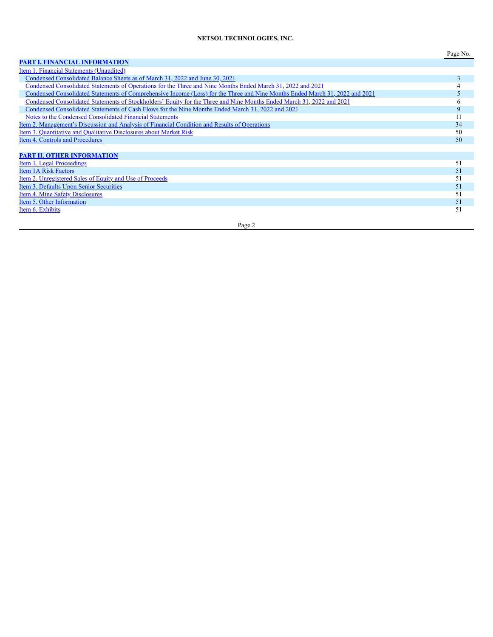# **NETSOL TECHNOLOGIES, INC.**

|                                                                                                                              | Page No. |
|------------------------------------------------------------------------------------------------------------------------------|----------|
| <b>PART I. FINANCIAL INFORMATION</b>                                                                                         |          |
| Item 1. Financial Statements (Unaudited)                                                                                     |          |
| Condensed Consolidated Balance Sheets as of March 31, 2022 and June 30, 2021                                                 | 3        |
| Condensed Consolidated Statements of Operations for the Three and Nine Months Ended March 31, 2022 and 2021                  | 4        |
| Condensed Consolidated Statements of Comprehensive Income (Loss) for the Three and Nine Months Ended March 31, 2022 and 2021 | 5        |
| Condensed Consolidated Statements of Stockholders' Equity for the Three and Nine Months Ended March 31, 2022 and 2021        | 6        |
| Condensed Consolidated Statements of Cash Flows for the Nine Months Ended March 31, 2022 and 2021                            | 9        |
| Notes to the Condensed Consolidated Financial Statements                                                                     | 11       |
| Item 2. Management's Discussion and Analysis of Financial Condition and Results of Operations                                | 34       |
| Item 3. Quantitative and Qualitative Disclosures about Market Risk                                                           | 50       |
| Item 4. Controls and Procedures                                                                                              | 50       |
|                                                                                                                              |          |
| <b>PART II. OTHER INFORMATION</b>                                                                                            |          |
| Item 1. Legal Proceedings                                                                                                    | 51       |
| <b>Item 1A Risk Factors</b>                                                                                                  | 51       |
| <u>Item 2. Unregistered Sales of Equity and Use of Proceeds</u>                                                              | 51       |
| Item 3. Defaults Upon Senior Securities                                                                                      | 51       |
| Item 4. Mine Safety Disclosures                                                                                              | 51       |
| Item 5. Other Information                                                                                                    | 51       |
| Item 6. Exhibits                                                                                                             | 51       |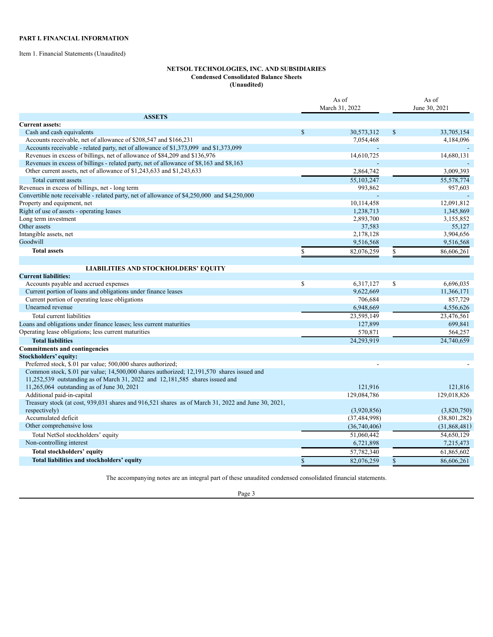# <span id="page-2-0"></span>**PART I. FINANCIAL INFORMATION**

<span id="page-2-2"></span><span id="page-2-1"></span>Item 1. Financial Statements (Unaudited)

# **NETSOL TECHNOLOGIES, INC. AND SUBSIDIARIES Condensed Consolidated Balance Sheets (Unaudited)**

|                                                                                                    |             | As of<br>March 31, 2022 | As of<br>June 30, 2021 |                |
|----------------------------------------------------------------------------------------------------|-------------|-------------------------|------------------------|----------------|
| <b>ASSETS</b>                                                                                      |             |                         |                        |                |
| <b>Current assets:</b>                                                                             |             |                         |                        |                |
| Cash and cash equivalents                                                                          | $\mathbf S$ | 30,573,312              | $\mathbb{S}$           | 33,705,154     |
| Accounts receivable, net of allowance of \$208,547 and \$166,231                                   |             | 7,054,468               |                        | 4,184,096      |
| Accounts receivable - related party, net of allowance of \$1,373,099 and \$1,373,099               |             |                         |                        |                |
| Revenues in excess of billings, net of allowance of \$84,209 and \$136,976                         |             | 14,610,725              |                        | 14,680,131     |
| Revenues in excess of billings - related party, net of allowance of \$8,163 and \$8,163            |             |                         |                        |                |
| Other current assets, net of allowance of \$1,243,633 and \$1,243,633                              |             | 2,864,742               |                        | 3,009,393      |
| Total current assets                                                                               |             | 55,103,247              |                        | 55,578,774     |
| Revenues in excess of billings, net - long term                                                    |             | 993,862                 |                        | 957,603        |
| Convertible note receivable - related party, net of allowance of \$4,250,000 and \$4,250,000       |             |                         |                        |                |
| Property and equipment, net                                                                        |             | 10,114,458              |                        | 12,091,812     |
| Right of use of assets - operating leases                                                          |             | 1,238,713               |                        | 1,345,869      |
| Long term investment                                                                               |             | 2,893,700               |                        | 3,155,852      |
| Other assets                                                                                       |             | 37,583                  |                        | 55,127         |
| Intangible assets, net                                                                             |             | 2,178,128               |                        | 3,904,656      |
| Goodwill                                                                                           |             | 9,516,568               |                        | 9,516,568      |
| <b>Total assets</b>                                                                                | \$          | 82,076,259              | \$                     | 86,606,261     |
| <b>LIABILITIES AND STOCKHOLDERS' EQUITY</b>                                                        |             |                         |                        |                |
| <b>Current liabilities:</b>                                                                        |             |                         |                        |                |
| Accounts payable and accrued expenses                                                              | \$          | 6,317,127               | \$                     | 6,696,035      |
| Current portion of loans and obligations under finance leases                                      |             | 9,622,669               |                        | 11,366,171     |
| Current portion of operating lease obligations                                                     |             | 706,684                 |                        | 857,729        |
| Unearned revenue                                                                                   |             | 6,948,669               |                        | 4,556,626      |
| Total current liabilities                                                                          |             |                         |                        |                |
| Loans and obligations under finance leases; less current maturities                                |             | 23,595,149              |                        | 23,476,561     |
| Operating lease obligations; less current maturities                                               |             | 127,899                 |                        | 699,841        |
|                                                                                                    |             | 570,871                 |                        | 564,257        |
| <b>Total liabilities</b>                                                                           |             | 24,293,919              |                        | 24,740,659     |
| <b>Commitments and contingencies</b>                                                               |             |                         |                        |                |
| <b>Stockholders' equity:</b>                                                                       |             |                         |                        |                |
| Preferred stock, \$.01 par value; 500,000 shares authorized;                                       |             |                         |                        |                |
| Common stock, \$.01 par value; 14,500,000 shares authorized; 12,191,570 shares issued and          |             |                         |                        |                |
| 11,252,539 outstanding as of March 31, 2022 and 12,181,585 shares issued and                       |             |                         |                        |                |
| 11,265,064 outstanding as of June 30, 2021                                                         |             | 121,916                 |                        | 121.816        |
| Additional paid-in-capital                                                                         |             | 129,084,786             |                        | 129,018,826    |
| Treasury stock (at cost, 939,031 shares and 916,521 shares as of March 31, 2022 and June 30, 2021, |             |                         |                        |                |
| respectively)<br>Accumulated deficit                                                               |             | (3,920,856)             |                        | (3,820,750)    |
|                                                                                                    |             | (37, 484, 998)          |                        | (38, 801, 282) |
| Other comprehensive loss                                                                           |             | (36,740,406)            |                        | (31,868,481)   |
| Total NetSol stockholders' equity                                                                  |             | 51,060,442              |                        | 54,650,129     |
| Non-controlling interest                                                                           |             | 6,721,898               |                        | 7,215,473      |
| Total stockholders' equity                                                                         |             | 57,782,340              |                        | 61,865,602     |
| Total liabilities and stockholders' equity                                                         | \$          | 82,076,259              | $\mathbf S$            | 86.606.261     |

The accompanying notes are an integral part of these unaudited condensed consolidated financial statements.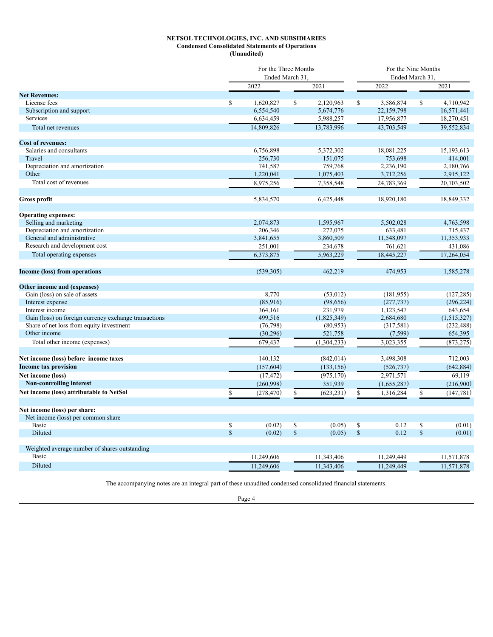## **NETSOL TECHNOLOGIES, INC. AND SUBSIDIARIES Condensed Consolidated Statements of Operations (Unaudited)**

<span id="page-3-0"></span>

|                                                       |               | For the Three Months<br>Ended March 31. |             | For the Nine Months<br>Ended March 31. |              |             |               |             |
|-------------------------------------------------------|---------------|-----------------------------------------|-------------|----------------------------------------|--------------|-------------|---------------|-------------|
|                                                       |               | 2022                                    |             | 2021                                   |              | 2022        |               | 2021        |
| <b>Net Revenues:</b>                                  |               |                                         |             |                                        |              |             |               |             |
| License fees                                          | $\mathbb{S}$  | 1.620.827                               | $\mathbf S$ | 2,120,963                              | $\mathbb{S}$ | 3,586,874   | <sup>\$</sup> | 4.710.942   |
| Subscription and support                              |               | 6,554,540                               |             | 5,674,776                              |              | 22,159,798  |               | 16,571,441  |
| Services                                              |               | 6,634,459                               |             | 5,988,257                              |              | 17,956,877  |               | 18,270,451  |
| Total net revenues                                    |               | 14,809,826                              |             | 13,783,996                             |              | 43.703.549  |               | 39,552,834  |
| <b>Cost of revenues:</b>                              |               |                                         |             |                                        |              |             |               |             |
| Salaries and consultants                              |               | 6,756,898                               |             | 5,372,302                              |              | 18,081,225  |               | 15,193,613  |
| Travel                                                |               | 256,730                                 |             | 151,075                                |              | 753,698     |               | 414,001     |
| Depreciation and amortization                         |               | 741,587                                 |             | 759,768                                |              | 2,236,190   |               | 2,180,766   |
| Other                                                 |               | 1,220,041                               |             | 1,075,403                              |              | 3,712,256   |               | 2,915,122   |
| Total cost of revenues                                |               | 8,975,256                               |             | 7,358,548                              |              | 24,783,369  |               | 20,703,502  |
| <b>Gross profit</b>                                   |               | 5,834,570                               |             | 6,425,448                              |              | 18,920,180  |               | 18,849,332  |
|                                                       |               |                                         |             |                                        |              |             |               |             |
| <b>Operating expenses:</b>                            |               |                                         |             |                                        |              |             |               |             |
| Selling and marketing                                 |               | 2,074,873                               |             | 1,595,967                              |              | 5,502,028   |               | 4,763,598   |
| Depreciation and amortization                         |               | 206,346                                 |             | 272,075                                |              | 633,481     |               | 715,437     |
| General and administrative                            |               | 3,841,655                               |             | 3,860,509                              |              | 11,548,097  |               | 11,353,933  |
| Research and development cost                         |               | 251,001                                 |             | 234,678                                |              | 761,621     |               | 431,086     |
| Total operating expenses                              |               | 6,373,875                               |             | 5,963,229                              |              | 18,445,227  |               | 17,264,054  |
| <b>Income (loss) from operations</b>                  |               | (539, 305)                              |             | 462,219                                |              | 474,953     |               | 1,585,278   |
| Other income and (expenses)                           |               |                                         |             |                                        |              |             |               |             |
| Gain (loss) on sale of assets                         |               | 8,770                                   |             | (53,012)                               |              | (181, 955)  |               | (127, 285)  |
| Interest expense                                      |               | (85,916)                                |             | (98, 656)                              |              | (277, 737)  |               | (296, 224)  |
| Interest income                                       |               | 364,161                                 |             | 231,979                                |              | 1,123,547   |               | 643,654     |
| Gain (loss) on foreign currency exchange transactions |               | 499,516                                 |             | (1,825,349)                            |              | 2,684,680   |               | (1,515,327) |
| Share of net loss from equity investment              |               | (76, 798)                               |             | (80,953)                               |              | (317,581)   |               | (232, 488)  |
| Other income                                          |               | (30, 296)                               |             | 521,758                                |              | (7, 599)    |               | 654,395     |
| Total other income (expenses)                         |               | 679,437                                 |             | (1,304,233)                            |              | 3,023,355   |               | (873, 275)  |
| Net income (loss) before income taxes                 |               | 140,132                                 |             | (842, 014)                             |              | 3,498,308   |               | 712,003     |
| <b>Income tax provision</b>                           |               | (157, 604)                              |             | (133, 156)                             |              | (526, 737)  |               | (642, 884)  |
| Net income (loss)                                     |               | (17, 472)                               |             | (975, 170)                             |              | 2,971,571   |               | 69.119      |
| <b>Non-controlling interest</b>                       |               | (260,998)                               |             | 351,939                                |              | (1,655,287) |               | (216,900)   |
| Net income (loss) attributable to NetSol              | \$            | (278, 470)                              | \$          | (623, 231)                             | \$           | 1,316,284   | $\mathbb{S}$  | (147, 781)  |
|                                                       |               |                                         |             |                                        |              |             |               |             |
| Net income (loss) per share:                          |               |                                         |             |                                        |              |             |               |             |
| Net income (loss) per common share                    |               |                                         |             |                                        |              |             |               |             |
| Basic                                                 | \$            | (0.02)                                  | \$          | (0.05)                                 | \$           | 0.12        | \$            | (0.01)      |
| <b>Diluted</b>                                        | $\mathcal{S}$ | (0.02)                                  | $\mathbb S$ | (0.05)                                 | $\mathbb S$  | 0.12        | $\mathbb S$   | (0.01)      |
| Weighted average number of shares outstanding         |               |                                         |             |                                        |              |             |               |             |
| <b>Basic</b>                                          |               | 11,249,606                              |             | 11,343,406                             |              | 11,249,449  |               | 11,571,878  |
| Diluted                                               |               | 11,249,606                              |             | 11,343,406                             |              | 11,249,449  |               | 11,571,878  |
|                                                       |               |                                         |             |                                        |              |             |               |             |

The accompanying notes are an integral part of these unaudited condensed consolidated financial statements.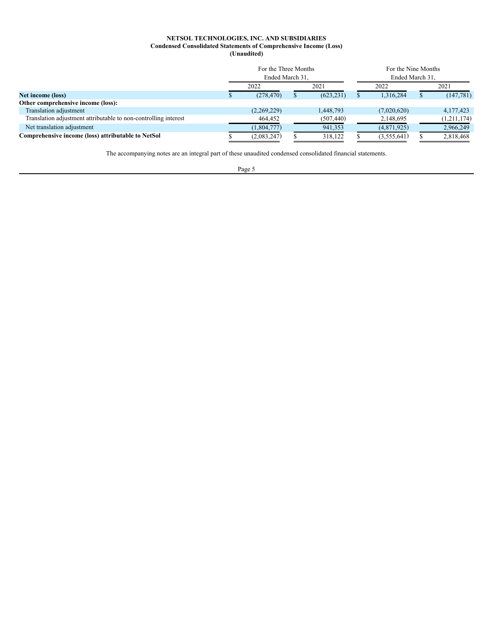# **NETSOL TECHNOLOGIES, INC. AND SUBSIDIARIES Condensed Consolidated Statements of Comprehensive Income (Loss) (Unaudited)**

<span id="page-4-0"></span>

|                                                                 | For the Three Months<br>Ended March 31. |             |  |            |      | For the Nine Months<br>Ended March 31. |      |               |  |
|-----------------------------------------------------------------|-----------------------------------------|-------------|--|------------|------|----------------------------------------|------|---------------|--|
|                                                                 | 2022<br>2021                            |             |  |            | 2022 |                                        | 2021 |               |  |
| Net income (loss)                                               |                                         | (278, 470)  |  | (623, 231) |      | 1,316,284                              |      | (147, 781)    |  |
| Other comprehensive income (loss):                              |                                         |             |  |            |      |                                        |      |               |  |
| Translation adjustment                                          |                                         | (2,269,229) |  | 1,448,793  |      | (7,020,620)                            |      | 4, 177, 423   |  |
| Translation adjustment attributable to non-controlling interest |                                         | 464,452     |  | (507, 440) |      | 2,148,695                              |      | (1, 211, 174) |  |
| Net translation adjustment                                      |                                         | (1,804,777) |  | 941,353    |      | (4,871,925)                            |      | 2,966,249     |  |
| Comprehensive income (loss) attributable to NetSol              |                                         | (2,083,247) |  | 318,122    |      | (3,555,641)                            |      | 2,818,468     |  |

The accompanying notes are an integral part of these unaudited condensed consolidated financial statements.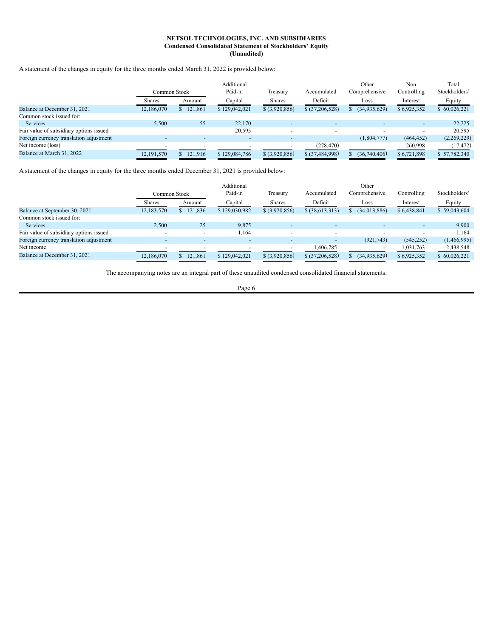# **NETSOL TECHNOLOGIES, INC. AND SUBSIDIARIES Condensed Consolidated Statement of Stockholders' Equity (Unaudited)**

<span id="page-5-0"></span>A statement of the changes in equity for the three months ended March 31, 2022 is provided below:

|                                         | Common Stock  |           | Additional<br>Paid-in | Treasury        |                          | Other<br>Comprehensive | Non<br>Controlling | Total<br>Stockholders' |
|-----------------------------------------|---------------|-----------|-----------------------|-----------------|--------------------------|------------------------|--------------------|------------------------|
|                                         | <b>Shares</b> | Amount    | Capital               | <b>Shares</b>   | Deficit                  | Loss                   | Interest           | Equity                 |
| Balance at December 31, 2021            | 12,186,070    | 121,861   | \$129,042,021         | \$ (3,920,856)  | \$ (37,206,528)          | (34.935.629)           | \$6,925,352        | \$60,026,221           |
| Common stock issued for:                |               |           |                       |                 |                          |                        |                    |                        |
| <b>Services</b>                         | 5,500         | 55        | 22.170                |                 | $\overline{\phantom{0}}$ |                        |                    | 22,225                 |
| Fair value of subsidiary options issued |               |           | 20,595                |                 | $\overline{\phantom{a}}$ |                        |                    | 20.595                 |
| Foreign currency translation adjustment |               |           |                       |                 |                          | (1,804,777)            | (464, 452)         | (2,269,229)            |
| Net income (loss)                       |               |           |                       |                 | (278, 470)               |                        | 260,998            | (17, 472)              |
| Balance at March 31, 2022               | 12,191,570    | \$121.916 | \$129,084,786         | $$$ (3,920,856) | $$$ $(37,484,998)$       | (36,740,406)           | \$6,721,898        | \$57,782,340           |

A statement of the changes in equity for the three months ended December 31, 2021 is provided below:

|                                         |                          | Additional               |               |                 |                 | Other          |             |               |  |
|-----------------------------------------|--------------------------|--------------------------|---------------|-----------------|-----------------|----------------|-------------|---------------|--|
|                                         | Common Stock             |                          | Paid-in       | Treasury        | Accumulated     | Comprehensive  | Controlling | Stockholders' |  |
|                                         | <b>Shares</b>            | Amount                   | Capital       | <b>Shares</b>   | Deficit         | Loss           | Interest    | Equity        |  |
| Balance at September 30, 2021           | 12,183,570               | 121,836                  | \$129,030.982 | \$ (3,920,856)  | \$ (38,613,313) | (34, 013, 886) | \$6,438,841 | \$59,043,604  |  |
| Common stock issued for:                |                          |                          |               |                 |                 |                |             |               |  |
| <b>Services</b>                         | 2,500                    | 25                       | 9,875         |                 |                 |                |             | 9,900         |  |
| Fair value of subsidiary options issued |                          | $\overline{\phantom{a}}$ | 1,164         |                 | ۰               |                |             | 1.164         |  |
| Foreign currency translation adjustment | $\overline{\phantom{a}}$ | $\overline{\phantom{a}}$ |               |                 |                 | (921,743)      | (545, 252)  | (1,466,995)   |  |
| Net income                              |                          |                          |               |                 | 1,406,785       |                | 1,031,763   | 2,438,548     |  |
| Balance at December 31, 2021            | 12,186,070               | 121,861                  | \$129,042,021 | $$$ (3,920,856) | \$ (37,206,528) | (34.935.629)   | \$6,925,352 | \$60,026,221  |  |

The accompanying notes are an integral part of these unaudited condensed consolidated financial statements.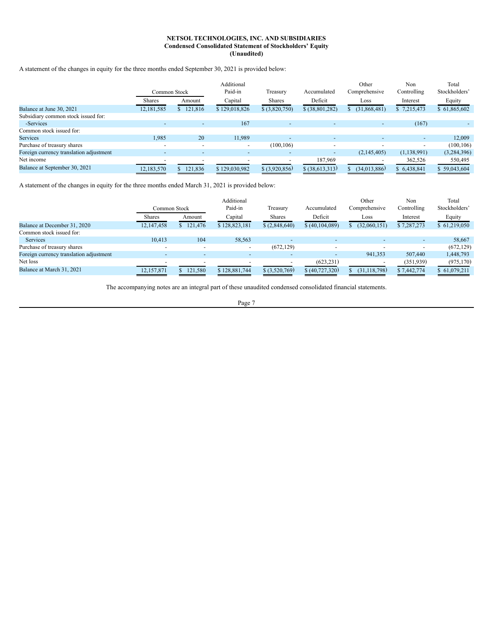## **NETSOL TECHNOLOGIES, INC. AND SUBSIDIARIES Condensed Consolidated Statement of Stockholders' Equity (Unaudited)**

A statement of the changes in equity for the three months ended September 30, 2021 is provided below:

|                                         | Common Stock             |                          | Additional<br>Paid-in    | Treasury                 | Accumulated              | Other<br>Comprehensive | Non<br>Controlling | Total<br>Stockholders' |
|-----------------------------------------|--------------------------|--------------------------|--------------------------|--------------------------|--------------------------|------------------------|--------------------|------------------------|
|                                         | <b>Shares</b>            | Amount                   | Capital                  | <b>Shares</b>            | Deficit                  | Loss                   | Interest           | Equity                 |
| Balance at June 30, 2021                | 12,181,585               | \$121,816                | \$129,018,826            | \$ (3,820,750)           | \$ (38,801,282)          | (31,868,481)           | \$7,215,473        | \$61,865,602           |
| Subsidiary common stock issued for:     |                          |                          |                          |                          |                          |                        |                    |                        |
| -Services                               |                          | $\overline{\phantom{0}}$ | 167                      | $\overline{\phantom{a}}$ |                          |                        | (167)              |                        |
| Common stock issued for:                |                          |                          |                          |                          |                          |                        |                    |                        |
| <b>Services</b>                         | 1,985                    | 20                       | 11,989                   | $\overline{\phantom{a}}$ |                          |                        |                    | 12,009                 |
| Purchase of treasury shares             | $\overline{\phantom{a}}$ | $\overline{\phantom{0}}$ | $\overline{\phantom{0}}$ | (100, 106)               | $\overline{\phantom{a}}$ | -                      |                    | (100, 106)             |
| Foreign currency translation adjustment |                          |                          |                          |                          |                          | (2,145,405)            | (1, 138, 991)      | (3,284,396)            |
| Net income                              |                          | $\overline{\phantom{a}}$ |                          |                          | 187,969                  |                        | 362,526            | 550,495                |
| Balance at September 30, 2021           | 12,183,570               | 121,836                  | \$129,030,982            | \$ (3,920,856)           | \$ (38,613,313)          | (34, 013, 886)         | \$6,438,841        | \$59,043,604           |

A statement of the changes in equity for the three months ended March 31, 2021 is provided below:

|                                         |                          |                          | Additional               |                 |                          | Other          | Non         | Total         |
|-----------------------------------------|--------------------------|--------------------------|--------------------------|-----------------|--------------------------|----------------|-------------|---------------|
|                                         | Common Stock             |                          | Paid-in                  | Treasury        | Accumulated              | Comprehensive  | Controlling | Stockholders' |
|                                         | <b>Shares</b>            | Amount                   | Capital                  | <b>Shares</b>   | Deficit                  | Loss           | Interest    | Equity        |
| Balance at December 31, 2020            | 12,147,458               | 121,476                  | \$128,823,181            | \$(2,848,640)   | \$ (40,104,089)          | (32,060,151)   | \$7,287,273 | \$61,219,050  |
| Common stock issued for:                |                          |                          |                          |                 |                          |                |             |               |
| <b>Services</b>                         | 10,413                   | 104                      | 58,563                   |                 |                          |                |             | 58,667        |
| Purchase of treasury shares             | $\overline{\phantom{a}}$ | $\overline{\phantom{a}}$ | $\overline{\phantom{0}}$ | (672, 129)      | $\overline{\phantom{a}}$ |                |             | (672, 129)    |
| Foreign currency translation adjustment | $\overline{\phantom{a}}$ | $\overline{\phantom{a}}$ |                          |                 | $\overline{\phantom{a}}$ | 941,353        | 507,440     | 1,448,793     |
| Net loss                                |                          |                          |                          |                 | (623, 231)               |                | (351, 939)  | (975, 170)    |
| Balance at March 31, 2021               | 12,157,871               | \$121,580                | \$128,881,744            | $$$ (3,520,769) | \$ (40, 727, 320)        | (31, 118, 798) | \$7,442,774 | \$ 61,079,211 |

The accompanying notes are an integral part of these unaudited condensed consolidated financial statements.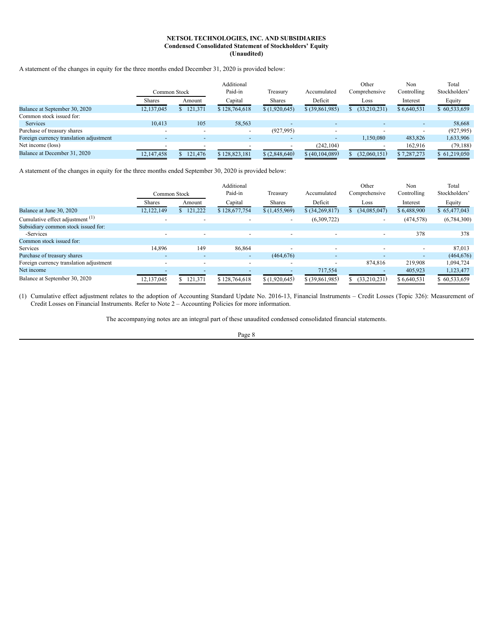## **NETSOL TECHNOLOGIES, INC. AND SUBSIDIARIES Condensed Consolidated Statement of Stockholders' Equity (Unaudited)**

A statement of the changes in equity for the three months ended December 31, 2020 is provided below:

|                                         |            | Common Stock |               | Additional<br>Paid-in<br>Treasury |                          | Other<br>Comprehensive   | Non<br>Controlling | Total<br>Stockholders' |
|-----------------------------------------|------------|--------------|---------------|-----------------------------------|--------------------------|--------------------------|--------------------|------------------------|
|                                         | Shares     | Amount       | Capital       | <b>Shares</b>                     | Deficit                  | Loss                     | Interest           | Equity                 |
| Balance at September 30, 2020           | 12,137,045 | 121,371      | \$128,764,618 | \$(1,920,645)                     | \$ (39,861,985)          | (33,210,231)             | \$6,640,531        | \$60,533,659           |
| Common stock issued for:                |            |              |               |                                   |                          |                          |                    |                        |
| <b>Services</b>                         | 10.413     | 105          | 58,563        |                                   | $\overline{\phantom{a}}$ |                          |                    | 58,668                 |
| Purchase of treasury shares             |            |              |               | (927, 995)                        | $\overline{\phantom{a}}$ |                          |                    | (927, 995)             |
| Foreign currency translation adjustment | -          |              |               |                                   | $\overline{\phantom{a}}$ | 1,150,080                | 483,826            | 1,633,906              |
| Net income (loss)                       |            |              |               |                                   | (242, 104)               | $\overline{\phantom{a}}$ | 162,916            | (79, 188)              |
| Balance at December 31, 2020            | 12,147,458 | \$121,476    | \$128,823,181 | \$(2,848,640)                     | \$ (40,104,089)          | (32,060,151)             | \$7,287,273        | \$61,219,050           |

A statement of the changes in equity for the three months ended September 30, 2020 is provided below:

|                                             | Common Stock             |                          | Additional<br>Paid-in    | Treasury      | Accumulated              | Other<br>Comprehensive   | Non<br>Controlling | Total<br>Stockholders' |
|---------------------------------------------|--------------------------|--------------------------|--------------------------|---------------|--------------------------|--------------------------|--------------------|------------------------|
|                                             | <b>Shares</b>            | Amount                   | Capital                  | <b>Shares</b> | Deficit                  | Loss                     | Interest           | Equity                 |
| Balance at June 30, 2020                    | 12,122,149               | 121<br>1.222             | \$128,677,754            | \$(1,455,969) | \$ (34,269,817)          | (34,085,047)             | \$6,488,900        | \$65,477,043           |
| Cumulative effect adjustment <sup>(1)</sup> |                          | $\overline{\phantom{a}}$ |                          |               | (6,309,722)              | ۰                        | (474, 578)         | (6,784,300)            |
| Subsidiary common stock issued for:         |                          |                          |                          |               |                          |                          |                    |                        |
| -Services                                   |                          |                          |                          |               | $\overline{\phantom{a}}$ | $\overline{\phantom{0}}$ | 378                | 378                    |
| Common stock issued for:                    |                          |                          |                          |               |                          |                          |                    |                        |
| Services                                    | 14,896                   | 149                      | 86,864                   |               | $\overline{\phantom{a}}$ |                          |                    | 87,013                 |
| Purchase of treasury shares                 | $\overline{\phantom{0}}$ | $\overline{\phantom{a}}$ | $\sim$                   | (464, 676)    | $\overline{\phantom{a}}$ | $\overline{\phantom{0}}$ |                    | (464, 676)             |
| Foreign currency translation adjustment     | $\overline{\phantom{a}}$ | $\overline{\phantom{a}}$ | $\overline{\phantom{a}}$ |               | $\overline{\phantom{a}}$ | 874,816                  | 219.908            | 1,094,724              |
| Net income                                  |                          |                          |                          |               | 717,554                  | $\overline{\phantom{a}}$ | 405,923            | 1,123,477              |
| Balance at September 30, 2020               | 12,137,045               | 121,371                  | \$128,764,618            | \$(1,920,645) | \$ (39,861,985)          | (33,210,231)             | \$6,640,531        | \$60,533,659           |

(1) Cumulative effect adjustment relates to the adoption of Accounting Standard Update No. 2016-13, Financial Instruments – Credit Losses (Topic 326): Measurement of Credit Losses on Financial Instruments. Refer to Note 2 – Accounting Policies for more information.

The accompanying notes are an integral part of these unaudited condensed consolidated financial statements.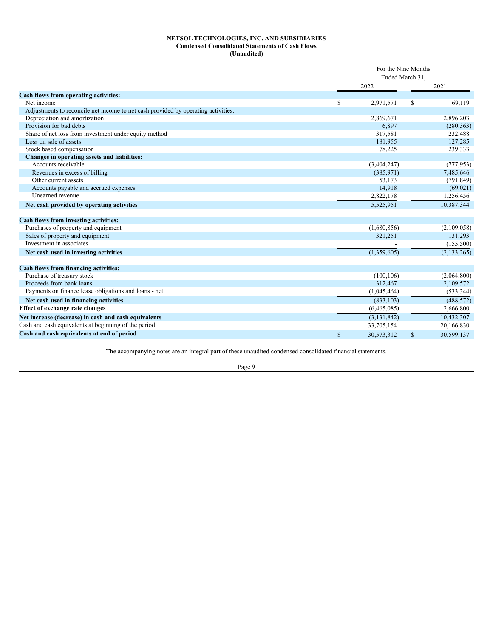# **NETSOL TECHNOLOGIES, INC. AND SUBSIDIARIES Condensed Consolidated Statements of Cash Flows (Unaudited)**

<span id="page-8-0"></span>

|                                                                                   | For the Nine Months<br>Ended March 31. |               |              |               |
|-----------------------------------------------------------------------------------|----------------------------------------|---------------|--------------|---------------|
|                                                                                   |                                        | 2022          |              | 2021          |
| Cash flows from operating activities:                                             |                                        |               |              |               |
| Net income                                                                        | S                                      | 2,971,571     | \$           | 69,119        |
| Adjustments to reconcile net income to net cash provided by operating activities: |                                        |               |              |               |
| Depreciation and amortization                                                     |                                        | 2,869,671     |              | 2,896,203     |
| Provision for bad debts                                                           |                                        | 6,897         |              | (280, 363)    |
| Share of net loss from investment under equity method                             |                                        | 317,581       |              | 232,488       |
| Loss on sale of assets                                                            |                                        | 181,955       |              | 127,285       |
| Stock based compensation                                                          |                                        | 78,225        |              | 239,333       |
| Changes in operating assets and liabilities:                                      |                                        |               |              |               |
| Accounts receivable                                                               |                                        | (3,404,247)   |              | (777, 953)    |
| Revenues in excess of billing                                                     |                                        | (385, 971)    |              | 7,485,646     |
| Other current assets                                                              |                                        | 53,173        |              | (791, 849)    |
| Accounts payable and accrued expenses                                             |                                        | 14,918        |              | (69, 021)     |
| Unearned revenue                                                                  |                                        | 2,822,178     |              | 1,256,456     |
| Net cash provided by operating activities                                         |                                        | 5,525,951     |              | 10,387,344    |
| Cash flows from investing activities:                                             |                                        |               |              |               |
| Purchases of property and equipment                                               |                                        | (1,680,856)   |              | (2,109,058)   |
| Sales of property and equipment                                                   |                                        | 321,251       |              | 131,293       |
| Investment in associates                                                          |                                        |               |              | (155,500)     |
| Net cash used in investing activities                                             |                                        | (1,359,605)   |              | (2, 133, 265) |
| <b>Cash flows from financing activities:</b>                                      |                                        |               |              |               |
| Purchase of treasury stock                                                        |                                        | (100, 106)    |              | (2,064,800)   |
| Proceeds from bank loans                                                          |                                        | 312,467       |              | 2,109,572     |
| Payments on finance lease obligations and loans - net                             |                                        | (1,045,464)   |              | (533, 344)    |
| Net cash used in financing activities                                             |                                        | (833, 103)    |              | (488, 572)    |
| <b>Effect of exchange rate changes</b>                                            |                                        | (6,465,085)   |              | 2,666,800     |
| Net increase (decrease) in cash and cash equivalents                              |                                        | (3, 131, 842) |              | 10,432,307    |
| Cash and cash equivalents at beginning of the period                              |                                        | 33,705,154    |              | 20,166,830    |
| Cash and cash equivalents at end of period                                        | $\mathbb{S}$                           | 30,573,312    | $\mathbb{S}$ | 30,599,137    |

The accompanying notes are an integral part of these unaudited condensed consolidated financial statements.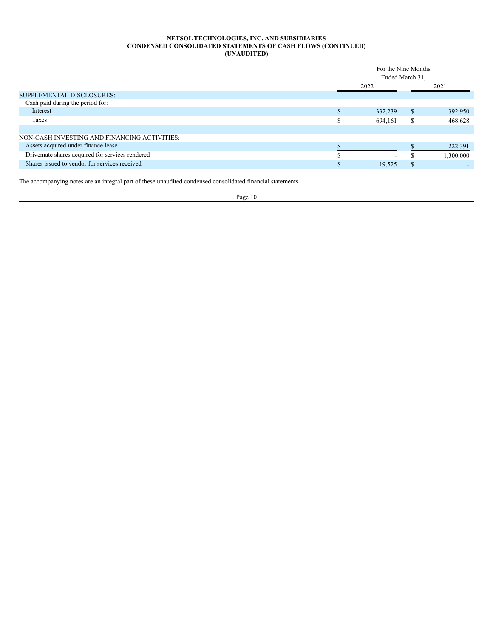## **NETSOL TECHNOLOGIES, INC. AND SUBSIDIARIES CONDENSED CONSOLIDATED STATEMENTS OF CASH FLOWS (CONTINUED) (UNAUDITED)**

|                                                 | For the Nine Months<br>Ended March 31. |  |           |  |  |
|-------------------------------------------------|----------------------------------------|--|-----------|--|--|
|                                                 | 2022                                   |  | 2021      |  |  |
| <b>SUPPLEMENTAL DISCLOSURES:</b>                |                                        |  |           |  |  |
| Cash paid during the period for:                |                                        |  |           |  |  |
| Interest                                        | 332,239                                |  | 392,950   |  |  |
| Taxes                                           | 694,161                                |  | 468.628   |  |  |
|                                                 |                                        |  |           |  |  |
| NON-CASH INVESTING AND FINANCING ACTIVITIES:    |                                        |  |           |  |  |
| Assets acquired under finance lease             |                                        |  | 222,391   |  |  |
| Drivemate shares acquired for services rendered |                                        |  | 1.300.000 |  |  |
| Shares issued to vendor for services received   | 19.525                                 |  |           |  |  |
|                                                 |                                        |  |           |  |  |

The accompanying notes are an integral part of these unaudited condensed consolidated financial statements.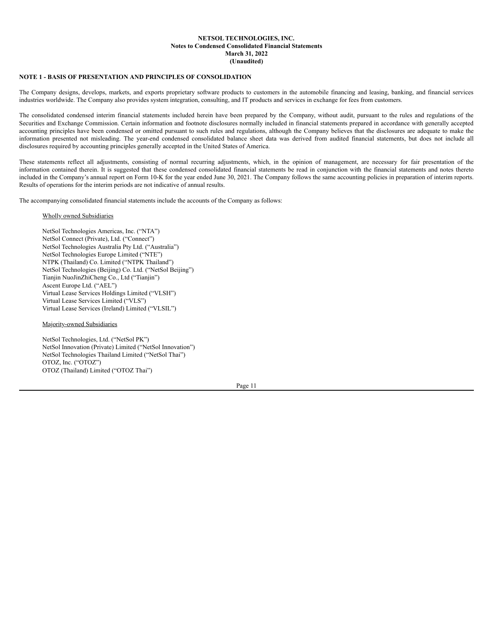# <span id="page-10-0"></span>**NOTE 1 - BASIS OF PRESENTATION AND PRINCIPLES OF CONSOLIDATION**

The Company designs, develops, markets, and exports proprietary software products to customers in the automobile financing and leasing, banking, and financial services industries worldwide. The Company also provides system integration, consulting, and IT products and services in exchange for fees from customers.

The consolidated condensed interim financial statements included herein have been prepared by the Company, without audit, pursuant to the rules and regulations of the Securities and Exchange Commission. Certain information and footnote disclosures normally included in financial statements prepared in accordance with generally accepted accounting principles have been condensed or omitted pursuant to such rules and regulations, although the Company believes that the disclosures are adequate to make the information presented not misleading. The year-end condensed consolidated balance sheet data was derived from audited financial statements, but does not include all disclosures required by accounting principles generally accepted in the United States of America.

These statements reflect all adjustments, consisting of normal recurring adjustments, which, in the opinion of management, are necessary for fair presentation of the information contained therein. It is suggested that these condensed consolidated financial statements be read in conjunction with the financial statements and notes thereto included in the Company's annual report on Form 10-K for the year ended June 30, 2021. The Company follows the same accounting policies in preparation of interim reports. Results of operations for the interim periods are not indicative of annual results.

The accompanying consolidated financial statements include the accounts of the Company as follows:

#### Wholly owned Subsidiaries

NetSol Technologies Americas, Inc. ("NTA") NetSol Connect (Private), Ltd. ("Connect") NetSol Technologies Australia Pty Ltd. ("Australia") NetSol Technologies Europe Limited ("NTE") NTPK (Thailand) Co. Limited ("NTPK Thailand") NetSol Technologies (Beijing) Co. Ltd. ("NetSol Beijing") Tianjin NuoJinZhiCheng Co., Ltd ("Tianjin") Ascent Europe Ltd. ("AEL") Virtual Lease Services Holdings Limited ("VLSH") Virtual Lease Services Limited ("VLS") Virtual Lease Services (Ireland) Limited ("VLSIL")

#### Majority-owned Subsidiaries

NetSol Technologies, Ltd. ("NetSol PK") NetSol Innovation (Private) Limited ("NetSol Innovation") NetSol Technologies Thailand Limited ("NetSol Thai") OTOZ, Inc. ("OTOZ") OTOZ (Thailand) Limited ("OTOZ Thai")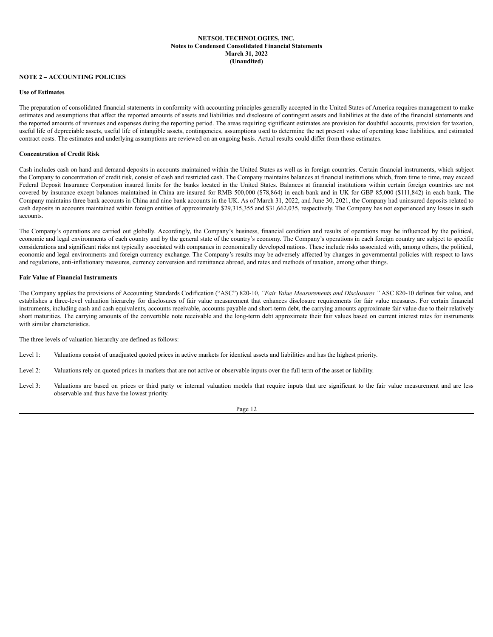# **NOTE 2 – ACCOUNTING POLICIES**

#### **Use of Estimates**

The preparation of consolidated financial statements in conformity with accounting principles generally accepted in the United States of America requires management to make estimates and assumptions that affect the reported amounts of assets and liabilities and disclosure of contingent assets and liabilities at the date of the financial statements and the reported amounts of revenues and expenses during the reporting period. The areas requiring significant estimates are provision for doubtful accounts, provision for taxation, useful life of depreciable assets, useful life of intangible assets, contingencies, assumptions used to determine the net present value of operating lease liabilities, and estimated contract costs. The estimates and underlying assumptions are reviewed on an ongoing basis. Actual results could differ from those estimates.

#### **Concentration of Credit Risk**

Cash includes cash on hand and demand deposits in accounts maintained within the United States as well as in foreign countries. Certain financial instruments, which subject the Company to concentration of credit risk, consist of cash and restricted cash. The Company maintains balances at financial institutions which, from time to time, may exceed Federal Deposit Insurance Corporation insured limits for the banks located in the United States. Balances at financial institutions within certain foreign countries are not covered by insurance except balances maintained in China are insured for RMB 500,000 (\$78,864) in each bank and in UK for GBP 85,000 (\$111,842) in each bank. The Company maintains three bank accounts in China and nine bank accounts in the UK. As of March 31, 2022, and June 30, 2021, the Company had uninsured deposits related to cash deposits in accounts maintained within foreign entities of approximately \$29,315,355 and \$31,662,035, respectively. The Company has not experienced any losses in such accounts.

The Company's operations are carried out globally. Accordingly, the Company's business, financial condition and results of operations may be influenced by the political, economic and legal environments of each country and by the general state of the country's economy. The Company's operations in each foreign country are subject to specific considerations and significant risks not typically associated with companies in economically developed nations. These include risks associated with, among others, the political, economic and legal environments and foreign currency exchange. The Company's results may be adversely affected by changes in governmental policies with respect to laws and regulations, anti-inflationary measures, currency conversion and remittance abroad, and rates and methods of taxation, among other things.

#### **Fair Value of Financial Instruments**

The Company applies the provisions of Accounting Standards Codification ("ASC") 820-10, *"Fair Value Measurements and Disclosures."* ASC 820-10 defines fair value, and establishes a three-level valuation hierarchy for disclosures of fair value measurement that enhances disclosure requirements for fair value measures. For certain financial instruments, including cash and cash equivalents, accounts receivable, accounts payable and short-term debt, the carrying amounts approximate fair value due to their relatively short maturities. The carrying amounts of the convertible note receivable and the long-term debt approximate their fair values based on current interest rates for instruments with similar characteristics.

The three levels of valuation hierarchy are defined as follows:

- Level 1: Valuations consist of unadjusted quoted prices in active markets for identical assets and liabilities and has the highest priority.
- Level 2: Valuations rely on quoted prices in markets that are not active or observable inputs over the full term of the asset or liability.
- Level 3: Valuations are based on prices or third party or internal valuation models that require inputs that are significant to the fair value measurement and are less observable and thus have the lowest priority.

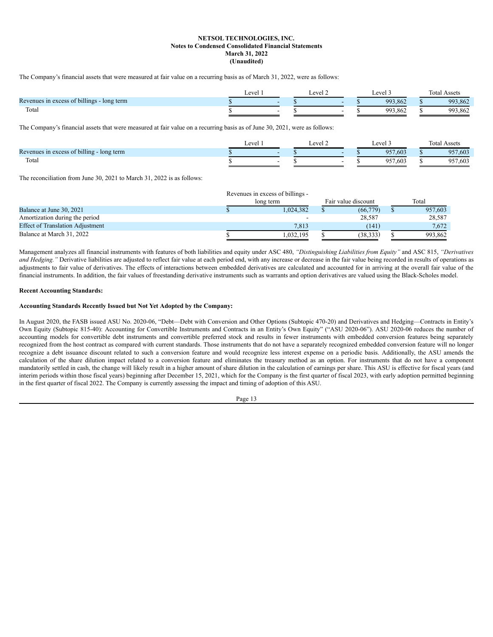The Company's financial assets that were measured at fair value on a recurring basis as of March 31, 2022, were as follows:

|                                            | Level | P<br>LUVUL 4 |  | ∟evel         | l'ota<br>Assets |
|--------------------------------------------|-------|--------------|--|---------------|-----------------|
| Revenues in excess of billings - long term |       |              |  | 993.862       | 993,862         |
| Total                                      |       |              |  | 993<br>93,862 | 993,862         |

The Company's financial assets that were measured at fair value on a recurring basis as of June 30, 2021, were as follows:

|                                                | Level |   | ATP |  | Level       | Total<br>Assets |
|------------------------------------------------|-------|---|-----|--|-------------|-----------------|
| in excess of billing.<br>Revenues<br>long term |       | - |     |  | 957,603     | 957,603         |
| Total                                          |       |   |     |  | 057<br>,603 | 957,603         |

The reconciliation from June 30, 2021 to March 31, 2022 is as follows:

|                                         | Revenues in excess of billings - |                     |         |
|-----------------------------------------|----------------------------------|---------------------|---------|
|                                         | long term                        | Fair value discount | Total   |
| Balance at June 30, 2021                | 1.024.382                        | (66, 779)           | 957,603 |
| Amortization during the period          |                                  | 28,587              | 28,587  |
| <b>Effect of Translation Adjustment</b> | 7,813                            | (141)               | 7.672   |
| Balance at March 31, 2022               | .032.195                         | (38,333)            | 993,862 |

Management analyzes all financial instruments with features of both liabilities and equity under ASC 480, *"Distinguishing Liabilities from Equity"* and ASC 815, *"Derivatives and Hedging.*" Derivative liabilities are adjusted to reflect fair value at each period end, with any increase or decrease in the fair value being recorded in results of operations as adjustments to fair value of derivatives. The effects of interactions between embedded derivatives are calculated and accounted for in arriving at the overall fair value of the financial instruments. In addition, the fair values of freestanding derivative instruments such as warrants and option derivatives are valued using the Black-Scholes model.

#### **Recent Accounting Standards:**

# **Accounting Standards Recently Issued but Not Yet Adopted by the Company:**

In August 2020, the FASB issued ASU No. 2020-06, "Debt—Debt with Conversion and Other Options (Subtopic 470-20) and Derivatives and Hedging—Contracts in Entity's Own Equity (Subtopic 815-40): Accounting for Convertible Instruments and Contracts in an Entity's Own Equity" ("ASU 2020-06"). ASU 2020-06 reduces the number of accounting models for convertible debt instruments and convertible preferred stock and results in fewer instruments with embedded conversion features being separately recognized from the host contract as compared with current standards. Those instruments that do not have a separately recognized embedded conversion feature will no longer recognize a debt issuance discount related to such a conversion feature and would recognize less interest expense on a periodic basis. Additionally, the ASU amends the calculation of the share dilution impact related to a conversion feature and eliminates the treasury method as an option. For instruments that do not have a component mandatorily settled in cash, the change will likely result in a higher amount of share dilution in the calculation of earnings per share. This ASU is effective for fiscal years (and interim periods within those fiscal years) beginning after December 15, 2021, which for the Company is the first quarter of fiscal 2023, with early adoption permitted beginning in the first quarter of fiscal 2022. The Company is currently assessing the impact and timing of adoption of this ASU.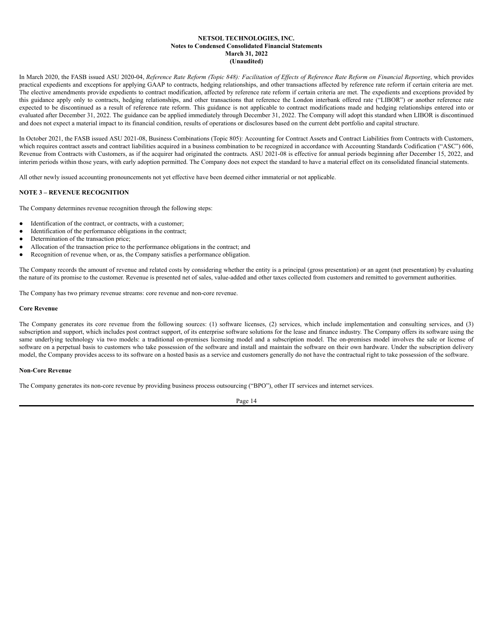In March 2020, the FASB issued ASU 2020-04, Reference Rate Reform (Topic 848): Facilitation of Effects of Reference Rate Reform on Financial Reporting, which provides practical expedients and exceptions for applying GAAP to contracts, hedging relationships, and other transactions affected by reference rate reform if certain criteria are met. The elective amendments provide expedients to contract modification, affected by reference rate reform if certain criteria are met. The expedients and exceptions provided by this guidance apply only to contracts, hedging relationships, and other transactions that reference the London interbank offered rate ("LIBOR") or another reference rate expected to be discontinued as a result of reference rate reform. This guidance is not applicable to contract modifications made and hedging relationships entered into or evaluated after December 31, 2022. The guidance can be applied immediately through December 31, 2022. The Company will adopt this standard when LIBOR is discontinued and does not expect a material impact to its financial condition, results of operations or disclosures based on the current debt portfolio and capital structure.

In October 2021, the FASB issued ASU 2021-08, Business Combinations (Topic 805): Accounting for Contract Assets and Contract Liabilities from Contracts with Customers, which requires contract assets and contract liabilities acquired in a business combination to be recognized in accordance with Accounting Standards Codification ("ASC") 606, Revenue from Contracts with Customers, as if the acquirer had originated the contracts. ASU 2021-08 is effective for annual periods beginning after December 15, 2022, and interim periods within those years, with early adoption permitted. The Company does not expect the standard to have a material effect on its consolidated financial statements.

All other newly issued accounting pronouncements not yet effective have been deemed either immaterial or not applicable.

#### **NOTE 3 – REVENUE RECOGNITION**

The Company determines revenue recognition through the following steps:

- Identification of the contract, or contracts, with a customer:
- Identification of the performance obligations in the contract;
- Determination of the transaction price;
- Allocation of the transaction price to the performance obligations in the contract; and
- Recognition of revenue when, or as, the Company satisfies a performance obligation.

The Company records the amount of revenue and related costs by considering whether the entity is a principal (gross presentation) or an agent (net presentation) by evaluating the nature of its promise to the customer. Revenue is presented net of sales, value-added and other taxes collected from customers and remitted to government authorities.

The Company has two primary revenue streams: core revenue and non-core revenue.

#### **Core Revenue**

The Company generates its core revenue from the following sources: (1) software licenses, (2) services, which include implementation and consulting services, and (3) subscription and support, which includes post contract support, of its enterprise software solutions for the lease and finance industry. The Company offers its software using the same underlying technology via two models: a traditional on-premises licensing model and a subscription model. The on-premises model involves the sale or license of software on a perpetual basis to customers who take possession of the software and install and maintain the software on their own hardware. Under the subscription delivery model, the Company provides access to its software on a hosted basis as a service and customers generally do not have the contractual right to take possession of the software.

## **Non-Core Revenue**

The Company generates its non-core revenue by providing business process outsourcing ("BPO"), other IT services and internet services.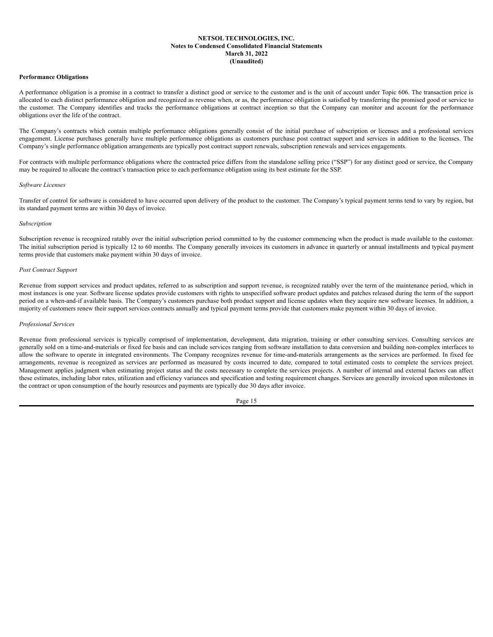#### **Performance Obligations**

A performance obligation is a promise in a contract to transfer a distinct good or service to the customer and is the unit of account under Topic 606. The transaction price is allocated to each distinct performance obligation and recognized as revenue when, or as, the performance obligation is satisfied by transferring the promised good or service to the customer. The Company identifies and tracks the performance obligations at contract inception so that the Company can monitor and account for the performance obligations over the life of the contract.

The Company's contracts which contain multiple performance obligations generally consist of the initial purchase of subscription or licenses and a professional services engagement. License purchases generally have multiple performance obligations as customers purchase post contract support and services in addition to the licenses. The Company's single performance obligation arrangements are typically post contract support renewals, subscription renewals and services engagements.

For contracts with multiple performance obligations where the contracted price differs from the standalone selling price ("SSP") for any distinct good or service, the Company may be required to allocate the contract's transaction price to each performance obligation using its best estimate for the SSP.

#### *Software Licenses*

Transfer of control for software is considered to have occurred upon delivery of the product to the customer. The Company's typical payment terms tend to vary by region, but its standard payment terms are within 30 days of invoice.

#### *Subscription*

Subscription revenue is recognized ratably over the initial subscription period committed to by the customer commencing when the product is made available to the customer. The initial subscription period is typically 12 to 60 months. The Company generally invoices its customers in advance in quarterly or annual installments and typical payment terms provide that customers make payment within 30 days of invoice.

#### *Post Contract Support*

Revenue from support services and product updates, referred to as subscription and support revenue, is recognized ratably over the term of the maintenance period, which in most instances is one year. Software license updates provide customers with rights to unspecified software product updates and patches released during the term of the support period on a when-and-if available basis. The Company's customers purchase both product support and license updates when they acquire new software licenses. In addition, a majority of customers renew their support services contracts annually and typical payment terms provide that customers make payment within 30 days of invoice.

#### *Professional Services*

Revenue from professional services is typically comprised of implementation, development, data migration, training or other consulting services. Consulting services are generally sold on a time-and-materials or fixed fee basis and can include services ranging from software installation to data conversion and building non-complex interfaces to allow the software to operate in integrated environments. The Company recognizes revenue for time-and-materials arrangements as the services are performed. In fixed fee arrangements, revenue is recognized as services are performed as measured by costs incurred to date, compared to total estimated costs to complete the services project. Management applies judgment when estimating project status and the costs necessary to complete the services projects. A number of internal and external factors can affect these estimates, including labor rates, utilization and efficiency variances and specification and testing requirement changes. Services are generally invoiced upon milestones in the contract or upon consumption of the hourly resources and payments are typically due 30 days after invoice.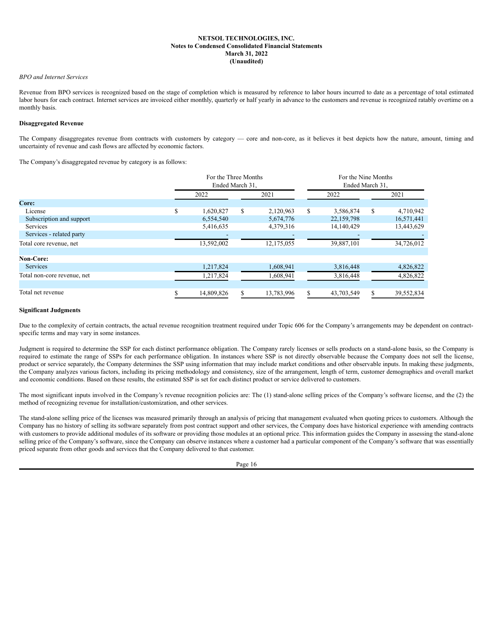#### *BPO and Internet Services*

Revenue from BPO services is recognized based on the stage of completion which is measured by reference to labor hours incurred to date as a percentage of total estimated labor hours for each contract. Internet services are invoiced either monthly, quarterly or half yearly in advance to the customers and revenue is recognized ratably overtime on a monthly basis.

## **Disaggregated Revenue**

The Company disaggregates revenue from contracts with customers by category — core and non-core, as it believes it best depicts how the nature, amount, timing and uncertainty of revenue and cash flows are affected by economic factors.

The Company's disaggregated revenue by category is as follows:

|                             |     | For the Three Months<br>Ended March 31. |   |            | For the Nine Months<br>Ended March 31. |            |    |            |  |
|-----------------------------|-----|-----------------------------------------|---|------------|----------------------------------------|------------|----|------------|--|
|                             |     | 2022                                    |   | 2021       |                                        | 2022       |    | 2021       |  |
| Core:                       |     |                                         |   |            |                                        |            |    |            |  |
| License                     | \$. | 1,620,827                               | S | 2,120,963  | \$                                     | 3,586,874  | \$ | 4,710,942  |  |
| Subscription and support    |     | 6,554,540                               |   | 5,674,776  |                                        | 22,159,798 |    | 16,571,441 |  |
| Services                    |     | 5,416,635                               |   | 4,379,316  |                                        | 14,140,429 |    | 13,443,629 |  |
| Services - related party    |     |                                         |   |            |                                        |            |    |            |  |
| Total core revenue, net     |     | 13,592,002                              |   | 12,175,055 |                                        | 39,887,101 |    | 34,726,012 |  |
| <b>Non-Core:</b>            |     |                                         |   |            |                                        |            |    |            |  |
| <b>Services</b>             |     | 1,217,824                               |   | 1,608,941  |                                        | 3,816,448  |    | 4,826,822  |  |
| Total non-core revenue, net |     | 1,217,824                               |   | 1,608,941  |                                        | 3,816,448  |    | 4,826,822  |  |
| Total net revenue           |     | 14,809,826                              |   | 13,783,996 |                                        | 43,703,549 |    | 39,552,834 |  |

## **Significant Judgments**

Due to the complexity of certain contracts, the actual revenue recognition treatment required under Topic 606 for the Company's arrangements may be dependent on contractspecific terms and may vary in some instances.

Judgment is required to determine the SSP for each distinct performance obligation. The Company rarely licenses or sells products on a stand-alone basis, so the Company is required to estimate the range of SSPs for each performance obligation. In instances where SSP is not directly observable because the Company does not sell the license, product or service separately, the Company determines the SSP using information that may include market conditions and other observable inputs. In making these judgments, the Company analyzes various factors, including its pricing methodology and consistency, size of the arrangement, length of term, customer demographics and overall market and economic conditions. Based on these results, the estimated SSP is set for each distinct product or service delivered to customers.

The most significant inputs involved in the Company's revenue recognition policies are: The (1) stand-alone selling prices of the Company's software license, and the (2) the method of recognizing revenue for installation/customization, and other services.

The stand-alone selling price of the licenses was measured primarily through an analysis of pricing that management evaluated when quoting prices to customers. Although the Company has no history of selling its software separately from post contract support and other services, the Company does have historical experience with amending contracts with customers to provide additional modules of its software or providing those modules at an optional price. This information guides the Company in assessing the stand-alone selling price of the Company's software, since the Company can observe instances where a customer had a particular component of the Company's software that was essentially priced separate from other goods and services that the Company delivered to that customer.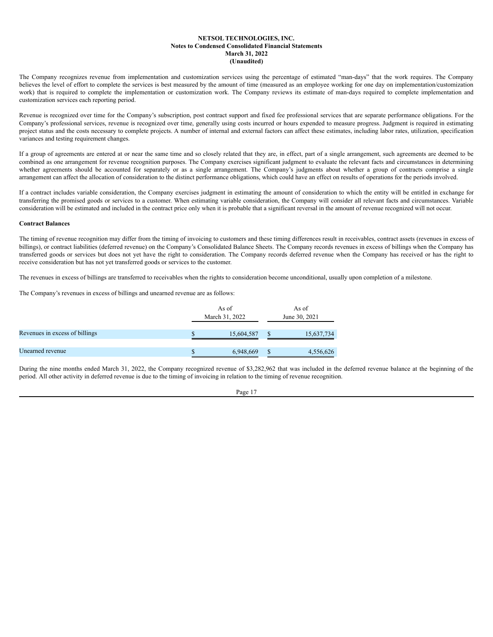The Company recognizes revenue from implementation and customization services using the percentage of estimated "man-days" that the work requires. The Company believes the level of effort to complete the services is best measured by the amount of time (measured as an employee working for one day on implementation/customization work) that is required to complete the implementation or customization work. The Company reviews its estimate of man-days required to complete implementation and customization services each reporting period.

Revenue is recognized over time for the Company's subscription, post contract support and fixed fee professional services that are separate performance obligations. For the Company's professional services, revenue is recognized over time, generally using costs incurred or hours expended to measure progress. Judgment is required in estimating project status and the costs necessary to complete projects. A number of internal and external factors can affect these estimates, including labor rates, utilization, specification variances and testing requirement changes.

If a group of agreements are entered at or near the same time and so closely related that they are, in effect, part of a single arrangement, such agreements are deemed to be combined as one arrangement for revenue recognition purposes. The Company exercises significant judgment to evaluate the relevant facts and circumstances in determining whether agreements should be accounted for separately or as a single arrangement. The Company's judgments about whether a group of contracts comprise a single arrangement can affect the allocation of consideration to the distinct performance obligations, which could have an effect on results of operations for the periods involved.

If a contract includes variable consideration, the Company exercises judgment in estimating the amount of consideration to which the entity will be entitled in exchange for transferring the promised goods or services to a customer. When estimating variable consideration, the Company will consider all relevant facts and circumstances. Variable consideration will be estimated and included in the contract price only when it is probable that a significant reversal in the amount of revenue recognized will not occur.

#### **Contract Balances**

The timing of revenue recognition may differ from the timing of invoicing to customers and these timing differences result in receivables, contract assets (revenues in excess of billings), or contract liabilities (deferred revenue) on the Company's Consolidated Balance Sheets. The Company records revenues in excess of billings when the Company has transferred goods or services but does not yet have the right to consideration. The Company records deferred revenue when the Company has received or has the right to receive consideration but has not yet transferred goods or services to the customer.

The revenues in excess of billings are transferred to receivables when the rights to consideration become unconditional, usually upon completion of a milestone.

The Company's revenues in excess of billings and unearned revenue are as follows:

|                                | As of<br>March 31, 2022 |  | As of<br>June 30, 2021 |
|--------------------------------|-------------------------|--|------------------------|
| Revenues in excess of billings | 15,604,587              |  | 15,637,734             |
| Unearned revenue               | 6,948,669               |  | 4,556,626              |

During the nine months ended March 31, 2022, the Company recognized revenue of \$3,282,962 that was included in the deferred revenue balance at the beginning of the period. All other activity in deferred revenue is due to the timing of invoicing in relation to the timing of revenue recognition.

|--|--|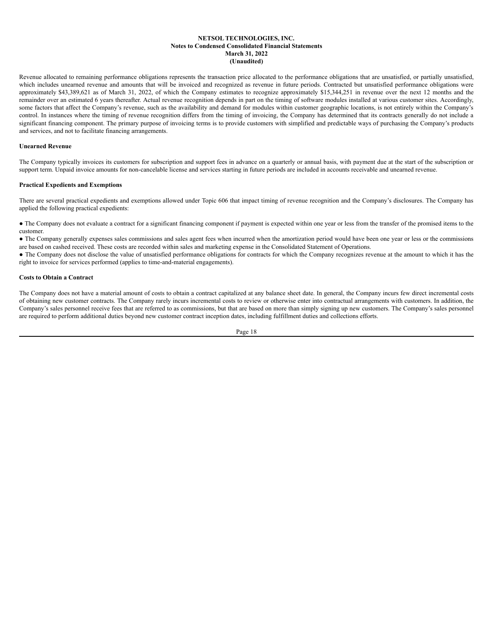Revenue allocated to remaining performance obligations represents the transaction price allocated to the performance obligations that are unsatisfied, or partially unsatisfied, which includes unearned revenue and amounts that will be invoiced and recognized as revenue in future periods. Contracted but unsatisfied performance obligations were approximately \$43,389,621 as of March 31, 2022, of which the Company estimates to recognize approximately \$15,344,251 in revenue over the next 12 months and the remainder over an estimated 6 years thereafter. Actual revenue recognition depends in part on the timing of software modules installed at various customer sites. Accordingly, some factors that affect the Company's revenue, such as the availability and demand for modules within customer geographic locations, is not entirely within the Company's control. In instances where the timing of revenue recognition differs from the timing of invoicing, the Company has determined that its contracts generally do not include a significant financing component. The primary purpose of invoicing terms is to provide customers with simplified and predictable ways of purchasing the Company's products and services, and not to facilitate financing arrangements.

#### **Unearned Revenue**

The Company typically invoices its customers for subscription and support fees in advance on a quarterly or annual basis, with payment due at the start of the subscription or support term. Unpaid invoice amounts for non-cancelable license and services starting in future periods are included in accounts receivable and unearned revenue.

# **Practical Expedients and Exemptions**

There are several practical expedients and exemptions allowed under Topic 606 that impact timing of revenue recognition and the Company's disclosures. The Company has applied the following practical expedients:

• The Company does not evaluate a contract for a significant financing component if payment is expected within one year or less from the transfer of the promised items to the customer.

● The Company generally expenses sales commissions and sales agent fees when incurred when the amortization period would have been one year or less or the commissions are based on cashed received. These costs are recorded within sales and marketing expense in the Consolidated Statement of Operations.

• The Company does not disclose the value of unsatisfied performance obligations for contracts for which the Company recognizes revenue at the amount to which it has the right to invoice for services performed (applies to time-and-material engagements).

#### **Costs to Obtain a Contract**

The Company does not have a material amount of costs to obtain a contract capitalized at any balance sheet date. In general, the Company incurs few direct incremental costs of obtaining new customer contracts. The Company rarely incurs incremental costs to review or otherwise enter into contractual arrangements with customers. In addition, the Company's sales personnel receive fees that are referred to as commissions, but that are based on more than simply signing up new customers. The Company's sales personnel are required to perform additional duties beyond new customer contract inception dates, including fulfillment duties and collections efforts.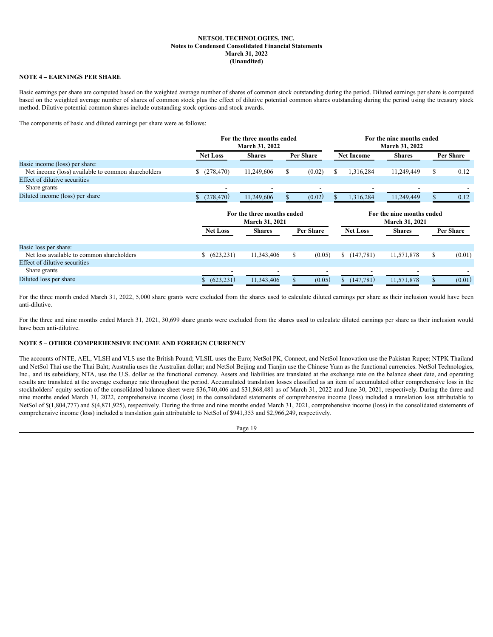# **NOTE 4 – EARNINGS PER SHARE**

Basic earnings per share are computed based on the weighted average number of shares of common stock outstanding during the period. Diluted earnings per share is computed based on the weighted average number of shares of common stock plus the effect of dilutive potential common shares outstanding during the period using the treasury stock method. Dilutive potential common shares include outstanding stock options and stock awards.

The components of basic and diluted earnings per share were as follows:

|                                                    | For the three months ended<br><b>March 31, 2022</b> |                                                     |             |        | For the nine months ended<br>March 31, 2022 |                                                    |    |           |  |
|----------------------------------------------------|-----------------------------------------------------|-----------------------------------------------------|-------------|--------|---------------------------------------------|----------------------------------------------------|----|-----------|--|
|                                                    | <b>Net Loss</b>                                     | <b>Shares</b>                                       | Per Share   |        | <b>Net Income</b>                           | <b>Shares</b>                                      |    | Per Share |  |
| Basic income (loss) per share:                     |                                                     |                                                     |             |        |                                             |                                                    |    |           |  |
| Net income (loss) available to common shareholders | (278, 470)<br>S.                                    | 11,249,606                                          | (0.02)<br>S |        | 1,316,284                                   | 11,249,449                                         | \$ | 0.12      |  |
| Effect of dilutive securities                      |                                                     |                                                     |             |        |                                             |                                                    |    |           |  |
| Share grants                                       |                                                     |                                                     |             |        |                                             |                                                    |    |           |  |
| Diluted income (loss) per share                    | (278, 470)                                          | 11,249,606                                          | (0.02)      |        | 1,316,284                                   | 11,249,449                                         |    | 0.12      |  |
|                                                    |                                                     | For the three months ended<br><b>March 31, 2021</b> |             |        |                                             | For the nine months ended<br><b>March 31, 2021</b> |    |           |  |
|                                                    | <b>Net Loss</b>                                     | <b>Shares</b>                                       | Per Share   |        | <b>Net Loss</b>                             | <b>Shares</b>                                      |    | Per Share |  |
| Basic loss per share:                              |                                                     |                                                     |             |        |                                             |                                                    |    |           |  |
| Net loss available to common shareholders          | \$ (623, 231)                                       | 11,343,406                                          | \$          | (0.05) | \$<br>(147,781)                             | 11,571,878                                         | \$ | (0.01)    |  |
| Effect of dilutive securities                      |                                                     |                                                     |             |        |                                             |                                                    |    |           |  |
| Share grants                                       |                                                     |                                                     |             |        |                                             |                                                    |    |           |  |
| Diluted loss per share                             | (623, 231)                                          | 11,343,406                                          |             | (0.05) | (147,781)<br>S.                             | 11,571,878                                         |    | (0.01)    |  |

For the three month ended March 31, 2022, 5,000 share grants were excluded from the shares used to calculate diluted earnings per share as their inclusion would have been anti-dilutive.

For the three and nine months ended March 31, 2021, 30,699 share grants were excluded from the shares used to calculate diluted earnings per share as their inclusion would have been anti-dilutive.

# **NOTE 5 – OTHER COMPREHENSIVE INCOME AND FOREIGN CURRENCY**

The accounts of NTE, AEL, VLSH and VLS use the British Pound; VLSIL uses the Euro; NetSol PK, Connect, and NetSol Innovation use the Pakistan Rupee; NTPK Thailand and NetSol Thai use the Thai Baht; Australia uses the Australian dollar; and NetSol Beijing and Tianjin use the Chinese Yuan as the functional currencies. NetSol Technologies, Inc., and its subsidiary, NTA, use the U.S. dollar as the functional currency. Assets and liabilities are translated at the exchange rate on the balance sheet date, and operating results are translated at the average exchange rate throughout the period. Accumulated translation losses classified as an item of accumulated other comprehensive loss in the stockholders' equity section of the consolidated balance sheet were \$36,740,406 and \$31,868,481 as of March 31, 2022 and June 30, 2021, respectively. During the three and nine months ended March 31, 2022, comprehensive income (loss) in the consolidated statements of comprehensive income (loss) included a translation loss attributable to NetSol of \$(1,804,777) and \$(4,871,925), respectively. During the three and nine months ended March 31, 2021, comprehensive income (loss) in the consolidated statements of comprehensive income (loss) included a translation gain attributable to NetSol of \$941,353 and \$2,966,249, respectively.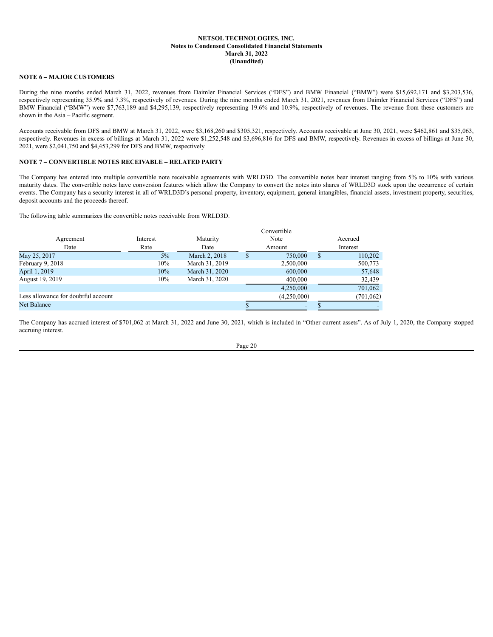# **NOTE 6 – MAJOR CUSTOMERS**

During the nine months ended March 31, 2022, revenues from Daimler Financial Services ("DFS") and BMW Financial ("BMW") were \$15,692,171 and \$3,203,536, respectively representing 35.9% and 7.3%, respectively of revenues. During the nine months ended March 31, 2021, revenues from Daimler Financial Services ("DFS") and BMW Financial ("BMW") were \$7,763,189 and \$4,295,139, respectively representing 19.6% and 10.9%, respectively of revenues. The revenue from these customers are shown in the Asia – Pacific segment.

Accounts receivable from DFS and BMW at March 31, 2022, were \$3,168,260 and \$305,321, respectively. Accounts receivable at June 30, 2021, were \$462,861 and \$35,063, respectively. Revenues in excess of billings at March 31, 2022 were \$1,252,548 and \$3,696,816 for DFS and BMW, respectively. Revenues in excess of billings at June 30, 2021, were \$2,041,750 and \$4,453,299 for DFS and BMW, respectively.

#### **NOTE 7 – CONVERTIBLE NOTES RECEIVABLE – RELATED PARTY**

The Company has entered into multiple convertible note receivable agreements with WRLD3D. The convertible notes bear interest ranging from 5% to 10% with various maturity dates. The convertible notes have conversion features which allow the Company to convert the notes into shares of WRLD3D stock upon the occurrence of certain events. The Company has a security interest in all of WRLD3D's personal property, inventory, equipment, general intangibles, financial assets, investment property, securities, deposit accounts and the proceeds thereof.

The following table summarizes the convertible notes receivable from WRLD3D.

|                                     |          |                |   | Convertible              |              |            |
|-------------------------------------|----------|----------------|---|--------------------------|--------------|------------|
| Agreement                           | Interest | Maturity       |   | Note                     |              | Accrued    |
| Date                                | Rate     | Date           |   | Amount                   |              | Interest   |
| May 25, 2017                        | $5\%$    | March 2, 2018  | S | 750,000                  | $\mathbb{S}$ | 110,202    |
| February 9, 2018                    | 10%      | March 31, 2019 |   | 2,500,000                |              | 500,773    |
| April 1, 2019                       | 10%      | March 31, 2020 |   | 600,000                  |              | 57,648     |
| August 19, 2019                     | 10%      | March 31, 2020 |   | 400,000                  |              | 32,439     |
|                                     |          |                |   | 4,250,000                |              | 701,062    |
| Less allowance for doubtful account |          |                |   | (4,250,000)              |              | (701, 062) |
| <b>Net Balance</b>                  |          |                |   | $\overline{\phantom{0}}$ |              |            |

The Company has accrued interest of \$701,062 at March 31, 2022 and June 30, 2021, which is included in "Other current assets". As of July 1, 2020, the Company stopped accruing interest.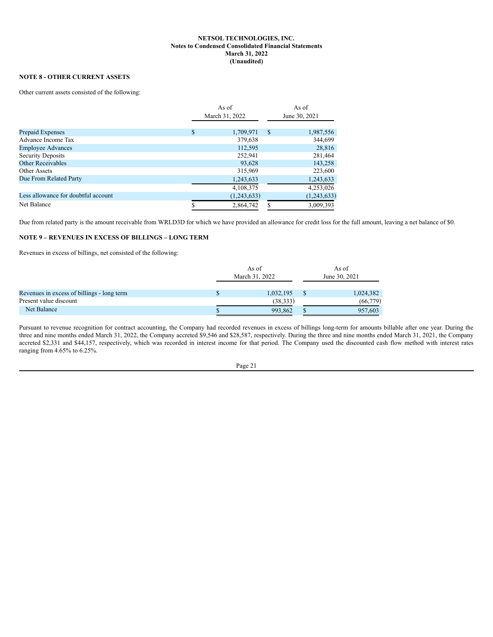# **NOTE 8 - OTHER CURRENT ASSETS**

Other current assets consisted of the following:

|                                        | As of<br>March 31, 2022 |   | As of<br>June 30, 2021 |
|----------------------------------------|-------------------------|---|------------------------|
|                                        | \$                      | S |                        |
| Prepaid Expenses<br>Advance Income Tax | 1,709,971<br>379,638    |   | 1,987,556<br>344,699   |
| <b>Employee Advances</b>               | 112,595                 |   | 28,816                 |
| Security Deposits                      | 252,941                 |   | 281,464                |
| <b>Other Receivables</b>               | 93,628                  |   | 143,258                |
| Other Assets                           | 315,969                 |   | 223,600                |
| Due From Related Party                 | 1,243,633               |   | 1,243,633              |
|                                        | 4,108,375               |   | 4,253,026              |
| Less allowance for doubtful account    | (1,243,633)             |   | (1, 243, 633)          |
| Net Balance                            | 2,864,742               |   | 3,009,393              |

Due from related party is the amount receivable from WRLD3D for which we have provided an allowance for credit loss for the full amount, leaving a net balance of \$0.

## **NOTE 9 – REVENUES IN EXCESS OF BILLINGS – LONG TERM**

Revenues in excess of billings, net consisted of the following:

|                                            | As of          |  | As of         |
|--------------------------------------------|----------------|--|---------------|
|                                            | March 31, 2022 |  | June 30, 2021 |
|                                            |                |  |               |
| Revenues in excess of billings - long term | 1,032,195      |  | 1,024,382     |
| Present value discount                     | (38, 333)      |  | (66, 779)     |
| Net Balance                                | 993,862        |  | 957,603       |

Pursuant to revenue recognition for contract accounting, the Company had recorded revenues in excess of billings long-term for amounts billable after one year. During the three and nine months ended March 31, 2022, the Company accreted \$9,546 and \$28,587, respectively. During the three and nine months ended March 31, 2021, the Company accreted \$2,331 and \$44,157, respectively, which was recorded in interest income for that period. The Company used the discounted cash flow method with interest rates ranging from 4.65% to 6.25%.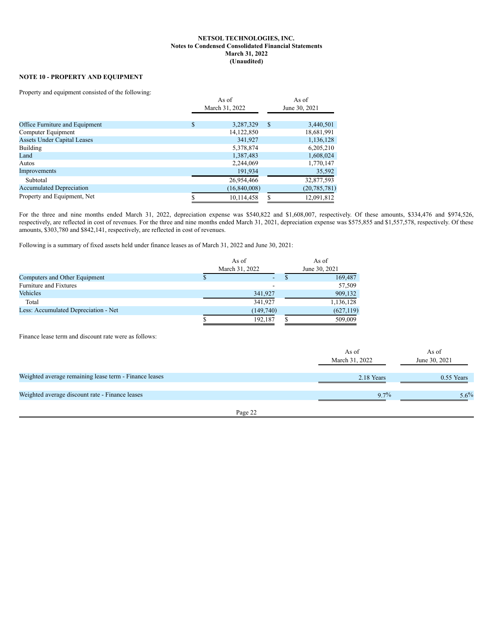# **NOTE 10 - PROPERTY AND EQUIPMENT**

Property and equipment consisted of the following:

|                                    | As of           |   | As of<br>June 30, 2021 |  |  |
|------------------------------------|-----------------|---|------------------------|--|--|
|                                    | March 31, 2022  |   |                        |  |  |
|                                    |                 |   |                        |  |  |
| Office Furniture and Equipment     | \$<br>3,287,329 | S | 3,440,501              |  |  |
| Computer Equipment                 | 14, 122, 850    |   | 18,681,991             |  |  |
| <b>Assets Under Capital Leases</b> | 341,927         |   | 1,136,128              |  |  |
| <b>Building</b>                    | 5,378,874       |   | 6,205,210              |  |  |
| Land                               | 1,387,483       |   | 1,608,024              |  |  |
| Autos                              | 2,244,069       |   | 1,770,147              |  |  |
| Improvements                       | 191,934         |   | 35,592                 |  |  |
| Subtotal                           | 26,954,466      |   | 32,877,593             |  |  |
| <b>Accumulated Depreciation</b>    | (16, 840, 008)  |   | (20, 785, 781)         |  |  |
| Property and Equipment, Net        | 10,114,458      |   | 12,091,812             |  |  |

For the three and nine months ended March 31, 2022, depreciation expense was \$540,822 and \$1,608,007, respectively. Of these amounts, \$334,476 and \$974,526, respectively, are reflected in cost of revenues. For the three and nine months ended March 31, 2021, depreciation expense was \$575,855 and \$1,557,578, respectively. Of these amounts, \$303,780 and \$842,141, respectively, are reflected in cost of revenues.

Following is a summary of fixed assets held under finance leases as of March 31, 2022 and June 30, 2021:

|                                      |   | As of          | As of         |
|--------------------------------------|---|----------------|---------------|
|                                      |   | March 31, 2022 | June 30, 2021 |
| Computers and Other Equipment        | D | ٠              | 169,487       |
| Furniture and Fixtures               |   |                | 57,509        |
| Vehicles                             |   | 341,927        | 909,132       |
| Total                                |   | 341,927        | 1,136,128     |
| Less: Accumulated Depreciation - Net |   | (149, 740)     | (627, 119)    |
|                                      |   | 192,187        | 509,009       |

Finance lease term and discount rate were as follows:

|                                                        | As of<br>March 31, 2022 | As of<br>June 30, 2021 |
|--------------------------------------------------------|-------------------------|------------------------|
| Weighted average remaining lease term - Finance leases | 2.18 Years              | 0.55 Years             |
| Weighted average discount rate - Finance leases        | $97\%$                  | $5.6\%$                |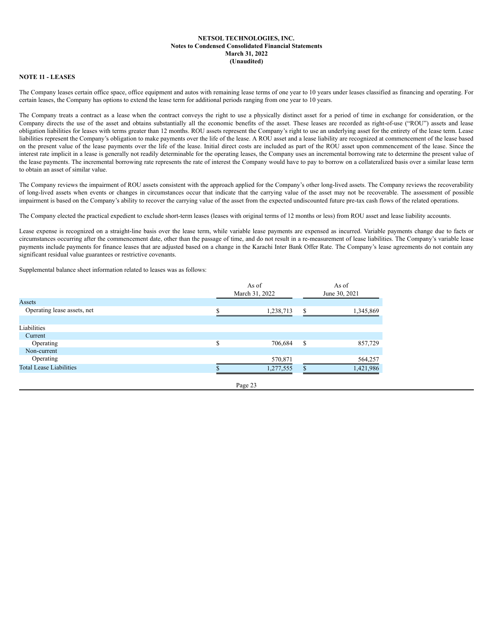# **NOTE 11 - LEASES**

The Company leases certain office space, office equipment and autos with remaining lease terms of one year to 10 years under leases classified as financing and operating. For certain leases, the Company has options to extend the lease term for additional periods ranging from one year to 10 years.

The Company treats a contract as a lease when the contract conveys the right to use a physically distinct asset for a period of time in exchange for consideration, or the Company directs the use of the asset and obtains substantially all the economic benefits of the asset. These leases are recorded as right-of-use ("ROU") assets and lease obligation liabilities for leases with terms greater than 12 months. ROU assets represent the Company's right to use an underlying asset for the entirety of the lease term. Lease liabilities represent the Company's obligation to make payments over the life of the lease. A ROU asset and a lease liability are recognized at commencement of the lease based on the present value of the lease payments over the life of the lease. Initial direct costs are included as part of the ROU asset upon commencement of the lease. Since the interest rate implicit in a lease is generally not readily determinable for the operating leases, the Company uses an incremental borrowing rate to determine the present value of the lease payments. The incremental borrowing rate represents the rate of interest the Company would have to pay to borrow on a collateralized basis over a similar lease term to obtain an asset of similar value.

The Company reviews the impairment of ROU assets consistent with the approach applied for the Company's other long-lived assets. The Company reviews the recoverability of long-lived assets when events or changes in circumstances occur that indicate that the carrying value of the asset may not be recoverable. The assessment of possible impairment is based on the Company's ability to recover the carrying value of the asset from the expected undiscounted future pre-tax cash flows of the related operations.

The Company elected the practical expedient to exclude short-term leases (leases with original terms of 12 months or less) from ROU asset and lease liability accounts.

Lease expense is recognized on a straight-line basis over the lease term, while variable lease payments are expensed as incurred. Variable payments change due to facts or circumstances occurring after the commencement date, other than the passage of time, and do not result in a re-measurement of lease liabilities. The Company's variable lease payments include payments for finance leases that are adjusted based on a change in the Karachi Inter Bank Offer Rate. The Company's lease agreements do not contain any significant residual value guarantees or restrictive covenants.

Supplemental balance sheet information related to leases was as follows:

|                                |   | As of<br>March 31, 2022 | As of<br>June 30, 2021 |           |  |
|--------------------------------|---|-------------------------|------------------------|-----------|--|
| Assets                         |   |                         |                        |           |  |
| Operating lease assets, net    |   | 1,238,713               | \$                     | 1,345,869 |  |
|                                |   |                         |                        |           |  |
| Liabilities                    |   |                         |                        |           |  |
| Current                        |   |                         |                        |           |  |
| Operating                      | S | 706,684                 | S                      | 857,729   |  |
| Non-current                    |   |                         |                        |           |  |
| Operating                      |   | 570,871                 |                        | 564,257   |  |
| <b>Total Lease Liabilities</b> |   | 1,277,555               | S                      | 1,421,986 |  |
|                                |   | Page 23                 |                        |           |  |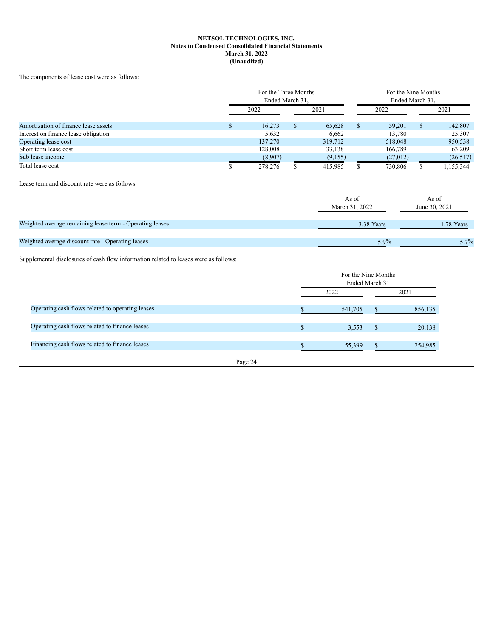The components of lease cost were as follows:

|                                      | For the Three Months<br>Ended March 31, |   |         |              | For the Nine Months<br>Ended March 31, |           |           |  |
|--------------------------------------|-----------------------------------------|---|---------|--------------|----------------------------------------|-----------|-----------|--|
|                                      | 2022                                    |   | 2021    |              | 2022                                   |           | 2021      |  |
| Amortization of finance lease assets | 16,273                                  | ъ | 65,628  | <sup>S</sup> | 59.201                                 | <b>JD</b> | 142,807   |  |
| Interest on finance lease obligation | 5,632                                   |   | 6,662   |              | 13.780                                 |           | 25,307    |  |
| Operating lease cost                 | 137,270                                 |   | 319,712 |              | 518,048                                |           | 950,538   |  |
| Short term lease cost                | 128,008                                 |   | 33,138  |              | 166,789                                |           | 63,209    |  |
| Sub lease income                     | (8,907)                                 |   | (9,155) |              | (27,012)                               |           | (26,517)  |  |
| Total lease cost                     | 278,276                                 |   | 415,985 |              | 730,806                                |           | 1,155,344 |  |

Lease term and discount rate were as follows:

|                                                          | As of<br>March 31, 2022 | As of<br>June 30, 2021 |
|----------------------------------------------------------|-------------------------|------------------------|
| Weighted average remaining lease term - Operating leases | 3.38 Years              | 1.78 Years             |
| Weighted average discount rate - Operating leases        | $5.9\%$                 | $5.7\%$                |

Supplemental disclosures of cash flow information related to leases were as follows:

|                                                  |         | For the Nine Months<br>Ended March 31 |         |
|--------------------------------------------------|---------|---------------------------------------|---------|
|                                                  |         | 2022                                  | 2021    |
| Operating cash flows related to operating leases |         | 541,705                               | 856,135 |
| Operating cash flows related to finance leases   |         | 3,553                                 | 20,138  |
| Financing cash flows related to finance leases   |         | 55,399                                | 254,985 |
|                                                  | Page 24 |                                       |         |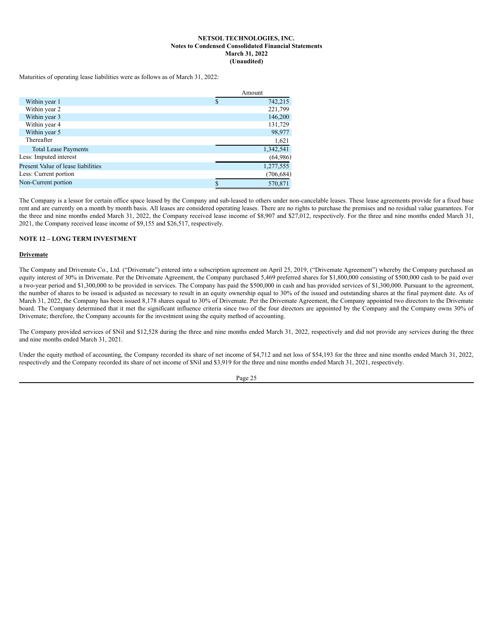Maturities of operating lease liabilities were as follows as of March 31, 2022:

|                                    | Amount |            |  |
|------------------------------------|--------|------------|--|
| Within year 1                      | S      | 742,215    |  |
| Within year 2                      |        | 221,799    |  |
| Within year 3                      |        | 146,200    |  |
| Within year 4                      |        | 131,729    |  |
| Within year 5                      |        | 98,977     |  |
| Thereafter                         |        | 1,621      |  |
| <b>Total Lease Payments</b>        |        | 1,342,541  |  |
| Less: Imputed interest             |        | (64,986)   |  |
| Present Value of lease liabilities |        | 1,277,555  |  |
| Less: Current portion              |        | (706, 684) |  |
| Non-Current portion                |        | 570,871    |  |

The Company is a lessor for certain office space leased by the Company and sub-leased to others under non-cancelable leases. These lease agreements provide for a fixed base rent and are currently on a month by month basis. All leases are considered operating leases. There are no rights to purchase the premises and no residual value guarantees. For the three and nine months ended March 31, 2022, the Company received lease income of \$8,907 and \$27,012, respectively. For the three and nine months ended March 31, 2021, the Company received lease income of \$9,155 and \$26,517, respectively.

#### **NOTE 12 – LONG TERM INVESTMENT**

#### **Drivemate**

The Company and Drivemate Co., Ltd. ("Drivemate") entered into a subscription agreement on April 25, 2019, ("Drivemate Agreement") whereby the Company purchased an equity interest of 30% in Drivemate. Per the Drivemate Agreement, the Company purchased 5,469 preferred shares for \$1,800,000 consisting of \$500,000 cash to be paid over a two-year period and \$1,300,000 to be provided in services. The Company has paid the \$500,000 in cash and has provided services of \$1,300,000. Pursuant to the agreement, the number of shares to be issued is adjusted as necessary to result in an equity ownership equal to 30% of the issued and outstanding shares at the final payment date. As of March 31, 2022, the Company has been issued 8,178 shares equal to 30% of Drivemate. Per the Drivemate Agreement, the Company appointed two directors to the Drivemate board. The Company determined that it met the significant influence criteria since two of the four directors are appointed by the Company and the Company owns 30% of Drivemate; therefore, the Company accounts for the investment using the equity method of accounting.

The Company provided services of \$Nil and \$12,528 during the three and nine months ended March 31, 2022, respectively and did not provide any services during the three and nine months ended March 31, 2021.

Under the equity method of accounting, the Company recorded its share of net income of \$4,712 and net loss of \$54,193 for the three and nine months ended March 31, 2022, respectively and the Company recorded its share of net income of \$Nil and \$3,919 for the three and nine months ended March 31, 2021, respectively.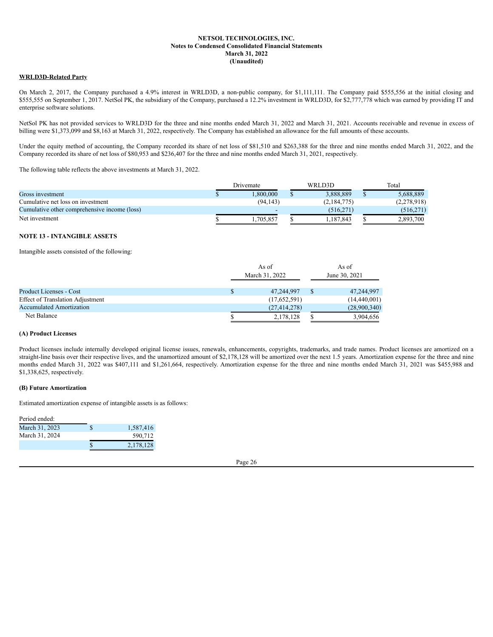#### **WRLD3D-Related Party**

On March 2, 2017, the Company purchased a 4.9% interest in WRLD3D, a non-public company, for \$1,111,111. The Company paid \$555,556 at the initial closing and \$555,555 on September 1, 2017. NetSol PK, the subsidiary of the Company, purchased a 12.2% investment in WRLD3D, for \$2,777,778 which was earned by providing IT and enterprise software solutions.

NetSol PK has not provided services to WRLD3D for the three and nine months ended March 31, 2022 and March 31, 2021. Accounts receivable and revenue in excess of billing were \$1,373,099 and \$8,163 at March 31, 2022, respectively. The Company has established an allowance for the full amounts of these accounts.

Under the equity method of accounting, the Company recorded its share of net loss of \$81,510 and \$263,388 for the three and nine months ended March 31, 2022, and the Company recorded its share of net loss of \$80,953 and \$236,407 for the three and nine months ended March 31, 2021, respectively.

The following table reflects the above investments at March 31, 2022.

|                                              | Drivemate |  | WRLD3D      |  | Total       |
|----------------------------------------------|-----------|--|-------------|--|-------------|
| Gross investment                             | .800.000  |  | 3.888.889   |  | 5,688,889   |
| Cumulative net loss on investment            | (94.143)  |  | (2,184,775) |  | (2,278,918) |
| Cumulative other comprehensive income (loss) |           |  | (516.271)   |  | (516, 271)  |
| Net investment                               | .705.857  |  | .187.843    |  | 2,893,700   |

# **NOTE 13 - INTANGIBLE ASSETS**

Intangible assets consisted of the following:

|                                                                            | As of<br>March 31, 2022        | As of<br>June 30, 2021         |
|----------------------------------------------------------------------------|--------------------------------|--------------------------------|
| Product Licenses - Cost                                                    | 47,244,997                     | 47,244,997                     |
| <b>Effect of Translation Adjustment</b><br><b>Accumulated Amortization</b> | (17,652,591)<br>(27, 414, 278) | (14, 440, 001)<br>(28,900,340) |
| Net Balance                                                                | 2,178,128                      | 3,904,656                      |

#### **(A) Product Licenses**

Product licenses include internally developed original license issues, renewals, enhancements, copyrights, trademarks, and trade names. Product licenses are amortized on a straight-line basis over their respective lives, and the unamortized amount of \$2,178,128 will be amortized over the next 1.5 years. Amortization expense for the three and nine months ended March 31, 2022 was \$407,111 and \$1,261,664, respectively. Amortization expense for the three and nine months ended March 31, 2021 was \$455,988 and \$1,338,625, respectively.

## **(B) Future Amortization**

Estimated amortization expense of intangible assets is as follows:

| Period ended:  |           |
|----------------|-----------|
| March 31, 2023 | 1,587,416 |
| March 31, 2024 | 590.712   |
|                | 2,178,128 |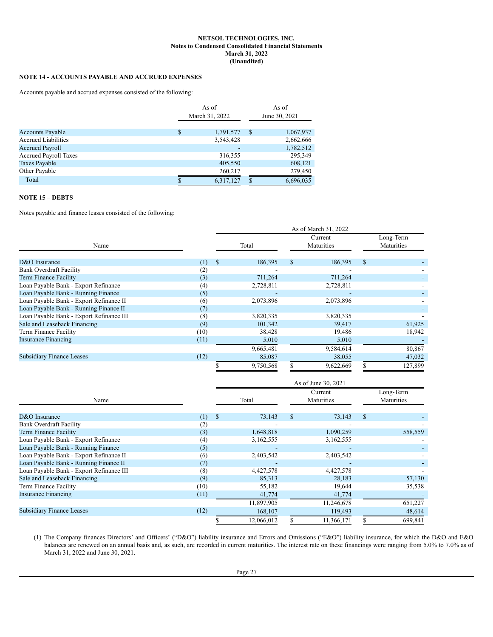# **NOTE 14 - ACCOUNTS PAYABLE AND ACCRUED EXPENSES**

Accounts payable and accrued expenses consisted of the following:

|                              |     | As of<br>March 31, 2022 |   | As of<br>June 30, 2021 |  |
|------------------------------|-----|-------------------------|---|------------------------|--|
| <b>Accounts Payable</b>      | \$. | 1,791,577               | S | 1,067,937              |  |
| <b>Accrued Liabilities</b>   |     | 3,543,428               |   | 2,662,666              |  |
| <b>Accrued Payroll</b>       |     |                         |   | 1,782,512              |  |
| <b>Accrued Payroll Taxes</b> |     | 316,355                 |   | 295,349                |  |
| <b>Taxes Payable</b>         |     | 405,550                 |   | 608,121                |  |
| Other Payable                |     | 260,217                 |   | 279,450                |  |
| Total                        | S.  | 6,317,127               |   | 6,696,035              |  |

## **NOTE 15 – DEBTS**

Notes payable and finance leases consisted of the following:

|                                          |      | As of March 31, 2022 |           |    |                       |    |                         |
|------------------------------------------|------|----------------------|-----------|----|-----------------------|----|-------------------------|
| Name                                     |      |                      | Total     |    | Current<br>Maturities |    | Long-Term<br>Maturities |
| D&O Insurance                            | (1)  | \$                   | 186,395   | \$ | 186,395               | \$ |                         |
| Bank Overdraft Facility                  | (2)  |                      |           |    |                       |    |                         |
| <b>Term Finance Facility</b>             | (3)  |                      | 711,264   |    | 711,264               |    |                         |
| Loan Payable Bank - Export Refinance     | (4)  |                      | 2,728,811 |    | 2,728,811             |    |                         |
| Loan Payable Bank - Running Finance      | (5)  |                      |           |    |                       |    |                         |
| Loan Payable Bank - Export Refinance II  | (6)  |                      | 2,073,896 |    | 2,073,896             |    |                         |
| Loan Payable Bank - Running Finance II   | (7)  |                      |           |    |                       |    |                         |
| Loan Payable Bank - Export Refinance III | (8)  |                      | 3,820,335 |    | 3,820,335             |    |                         |
| Sale and Leaseback Financing             | (9)  |                      | 101,342   |    | 39,417                |    | 61,925                  |
| Term Finance Facility                    | (10) |                      | 38,428    |    | 19,486                |    | 18,942                  |
| <b>Insurance Financing</b>               | (11) |                      | 5,010     |    | 5,010                 |    |                         |
|                                          |      |                      | 9,665,481 |    | 9,584,614             |    | 80,867                  |
| <b>Subsidiary Finance Leases</b>         | (12) |                      | 85,087    |    | 38,055                |    | 47,032                  |
|                                          |      |                      | 9,750,568 |    | 9,622,669             |    | 127,899                 |

| Name                                     |      | Total        | Current<br>Maturities | Long-Term<br>Maturities |
|------------------------------------------|------|--------------|-----------------------|-------------------------|
| D&O Insurance                            | (1)  | \$<br>73,143 | \$<br>73,143          | \$                      |
| <b>Bank Overdraft Facility</b>           | (2)  |              |                       |                         |
| Term Finance Facility                    | (3)  | 1,648,818    | 1,090,259             | 558,559                 |
| Loan Payable Bank - Export Refinance     | (4)  | 3,162,555    | 3,162,555             |                         |
| Loan Payable Bank - Running Finance      | (5)  |              |                       |                         |
| Loan Payable Bank - Export Refinance II  | (6)  | 2,403,542    | 2,403,542             |                         |
| Loan Payable Bank - Running Finance II   | (7)  |              |                       |                         |
| Loan Payable Bank - Export Refinance III | (8)  | 4,427,578    | 4,427,578             |                         |
| Sale and Leaseback Financing             | (9)  | 85,313       | 28,183                | 57,130                  |
| Term Finance Facility                    | (10) | 55,182       | 19,644                | 35,538                  |
| <b>Insurance Financing</b>               | (11) | 41,774       | 41,774                |                         |
|                                          |      | 11,897,905   | 11,246,678            | 651,227                 |
| <b>Subsidiary Finance Leases</b>         | (12) | 168,107      | 119,493               | 48,614                  |
|                                          |      | 12,066,012   | 11,366,171            | 699,841                 |

(1) The Company finances Directors' and Officers' ("D&O") liability insurance and Errors and Omissions ("E&O") liability insurance, for which the D&O and E&O balances are renewed on an annual basis and, as such, are recorded in current maturities. The interest rate on these financings were ranging from 5.0% to 7.0% as of March 31, 2022 and June 30, 2021.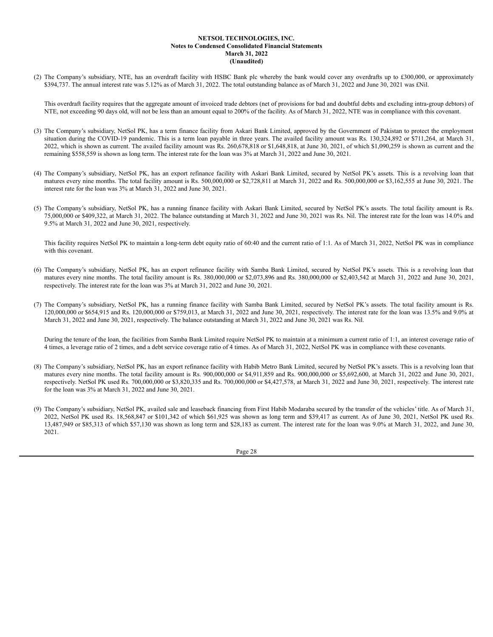(2) The Company's subsidiary, NTE, has an overdraft facility with HSBC Bank plc whereby the bank would cover any overdrafts up to £300,000, or approximately \$394,737. The annual interest rate was 5.12% as of March 31, 2022. The total outstanding balance as of March 31, 2022 and June 30, 2021 was £Nil.

This overdraft facility requires that the aggregate amount of invoiced trade debtors (net of provisions for bad and doubtful debts and excluding intra-group debtors) of NTE, not exceeding 90 days old, will not be less than an amount equal to 200% of the facility. As of March 31, 2022, NTE was in compliance with this covenant.

- (3) The Company's subsidiary, NetSol PK, has a term finance facility from Askari Bank Limited, approved by the Government of Pakistan to protect the employment situation during the COVID-19 pandemic. This is a term loan payable in three years. The availed facility amount was Rs. 130,324,892 or \$711,264, at March 31, 2022, which is shown as current. The availed facility amount was Rs. 260,678,818 or \$1,648,818, at June 30, 2021, of which \$1,090,259 is shown as current and the remaining \$558,559 is shown as long term. The interest rate for the loan was 3% at March 31, 2022 and June 30, 2021.
- (4) The Company's subsidiary, NetSol PK, has an export refinance facility with Askari Bank Limited, secured by NetSol PK's assets. This is a revolving loan that matures every nine months. The total facility amount is Rs. 500,000,000 or \$2,728,811 at March 31, 2022 and Rs. 500,000,000 or \$3,162,555 at June 30, 2021. The interest rate for the loan was 3% at March 31, 2022 and June 30, 2021.
- (5) The Company's subsidiary, NetSol PK, has a running finance facility with Askari Bank Limited, secured by NetSol PK's assets. The total facility amount is Rs. 75,000,000 or \$409,322, at March 31, 2022. The balance outstanding at March 31, 2022 and June 30, 2021 was Rs. Nil. The interest rate for the loan was 14.0% and 9.5% at March 31, 2022 and June 30, 2021, respectively.

This facility requires NetSol PK to maintain a long-term debt equity ratio of 60:40 and the current ratio of 1:1. As of March 31, 2022, NetSol PK was in compliance with this covenant.

- (6) The Company's subsidiary, NetSol PK, has an export refinance facility with Samba Bank Limited, secured by NetSol PK's assets. This is a revolving loan that matures every nine months. The total facility amount is Rs. 380,000,000 or \$2,073,896 and Rs. 380,000,000 or \$2,403,542 at March 31, 2022 and June 30, 2021, respectively. The interest rate for the loan was 3% at March 31, 2022 and June 30, 2021.
- (7) The Company's subsidiary, NetSol PK, has a running finance facility with Samba Bank Limited, secured by NetSol PK's assets. The total facility amount is Rs. 120,000,000 or \$654,915 and Rs. 120,000,000 or \$759,013, at March 31, 2022 and June 30, 2021, respectively. The interest rate for the loan was 13.5% and 9.0% at March 31, 2022 and June 30, 2021, respectively. The balance outstanding at March 31, 2022 and June 30, 2021 was Rs. Nil.

During the tenure of the loan, the facilities from Samba Bank Limited require NetSol PK to maintain at a minimum a current ratio of 1:1, an interest coverage ratio of 4 times, a leverage ratio of 2 times, and a debt service coverage ratio of 4 times. As of March 31, 2022, NetSol PK was in compliance with these covenants.

- (8) The Company's subsidiary, NetSol PK, has an export refinance facility with Habib Metro Bank Limited, secured by NetSol PK's assets. This is a revolving loan that matures every nine months. The total facility amount is Rs. 900,000,000 or \$4,911,859 and Rs. 900,000,000 or \$5,692,600, at March 31, 2022 and June 30, 2021, respectively. NetSol PK used Rs. 700,000,000 or \$3,820,335 and Rs. 700,000,000 or \$4,427,578, at March 31, 2022 and June 30, 2021, respectively. The interest rate for the loan was 3% at March 31, 2022 and June 30, 2021.
- (9) The Company's subsidiary, NetSol PK, availed sale and leaseback financing from First Habib Modaraba secured by the transfer of the vehicles' title. As of March 31, 2022, NetSol PK used Rs. 18,568,847 or \$101,342 of which \$61,925 was shown as long term and \$39,417 as current. As of June 30, 2021, NetSol PK used Rs. 13,487,949 or \$85,313 of which \$57,130 was shown as long term and \$28,183 as current. The interest rate for the loan was 9.0% at March 31, 2022, and June 30, 2021.

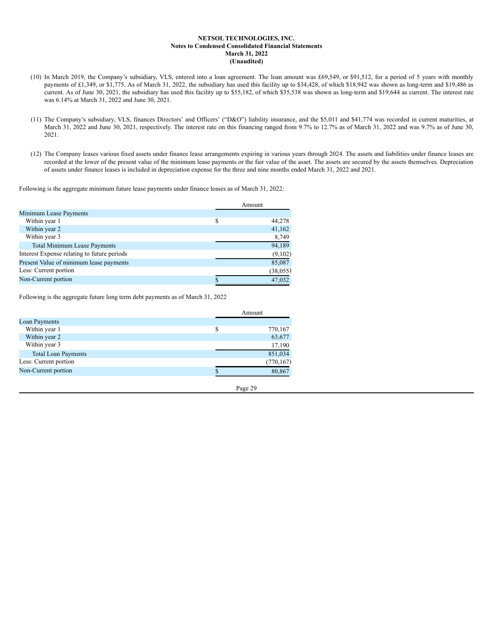- (10) In March 2019, the Company's subsidiary, VLS, entered into a loan agreement. The loan amount was £69,549, or \$91,512, for a period of 5 years with monthly payments of £1,349, or \$1,775. As of March 31, 2022, the subsidiary has used this facility up to \$34,428, of which \$18,942 was shown as long-term and \$19,486 as current. As of June 30, 2021, the subsidiary has used this facility up to \$55,182, of which \$35,538 was shown as long-term and \$19,644 as current. The interest rate was 6.14% at March 31, 2022 and June 30, 2021.
- (11) The Company's subsidiary, VLS, finances Directors' and Officers' ("D&O") liability insurance, and the \$5,011 and \$41,774 was recorded in current maturities, at March 31, 2022 and June 30, 2021, respectively. The interest rate on this financing ranged from 9.7% to 12.7% as of March 31, 2022 and was 9.7% as of June 30, 2021.
- (12) The Company leases various fixed assets under finance lease arrangements expiring in various years through 2024. The assets and liabilities under finance leases are recorded at the lower of the present value of the minimum lease payments or the fair value of the asset. The assets are secured by the assets themselves. Depreciation of assets under finance leases is included in depreciation expense for the three and nine months ended March 31, 2022 and 2021.

Following is the aggregate minimum future lease payments under finance leases as of March 31, 2022:

|                                             | Amount |           |
|---------------------------------------------|--------|-----------|
| Minimum Lease Payments                      |        |           |
| Within year 1                               | S      | 44,278    |
| Within year 2                               |        | 41,162    |
| Within year 3                               |        | 8,749     |
| Total Minimum Lease Payments                |        | 94,189    |
| Interest Expense relating to future periods |        | (9,102)   |
| Present Value of minimum lease payments     |        | 85,087    |
| Less: Current portion                       |        | (38, 055) |
| Non-Current portion                         | S      | 47.032    |

Following is the aggregate future long term debt payments as of March 31, 2022

|                            |   | Amount |            |
|----------------------------|---|--------|------------|
| Loan Payments              |   |        |            |
| Within year 1              | S |        | 770,167    |
| Within year 2              |   |        | 63,677     |
| Within year 3              |   |        | 17,190     |
| <b>Total Loan Payments</b> |   |        | 851,034    |
| Less: Current portion      |   |        | (770, 167) |
| Non-Current portion        |   |        | 80,867     |
|                            |   |        |            |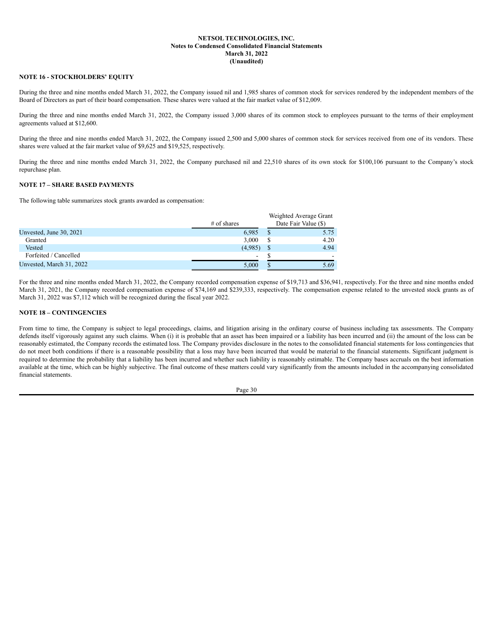# **NOTE 16 - STOCKHOLDERS' EQUITY**

During the three and nine months ended March 31, 2022, the Company issued nil and 1,985 shares of common stock for services rendered by the independent members of the Board of Directors as part of their board compensation. These shares were valued at the fair market value of \$12,009.

During the three and nine months ended March 31, 2022, the Company issued 3,000 shares of its common stock to employees pursuant to the terms of their employment agreements valued at \$12,600.

During the three and nine months ended March 31, 2022, the Company issued 2,500 and 5,000 shares of common stock for services received from one of its vendors. These shares were valued at the fair market value of \$9,625 and \$19,525, respectively.

During the three and nine months ended March 31, 2022, the Company purchased nil and 22,510 shares of its own stock for \$100,106 pursuant to the Company's stock repurchase plan.

## **NOTE 17 – SHARE BASED PAYMENTS**

The following table summarizes stock grants awarded as compensation:

|                          |               |   | Weighted Average Grant |
|--------------------------|---------------|---|------------------------|
|                          | $#$ of shares |   | Date Fair Value (\$)   |
| Unvested, June 30, 2021  | 6,985         | S | 5.75                   |
| Granted                  | 3.000         |   | 4.20                   |
| Vested                   | (4,985)       |   | 4.94                   |
| Forfeited / Cancelled    | ۰             |   |                        |
| Unvested, March 31, 2022 | 5.000         | S | 5.69                   |

For the three and nine months ended March 31, 2022, the Company recorded compensation expense of \$19,713 and \$36,941, respectively. For the three and nine months ended March 31, 2021, the Company recorded compensation expense of \$74,169 and \$239,333, respectively. The compensation expense related to the unvested stock grants as of March 31, 2022 was \$7,112 which will be recognized during the fiscal year 2022.

#### **NOTE 18 – CONTINGENCIES**

From time to time, the Company is subject to legal proceedings, claims, and litigation arising in the ordinary course of business including tax assessments. The Company defends itself vigorously against any such claims. When (i) it is probable that an asset has been impaired or a liability has been incurred and (ii) the amount of the loss can be reasonably estimated, the Company records the estimated loss. The Company provides disclosure in the notes to the consolidated financial statements for loss contingencies that do not meet both conditions if there is a reasonable possibility that a loss may have been incurred that would be material to the financial statements. Significant judgment is required to determine the probability that a liability has been incurred and whether such liability is reasonably estimable. The Company bases accruals on the best information available at the time, which can be highly subjective. The final outcome of these matters could vary significantly from the amounts included in the accompanying consolidated financial statements.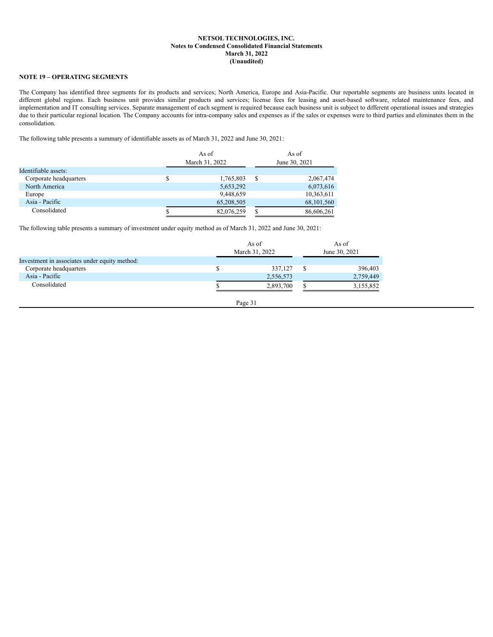# **NOTE 19 – OPERATING SEGMENTS**

The Company has identified three segments for its products and services; North America, Europe and Asia-Pacific. Our reportable segments are business units located in different global regions. Each business unit provides similar products and services; license fees for leasing and asset-based software, related maintenance fees, and implementation and IT consulting services. Separate management of each segment is required because each business unit is subject to different operational issues and strategies due to their particular regional location. The Company accounts for intra-company sales and expenses as if the sales or expenses were to third parties and eliminates them in the consolidation.

The following table presents a summary of identifiable assets as of March 31, 2022 and June 30, 2021:

|                        | As of<br>March 31, 2022 | As of<br>June 30, 2021 |            |  |
|------------------------|-------------------------|------------------------|------------|--|
| Identifiable assets:   |                         |                        |            |  |
| Corporate headquarters | 1,765,803               | \$                     | 2,067,474  |  |
| North America          | 5,653,292               |                        | 6,073,616  |  |
| Europe                 | 9,448,659               |                        | 10,363,611 |  |
| Asia - Pacific         | 65,208,505              |                        | 68,101,560 |  |
| Consolidated           | 82,076,259              | S                      | 86,606,261 |  |

The following table presents a summary of investment under equity method as of March 31, 2022 and June 30, 2021:

|                                               | As of<br>March 31, 2022 |  | As of<br>June 30, 2021 |
|-----------------------------------------------|-------------------------|--|------------------------|
| Investment in associates under equity method: |                         |  |                        |
| Corporate headquarters                        | 337,127                 |  | 396,403                |
| Asia - Pacific                                | 2,556,573               |  | 2,759,449              |
| Consolidated                                  | 2,893,700               |  | 3,155,852              |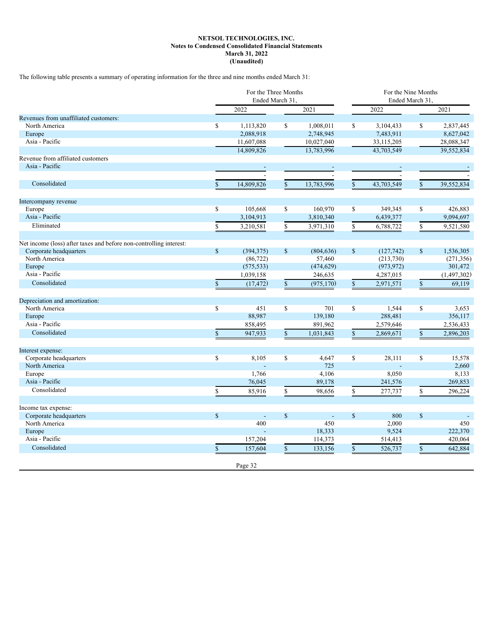The following table presents a summary of operating information for the three and nine months ended March 31:

|                                                                    |                    |            | For the Three Months<br>For the Nine Months<br>Ended March 31.<br>Ended March 31 |            |              |            |               |             |
|--------------------------------------------------------------------|--------------------|------------|----------------------------------------------------------------------------------|------------|--------------|------------|---------------|-------------|
|                                                                    |                    | 2022       |                                                                                  | 2021       |              | 2022       |               | 2021        |
| Revenues from unaffiliated customers:                              |                    |            |                                                                                  |            |              |            |               |             |
| North America                                                      | $\mathbf S$        | 1,113,820  | \$                                                                               | 1,008,011  | \$           | 3,104,433  | \$            | 2,837,445   |
| Europe                                                             |                    | 2,088,918  |                                                                                  | 2,748,945  |              | 7,483,911  |               | 8,627,042   |
| Asia - Pacific                                                     |                    | 11,607,088 |                                                                                  | 10,027,040 |              | 33,115,205 |               | 28,088,347  |
|                                                                    |                    | 14,809,826 |                                                                                  | 13,783,996 |              | 43,703,549 |               | 39,552,834  |
| Revenue from affiliated customers                                  |                    |            |                                                                                  |            |              |            |               |             |
| Asia - Pacific                                                     |                    |            |                                                                                  |            |              |            |               |             |
|                                                                    |                    |            |                                                                                  |            |              |            |               |             |
| Consolidated                                                       | $\mathbf S$        | 14,809,826 | $\mathbb{S}$                                                                     | 13,783,996 | $\mathbf S$  | 43,703,549 | $\mathbb{S}$  | 39,552,834  |
| Intercompany revenue                                               |                    |            |                                                                                  |            |              |            |               |             |
| Europe                                                             | \$                 | 105,668    | \$                                                                               | 160,970    | \$           | 349,345    | \$            | 426,883     |
| Asia - Pacific                                                     |                    | 3,104,913  |                                                                                  | 3,810,340  |              | 6,439,377  |               | 9,094,697   |
| Eliminated                                                         | S                  | 3,210,581  | \$                                                                               | 3,971,310  | \$           | 6,788,722  | $\mathbb{S}$  | 9,521,580   |
|                                                                    |                    |            |                                                                                  |            |              |            |               |             |
| Net income (loss) after taxes and before non-controlling interest: |                    |            |                                                                                  |            |              |            |               |             |
| Corporate headquarters<br>North America                            | \$                 | (394, 375) | \$                                                                               | (804, 636) | \$           | (127,742)  | \$            | 1,536,305   |
|                                                                    |                    | (86, 722)  |                                                                                  | 57,460     |              | (213,730)  |               | (271, 356)  |
| Europe<br>Asia - Pacific                                           |                    | (575, 533) |                                                                                  | (474, 629) |              | (973, 972) |               | 301,472     |
|                                                                    |                    | 1,039,158  |                                                                                  | 246,635    |              | 4,287,015  |               | (1,497,302) |
| Consolidated                                                       | $\mathbb{S}$       | (17, 472)  | $\mathbb{S}$                                                                     | (975, 170) | $\mathbb{S}$ | 2,971,571  | $\mathsf{\$}$ | 69,119      |
| Depreciation and amortization:                                     |                    |            |                                                                                  |            |              |            |               |             |
| North America                                                      | \$                 | 451        | \$                                                                               | 701        | \$           | 1,544      | $\mathbb{S}$  | 3,653       |
| Europe                                                             |                    | 88,987     |                                                                                  | 139,180    |              | 288,481    |               | 356,117     |
| Asia - Pacific                                                     |                    | 858,495    |                                                                                  | 891,962    |              | 2,579,646  |               | 2,536,433   |
| Consolidated                                                       | $\mathbb{S}$       | 947,933    | $\mathbb{S}$                                                                     | 1,031,843  | \$           | 2,869,671  | $\mathbb{S}$  | 2,896,203   |
|                                                                    |                    |            |                                                                                  |            |              |            |               |             |
| Interest expense:                                                  |                    |            |                                                                                  |            |              |            |               |             |
| Corporate headquarters                                             | \$                 | 8,105      | \$                                                                               | 4,647      | \$           | 28,111     | $\mathbb{S}$  | 15,578      |
| North America                                                      |                    |            |                                                                                  | 725        |              |            |               | 2,660       |
| Europe                                                             |                    | 1,766      |                                                                                  | 4,106      |              | 8,050      |               | 8,133       |
| Asia - Pacific                                                     |                    | 76,045     |                                                                                  | 89,178     |              | 241,576    |               | 269,853     |
| Consolidated                                                       | \$                 | 85,916     | \$                                                                               | 98,656     | \$           | 277,737    | $\mathbb{S}$  | 296,224     |
| Income tax expense:                                                |                    |            |                                                                                  |            |              |            |               |             |
| Corporate headquarters                                             | $\mathbf S$        | L,         | \$                                                                               | $\sim$     | $\mathbf S$  | 800        | $\mathbb S$   |             |
| North America                                                      |                    | 400        |                                                                                  | 450        |              | 2,000      |               | 450         |
| Europe                                                             |                    |            |                                                                                  | 18,333     |              | 9,524      |               | 222,370     |
| Asia - Pacific                                                     |                    | 157,204    |                                                                                  | 114,373    |              | 514,413    |               | 420,064     |
| Consolidated                                                       | $\mathbf{\hat{s}}$ | 157,604    | \$                                                                               | 133,156    | $\mathbf S$  | 526,737    | $\mathbb{S}$  | 642,884     |
|                                                                    |                    |            |                                                                                  |            |              |            |               |             |
|                                                                    |                    | Page 32    |                                                                                  |            |              |            |               |             |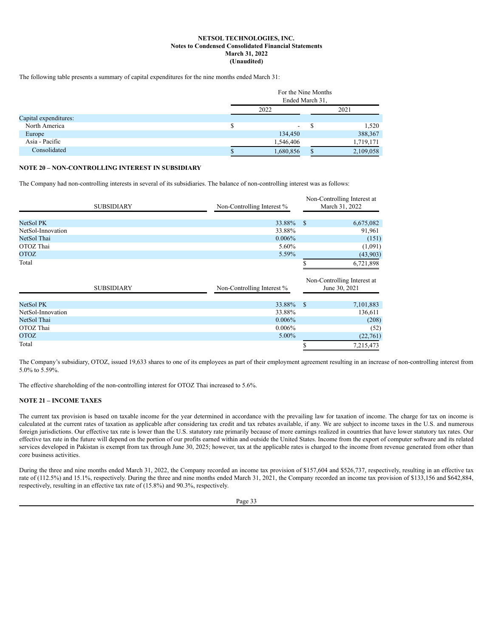The following table presents a summary of capital expenditures for the nine months ended March 31:

|                       |      | For the Nine Months<br>Ended March 31, |  |           |  |  |  |  |
|-----------------------|------|----------------------------------------|--|-----------|--|--|--|--|
|                       | 2022 |                                        |  | 2021      |  |  |  |  |
| Capital expenditures: |      |                                        |  |           |  |  |  |  |
| North America         | ъ.   | $\sim$                                 |  | 1,520     |  |  |  |  |
| Europe                |      | 134,450                                |  | 388,367   |  |  |  |  |
| Asia - Pacific        |      | 1,546,406                              |  | 1,719,171 |  |  |  |  |
| Consolidated          |      | 1,680,856                              |  | 2,109,058 |  |  |  |  |

## **NOTE 20 – NON-CONTROLLING INTEREST IN SUBSIDIARY**

The Company had non-controlling interests in several of its subsidiaries. The balance of non-controlling interest was as follows:

|                   | <b>SUBSIDIARY</b> | Non-Controlling Interest % |              | Non-Controlling Interest at<br>March 31, 2022 |
|-------------------|-------------------|----------------------------|--------------|-----------------------------------------------|
| NetSol PK         |                   | 33.88%                     | <sup>S</sup> | 6,675,082                                     |
| NetSol-Innovation |                   | 33.88%                     |              | 91,961                                        |
| NetSol Thai       |                   | 0.006%                     |              | (151)                                         |
| OTOZ Thai         |                   | 5.60%                      |              | (1,091)                                       |
| <b>OTOZ</b>       |                   | 5.59%                      |              | (43,903)                                      |
| Total             |                   |                            |              | 6,721,898                                     |
|                   | <b>SUBSIDIARY</b> | Non-Controlling Interest % |              | Non-Controlling Interest at<br>June 30, 2021  |
| NetSol PK         |                   | 33.88%                     | -S           | 7,101,883                                     |
| NetSol-Innovation |                   | 33.88%                     |              | 136,611                                       |
| NetSol Thai       |                   | 0.006%                     |              | (208)                                         |
| OTOZ Thai         |                   | 0.006%                     |              | (52)                                          |
| <b>OTOZ</b>       |                   | $5.00\%$                   |              | (22,761)                                      |
| Total             |                   |                            |              | 7,215,473                                     |

The Company's subsidiary, OTOZ, issued 19,633 shares to one of its employees as part of their employment agreement resulting in an increase of non-controlling interest from 5.0% to 5.59%.

The effective shareholding of the non-controlling interest for OTOZ Thai increased to 5.6%.

## **NOTE 21 – INCOME TAXES**

The current tax provision is based on taxable income for the year determined in accordance with the prevailing law for taxation of income. The charge for tax on income is calculated at the current rates of taxation as applicable after considering tax credit and tax rebates available, if any. We are subject to income taxes in the U.S. and numerous foreign jurisdictions. Our effective tax rate is lower than the U.S. statutory rate primarily because of more earnings realized in countries that have lower statutory tax rates. Our effective tax rate in the future will depend on the portion of our profits earned within and outside the United States. Income from the export of computer software and its related services developed in Pakistan is exempt from tax through June 30, 2025; however, tax at the applicable rates is charged to the income from revenue generated from other than core business activities.

During the three and nine months ended March 31, 2022, the Company recorded an income tax provision of \$157,604 and \$526,737, respectively, resulting in an effective tax rate of (112.5%) and 15.1%, respectively. During the three and nine months ended March 31, 2021, the Company recorded an income tax provision of \$133,156 and \$642,884, respectively, resulting in an effective tax rate of (15.8%) and 90.3%, respectively.

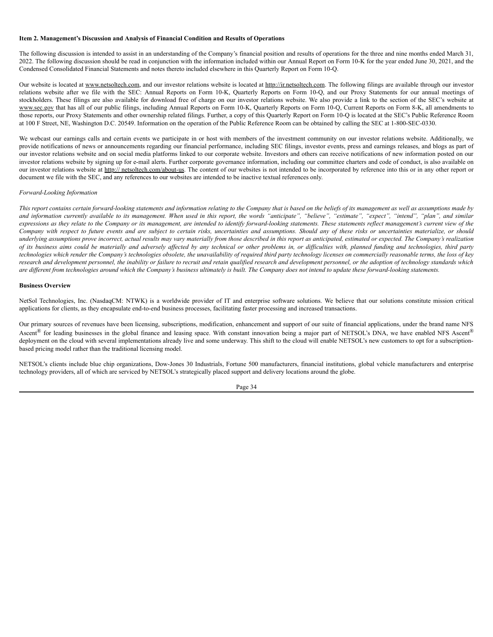#### <span id="page-33-0"></span>**Item 2. Management's Discussion and Analysis of Financial Condition and Results of Operations**

The following discussion is intended to assist in an understanding of the Company's financial position and results of operations for the three and nine months ended March 31, 2022. The following discussion should be read in conjunction with the information included within our Annual Report on Form 10-K for the year ended June 30, 2021, and the Condensed Consolidated Financial Statements and notes thereto included elsewhere in this Quarterly Report on Form 10-Q.

Our website is located at www.netsoltech.com, and our investor relations website is located at http://ir.netsoltech.com. The following filings are available through our investor relations website after we file with the SEC: Annual Reports on Form 10-K, Quarterly Reports on Form 10-Q, and our Proxy Statements for our annual meetings of stockholders. These filings are also available for download free of charge on our investor relations website. We also provide a link to the section of the SEC's website at www.sec.gov that has all of our public filings, including Annual Reports on Form 10-K, Quarterly Reports on Form 10-Q, Current Reports on Form 8-K, all amendments to those reports, our Proxy Statements and other ownership related filings. Further, a copy of this Quarterly Report on Form 10-Q is located at the SEC's Public Reference Room at 100 F Street, NE, Washington D.C. 20549. Information on the operation of the Public Reference Room can be obtained by calling the SEC at 1-800-SEC-0330.

We webcast our earnings calls and certain events we participate in or host with members of the investment community on our investor relations website. Additionally, we provide notifications of news or announcements regarding our financial performance, including SEC filings, investor events, press and earnings releases, and blogs as part of our investor relations website and on social media platforms linked to our corporate website. Investors and others can receive notifications of new information posted on our investor relations website by signing up for e-mail alerts. Further corporate governance information, including our committee charters and code of conduct, is also available on our investor relations website at http:// netsoltech.com/about-us. The content of our websites is not intended to be incorporated by reference into this or in any other report or document we file with the SEC, and any references to our websites are intended to be inactive textual references only.

## *Forward-Looking Information*

This report contains certain forward-looking statements and information relating to the Company that is based on the beliefs of its management as well as assumptions made by and information currently available to its management. When used in this report, the words "anticipate", "believe", "estimate", "expect", "intend", "plan", and similar expressions as they relate to the Company or its management, are intended to identify forward-looking statements. These statements reflect management's current view of the Company with respect to future events and are subject to certain risks, uncertainties and assumptions. Should any of these risks or uncertainties materialize, or should underlying assumptions prove incorrect, actual results may vary materially from those described in this report as anticipated, estimated or expected. The Company's realization of its business aims could be materially and adversely affected by any technical or other problems in, or difficulties with, planned funding and technologies, third party technologies which render the Company's technologies obsolete, the unavailability of required third party technology licenses on commercially reasonable terms, the loss of key research and development personnel, the inability or failure to recruit and retain qualified research and development personnel, or the adoption of technology standards which are different from technologies around which the Company's business ultimately is built. The Company does not intend to update these forward-looking statements.

## **Business Overview**

NetSol Technologies, Inc. (NasdaqCM: NTWK) is a worldwide provider of IT and enterprise software solutions. We believe that our solutions constitute mission critical applications for clients, as they encapsulate end-to-end business processes, facilitating faster processing and increased transactions.

Our primary sources of revenues have been licensing, subscriptions, modification, enhancement and support of our suite of financial applications, under the brand name NFS Ascent<sup>®</sup> for leading businesses in the global finance and leasing space. With constant innovation being a major part of NETSOL's DNA, we have enabled NFS Ascent<sup>®</sup> deployment on the cloud with several implementations already live and some underway. This shift to the cloud will enable NETSOL's new customers to opt for a subscriptionbased pricing model rather than the traditional licensing model.

NETSOL's clients include blue chip organizations, Dow-Jones 30 Industrials, Fortune 500 manufacturers, financial institutions, global vehicle manufacturers and enterprise technology providers, all of which are serviced by NETSOL's strategically placed support and delivery locations around the globe.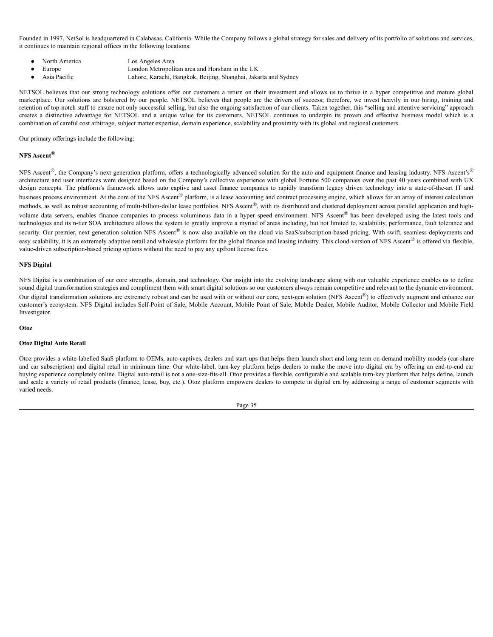Founded in 1997, NetSol is headquartered in Calabasas, California. While the Company follows a global strategy for sales and delivery of its portfolio of solutions and services, it continues to maintain regional offices in the following locations:

- North America Los Angeles Area
	- Europe London Metropolitan area and Horsham in the UK
- Asia Pacific Lahore, Karachi, Bangkok, Beijing, Shanghai, Jakarta and Sydney

NETSOL believes that our strong technology solutions offer our customers a return on their investment and allows us to thrive in a hyper competitive and mature global marketplace. Our solutions are bolstered by our people. NETSOL believes that people are the drivers of success; therefore, we invest heavily in our hiring, training and retention of top-notch staff to ensure not only successful selling, but also the ongoing satisfaction of our clients. Taken together, this "selling and attentive servicing" approach creates a distinctive advantage for NETSOL and a unique value for its customers. NETSOL continues to underpin its proven and effective business model which is a combination of careful cost arbitrage, subject matter expertise, domain experience, scalability and proximity with its global and regional customers.

Our primary offerings include the following:

### **NFS Ascent®**

NFS Ascent<sup>®</sup>, the Company's next generation platform, offers a technologically advanced solution for the auto and equipment finance and leasing industry. NFS Ascent's<sup>®</sup> architecture and user interfaces were designed based on the Company's collective experience with global Fortune 500 companies over the past 40 years combined with UX design concepts. The platform's framework allows auto captive and asset finance companies to rapidly transform legacy driven technology into a state-of-the-art IT and business process environment. At the core of the NFS Ascent® platform, is a lease accounting and contract processing engine, which allows for an array of interest calculation methods, as well as robust accounting of multi-billion-dollar lease portfolios. NFS Ascent<sup>®</sup>, with its distributed and clustered deployment across parallel application and highvolume data servers, enables finance companies to process voluminous data in a hyper speed environment. NFS Ascent® has been developed using the latest tools and technologies and its n-tier SOA architecture allows the system to greatly improve a myriad of areas including, but not limited to, scalability, performance, fault tolerance and security. Our premier, next generation solution NFS Ascent® is now also available on the cloud via SaaS/subscription-based pricing. With swift, seamless deployments and easy scalability, it is an extremely adaptive retail and wholesale platform for the global finance and leasing industry. This cloud-version of NFS Ascent<sup>®</sup> is offered via flexible, value-driven subscription-based pricing options without the need to pay any upfront license fees.

#### **NFS Digital**

NFS Digital is a combination of our core strengths, domain, and technology. Our insight into the evolving landscape along with our valuable experience enables us to define sound digital transformation strategies and compliment them with smart digital solutions so our customers always remain competitive and relevant to the dynamic environment. Our digital transformation solutions are extremely robust and can be used with or without our core, next-gen solution (NFS Ascent<sup>®</sup>) to effectively augment and enhance our customer's ecosystem. NFS Digital includes Self-Point of Sale, Mobile Account, Mobile Point of Sale, Mobile Dealer, Mobile Auditor, Mobile Collector and Mobile Field Investigator.

#### **Otoz**

## **Otoz Digital Auto Retail**

Otoz provides a white-labelled SaaS platform to OEMs, auto-captives, dealers and start-ups that helps them launch short and long-term on-demand mobility models (car-share and car subscription) and digital retail in minimum time. Our white-label, turn-key platform helps dealers to make the move into digital era by offering an end-to-end car buying experience completely online. Digital auto-retail is not a one-size-fits-all. Otoz provides a flexible, configurable and scalable turn-key platform that helps define, launch and scale a variety of retail products (finance, lease, buy, etc.). Otoz platform empowers dealers to compete in digital era by addressing a range of customer segments with varied needs.

Page 35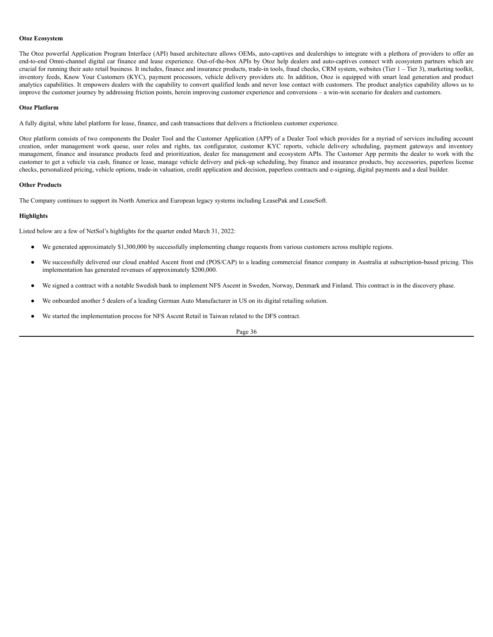## **Otoz Ecosystem**

The Otoz powerful Application Program Interface (API) based architecture allows OEMs, auto-captives and dealerships to integrate with a plethora of providers to offer an end-to-end Omni-channel digital car finance and lease experience. Out-of-the-box APIs by Otoz help dealers and auto-captives connect with ecosystem partners which are crucial for running their auto retail business. It includes, finance and insurance products, trade-in tools, fraud checks, CRM system, websites (Tier 1 – Tier 3), marketing toolkit, inventory feeds, Know Your Customers (KYC), payment processors, vehicle delivery providers etc. In addition, Otoz is equipped with smart lead generation and product analytics capabilities. It empowers dealers with the capability to convert qualified leads and never lose contact with customers. The product analytics capability allows us to improve the customer journey by addressing friction points, herein improving customer experience and conversions – a win-win scenario for dealers and customers.

#### **Otoz Platform**

A fully digital, white label platform for lease, finance, and cash transactions that delivers a frictionless customer experience.

Otoz platform consists of two components the Dealer Tool and the Customer Application (APP) of a Dealer Tool which provides for a myriad of services including account creation, order management work queue, user roles and rights, tax configurator, customer KYC reports, vehicle delivery scheduling, payment gateways and inventory management, finance and insurance products feed and prioritization, dealer fee management and ecosystem APIs. The Customer App permits the dealer to work with the customer to get a vehicle via cash, finance or lease, manage vehicle delivery and pick-up scheduling, buy finance and insurance products, buy accessories, paperless license checks, personalized pricing, vehicle options, trade-in valuation, credit application and decision, paperless contracts and e-signing, digital payments and a deal builder.

## **Other Products**

The Company continues to support its North America and European legacy systems including LeasePak and LeaseSoft.

# **Highlights**

Listed below are a few of NetSol's highlights for the quarter ended March 31, 2022:

- We generated approximately \$1,300,000 by successfully implementing change requests from various customers across multiple regions.
- We successfully delivered our cloud enabled Ascent front end (POS/CAP) to a leading commercial finance company in Australia at subscription-based pricing. This implementation has generated revenues of approximately \$200,000.
- We signed a contract with a notable Swedish bank to implement NFS Ascent in Sweden, Norway, Denmark and Finland. This contract is in the discovery phase.
- We onboarded another 5 dealers of a leading German Auto Manufacturer in US on its digital retailing solution.
- We started the implementation process for NFS Ascent Retail in Taiwan related to the DFS contract.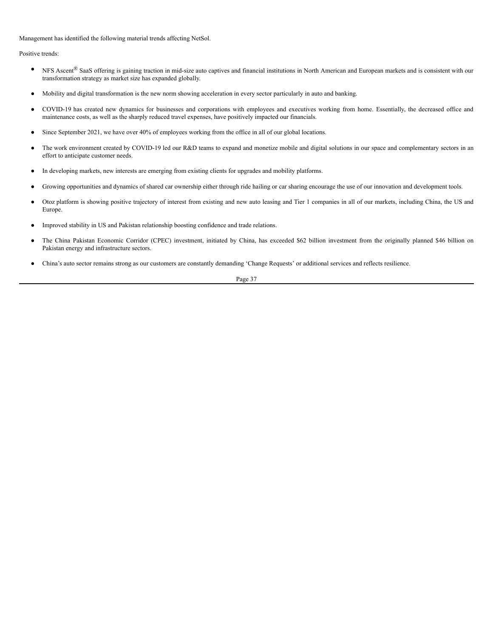Management has identified the following material trends affecting NetSol.

Positive trends:

- NFS Ascent® SaaS offering is gaining traction in mid-size auto captives and financial institutions in North American and European markets and is consistent with our transformation strategy as market size has expanded globally.
- Mobility and digital transformation is the new norm showing acceleration in every sector particularly in auto and banking.
- COVID-19 has created new dynamics for businesses and corporations with employees and executives working from home. Essentially, the decreased office and maintenance costs, as well as the sharply reduced travel expenses, have positively impacted our financials.
- Since September 2021, we have over 40% of employees working from the office in all of our global locations.
- The work environment created by COVID-19 led our R&D teams to expand and monetize mobile and digital solutions in our space and complementary sectors in an effort to anticipate customer needs.
- In developing markets, new interests are emerging from existing clients for upgrades and mobility platforms.
- Growing opportunities and dynamics of shared car ownership either through ride hailing or car sharing encourage the use of our innovation and development tools.
- Otoz platform is showing positive trajectory of interest from existing and new auto leasing and Tier 1 companies in all of our markets, including China, the US and Europe.
- Improved stability in US and Pakistan relationship boosting confidence and trade relations.
- The China Pakistan Economic Corridor (CPEC) investment, initiated by China, has exceeded \$62 billion investment from the originally planned \$46 billion on Pakistan energy and infrastructure sectors.
- China's auto sector remains strong as our customers are constantly demanding 'Change Requests' or additional services and reflects resilience.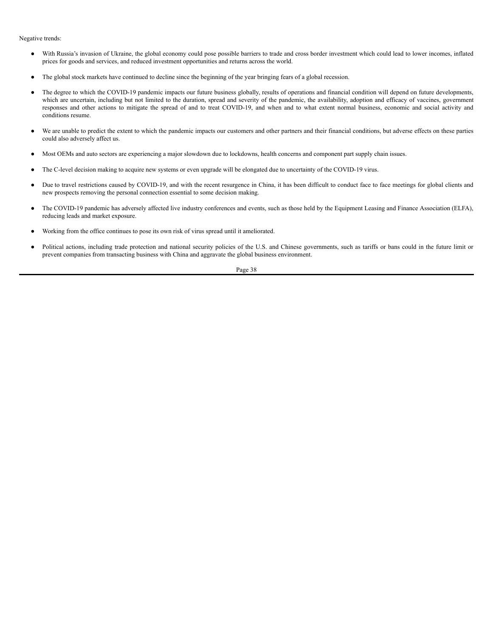#### Negative trends:

- With Russia's invasion of Ukraine, the global economy could pose possible barriers to trade and cross border investment which could lead to lower incomes, inflated prices for goods and services, and reduced investment opportunities and returns across the world.
- The global stock markets have continued to decline since the beginning of the year bringing fears of a global recession.
- The degree to which the COVID-19 pandemic impacts our future business globally, results of operations and financial condition will depend on future developments, which are uncertain, including but not limited to the duration, spread and severity of the pandemic, the availability, adoption and efficacy of vaccines, government responses and other actions to mitigate the spread of and to treat COVID-19, and when and to what extent normal business, economic and social activity and conditions resume.
- We are unable to predict the extent to which the pandemic impacts our customers and other partners and their financial conditions, but adverse effects on these parties could also adversely affect us.
- Most OEMs and auto sectors are experiencing a major slowdown due to lockdowns, health concerns and component part supply chain issues.
- The C-level decision making to acquire new systems or even upgrade will be elongated due to uncertainty of the COVID-19 virus.
- Due to travel restrictions caused by COVID-19, and with the recent resurgence in China, it has been difficult to conduct face to face meetings for global clients and new prospects removing the personal connection essential to some decision making.
- The COVID-19 pandemic has adversely affected live industry conferences and events, such as those held by the Equipment Leasing and Finance Association (ELFA), reducing leads and market exposure.
- Working from the office continues to pose its own risk of virus spread until it ameliorated.
- Political actions, including trade protection and national security policies of the U.S. and Chinese governments, such as tariffs or bans could in the future limit or prevent companies from transacting business with China and aggravate the global business environment.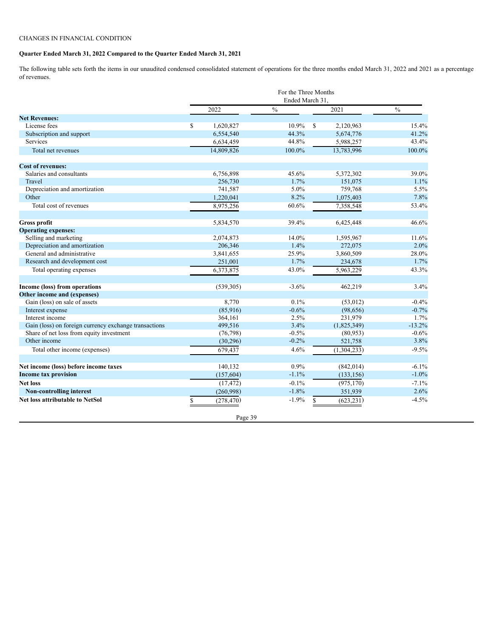# CHANGES IN FINANCIAL CONDITION

# **Quarter Ended March 31, 2022 Compared to the Quarter Ended March 31, 2021**

The following table sets forth the items in our unaudited condensed consolidated statement of operations for the three months ended March 31, 2022 and 2021 as a percentage of revenues.

|                                                       | For the Three Months |                     |                 |               |                      |                 |  |  |
|-------------------------------------------------------|----------------------|---------------------|-----------------|---------------|----------------------|-----------------|--|--|
|                                                       |                      |                     | Ended March 31  |               |                      |                 |  |  |
|                                                       |                      | 2022                | $\frac{0}{0}$   |               | 2021                 | $\frac{0}{0}$   |  |  |
| <b>Net Revenues:</b>                                  |                      |                     |                 |               |                      |                 |  |  |
| License fees                                          | \$                   | 1,620,827           | 10.9%           | <sup>\$</sup> | 2,120,963            | 15.4%           |  |  |
| Subscription and support                              |                      | 6,554,540           | 44.3%           |               | 5,674,776            | 41.2%           |  |  |
| Services                                              |                      | 6,634,459           | 44.8%           |               | 5,988,257            | 43.4%           |  |  |
| Total net revenues                                    |                      | 14,809,826          | 100.0%          |               | 13,783,996           | 100.0%          |  |  |
| <b>Cost of revenues:</b>                              |                      |                     |                 |               |                      |                 |  |  |
| Salaries and consultants                              |                      | 6,756,898           | 45.6%           |               | 5,372,302            | 39.0%           |  |  |
| Travel                                                |                      | 256,730             | 1.7%            |               | 151,075              | 1.1%            |  |  |
| Depreciation and amortization                         |                      | 741,587             | 5.0%            |               | 759,768              | 5.5%            |  |  |
| Other                                                 |                      | 1,220,041           | 8.2%            |               | 1,075,403            | 7.8%            |  |  |
| Total cost of revenues                                |                      | 8,975,256           | 60.6%           |               | 7,358,548            | 53.4%           |  |  |
| <b>Gross profit</b>                                   |                      | 5,834,570           | 39.4%           |               | 6,425,448            | 46.6%           |  |  |
| <b>Operating expenses:</b>                            |                      |                     |                 |               |                      |                 |  |  |
| Selling and marketing                                 |                      | 2,074,873           | 14.0%           |               | 1,595,967            | 11.6%           |  |  |
| Depreciation and amortization                         |                      | 206,346             | 1.4%            |               | 272,075              | 2.0%            |  |  |
| General and administrative                            |                      | 3,841,655           | 25.9%           |               | 3,860,509            | 28.0%           |  |  |
| Research and development cost                         |                      | 251,001             | 1.7%            |               | 234,678              | 1.7%            |  |  |
| Total operating expenses                              |                      | 6,373,875           | 43.0%           |               | 5,963,229            | 43.3%           |  |  |
|                                                       |                      |                     |                 |               |                      |                 |  |  |
| Income (loss) from operations                         |                      | (539, 305)          | $-3.6%$         |               | 462,219              | 3.4%            |  |  |
| Other income and (expenses)                           |                      |                     |                 |               |                      |                 |  |  |
| Gain (loss) on sale of assets                         |                      | 8,770               | 0.1%<br>$-0.6%$ |               | (53, 012)            | $-0.4%$         |  |  |
| Interest expense<br>Interest income                   |                      | (85,916)<br>364,161 | 2.5%            |               | (98, 656)<br>231,979 | $-0.7%$<br>1.7% |  |  |
| Gain (loss) on foreign currency exchange transactions |                      | 499,516             | 3.4%            |               | (1,825,349)          | $-13.2%$        |  |  |
| Share of net loss from equity investment              |                      | (76, 798)           | $-0.5%$         |               | (80,953)             | $-0.6%$         |  |  |
| Other income                                          |                      | (30, 296)           | $-0.2%$         |               | 521,758              | 3.8%            |  |  |
| Total other income (expenses)                         |                      | 679,437             | 4.6%            |               |                      | $-9.5%$         |  |  |
|                                                       |                      |                     |                 |               | (1,304,233)          |                 |  |  |
| Net income (loss) before income taxes                 |                      | 140,132             | 0.9%            |               | (842, 014)           | $-6.1%$         |  |  |
| <b>Income tax provision</b>                           |                      | (157, 604)          | $-1.1%$         |               | (133, 156)           | $-1.0%$         |  |  |
| <b>Net loss</b>                                       |                      | (17, 472)           | $-0.1%$         |               | (975, 170)           | $-7.1%$         |  |  |
| <b>Non-controlling interest</b>                       |                      | (260,998)           | $-1.8%$         |               | 351,939              | 2.6%            |  |  |
| <b>Net loss attributable to NetSol</b>                | \$                   | (278, 470)          | $-1.9%$         | \$            | (623, 231)           | $-4.5%$         |  |  |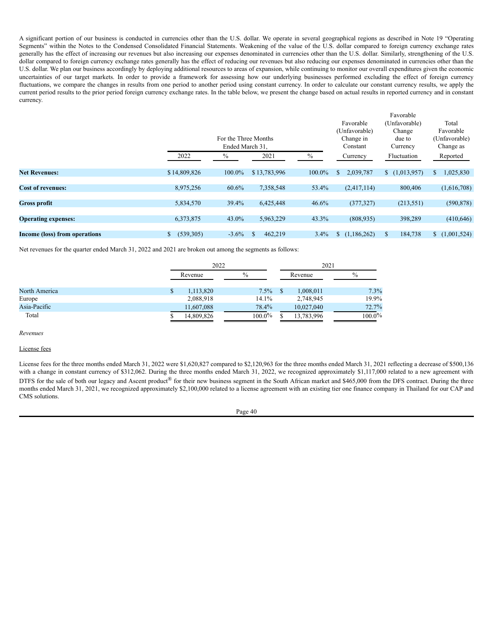A significant portion of our business is conducted in currencies other than the U.S. dollar. We operate in several geographical regions as described in Note 19 "Operating Segments" within the Notes to the Condensed Consolidated Financial Statements. Weakening of the value of the U.S. dollar compared to foreign currency exchange rates generally has the effect of increasing our revenues but also increasing our expenses denominated in currencies other than the U.S. dollar. Similarly, strengthening of the U.S. dollar compared to foreign currency exchange rates generally has the effect of reducing our revenues but also reducing our expenses denominated in currencies other than the U.S. dollar. We plan our business accordingly by deploying additional resources to areas of expansion, while continuing to monitor our overall expenditures given the economic uncertainties of our target markets. In order to provide a framework for assessing how our underlying businesses performed excluding the effect of foreign currency fluctuations, we compare the changes in results from one period to another period using constant currency. In order to calculate our constant currency results, we apply the current period results to the prior period foreign currency exchange rates. In the table below, we present the change based on actual results in reported currency and in constant currency.

|                               |                            |                      |              |        |                   | Favorable               |                 |
|-------------------------------|----------------------------|----------------------|--------------|--------|-------------------|-------------------------|-----------------|
|                               |                            |                      |              |        | Favorable         | (Unfavorable)           | Total           |
|                               |                            |                      |              |        | (Unfavorable)     | Change                  | Favorable       |
|                               |                            | For the Three Months |              |        | Change in         | due to                  | (Unfavorable)   |
|                               |                            | Ended March 31.      |              |        | Constant          | Currency                | Change as       |
|                               | 2022                       | $\%$                 | 2021         | $\%$   | Currency          | Fluctuation             | Reported        |
| <b>Net Revenues:</b>          | \$14,809,826               | 100.0%               | \$13,783,996 | 100.0% | 2,039,787<br>\$   | $\frac{(1,013,957)}{2}$ | 1,025,830<br>\$ |
|                               |                            |                      |              |        |                   |                         |                 |
| <b>Cost of revenues:</b>      | 8,975,256                  | 60.6%                | 7,358,548    | 53.4%  | (2,417,114)       | 800,406                 | (1,616,708)     |
|                               |                            |                      |              |        |                   |                         |                 |
| <b>Gross profit</b>           | 5,834,570                  | 39.4%                | 6,425,448    | 46.6%  | (377, 327)        | (213, 551)              | (590, 878)      |
|                               |                            |                      |              |        |                   |                         |                 |
| <b>Operating expenses:</b>    | 6,373,875                  | 43.0%                | 5,963,229    | 43.3%  | (808, 935)        | 398,289                 | (410, 646)      |
|                               |                            |                      |              |        |                   |                         |                 |
| Income (loss) from operations | (539, 305)<br>$\mathbb{S}$ | $-3.6\%$             | 462,219      | 3.4%   | (1,186,262)<br>\$ | $\mathbb{S}$<br>184,738 | (1,001,524)     |
|                               |                            |                      |              |        |                   |                         |                 |

Net revenues for the quarter ended March 31, 2022 and 2021 are broken out among the segments as follows:

|               | 2022       |                 |  | 2021       |           |  |  |
|---------------|------------|-----------------|--|------------|-----------|--|--|
|               | Revenue    | $\%$<br>Revenue |  | $\%$       |           |  |  |
| North America | 1,113,820  | 7.5%            |  | 1,008,011  | 7.3%      |  |  |
| Europe        | 2,088,918  | 14.1%           |  | 2,748,945  | 19.9%     |  |  |
| Asia-Pacific  | 11,607,088 | 78.4%           |  | 10,027,040 | 72.7%     |  |  |
| Total         | 14,809,826 | $100.0\%$       |  | 13,783,996 | $100.0\%$ |  |  |

*Revenues*

# License fees

License fees for the three months ended March 31, 2022 were \$1,620,827 compared to \$2,120,963 for the three months ended March 31, 2021 reflecting a decrease of \$500,136 with a change in constant currency of \$312,062. During the three months ended March 31, 2022, we recognized approximately \$1,117,000 related to a new agreement with DTFS for the sale of both our legacy and Ascent product® for their new business segment in the South African market and \$465,000 from the DFS contract. During the three months ended March 31, 2021, we recognized approximately \$2,100,000 related to a license agreement with an existing tier one finance company in Thailand for our CAP and CMS solutions.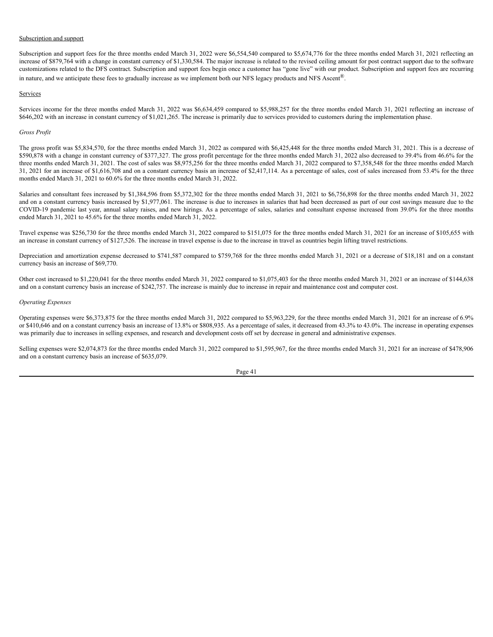# Subscription and support

Subscription and support fees for the three months ended March 31, 2022 were \$6,554,540 compared to \$5,674,776 for the three months ended March 31, 2021 reflecting an increase of \$879,764 with a change in constant currency of \$1,330,584. The major increase is related to the revised ceiling amount for post contract support due to the software customizations related to the DFS contract. Subscription and support fees begin once a customer has "gone live" with our product. Subscription and support fees are recurring in nature, and we anticipate these fees to gradually increase as we implement both our NFS legacy products and NFS Ascent<sup>®</sup>.

#### Services

Services income for the three months ended March 31, 2022 was \$6,634,459 compared to \$5,988,257 for the three months ended March 31, 2021 reflecting an increase of \$646,202 with an increase in constant currency of \$1,021,265. The increase is primarily due to services provided to customers during the implementation phase.

#### *Gross Profit*

The gross profit was \$5,834,570, for the three months ended March 31, 2022 as compared with \$6,425,448 for the three months ended March 31, 2021. This is a decrease of \$590,878 with a change in constant currency of \$377,327. The gross profit percentage for the three months ended March 31, 2022 also decreased to 39.4% from 46.6% for the three months ended March 31, 2021. The cost of sales was \$8,975,256 for the three months ended March 31, 2022 compared to \$7,358,548 for the three months ended March 31, 2021 for an increase of \$1,616,708 and on a constant currency basis an increase of \$2,417,114. As a percentage of sales, cost of sales increased from 53.4% for the three months ended March 31, 2021 to 60.6% for the three months ended March 31, 2022.

Salaries and consultant fees increased by \$1,384,596 from \$5,372,302 for the three months ended March 31, 2021 to \$6,756,898 for the three months ended March 31, 2022 and on a constant currency basis increased by \$1,977,061. The increase is due to increases in salaries that had been decreased as part of our cost savings measure due to the COVID-19 pandemic last year, annual salary raises, and new hirings. As a percentage of sales, salaries and consultant expense increased from 39.0% for the three months ended March 31, 2021 to 45.6% for the three months ended March 31, 2022.

Travel expense was \$256,730 for the three months ended March 31, 2022 compared to \$151,075 for the three months ended March 31, 2021 for an increase of \$105,655 with an increase in constant currency of \$127,526. The increase in travel expense is due to the increase in travel as countries begin lifting travel restrictions.

Depreciation and amortization expense decreased to \$741,587 compared to \$759,768 for the three months ended March 31, 2021 or a decrease of \$18,181 and on a constant currency basis an increase of \$69,770.

Other cost increased to \$1,220,041 for the three months ended March 31, 2022 compared to \$1,075,403 for the three months ended March 31, 2021 or an increase of \$144,638 and on a constant currency basis an increase of \$242,757. The increase is mainly due to increase in repair and maintenance cost and computer cost.

#### *Operating Expenses*

Operating expenses were \$6,373,875 for the three months ended March 31, 2022 compared to \$5,963,229, for the three months ended March 31, 2021 for an increase of 6.9% or \$410,646 and on a constant currency basis an increase of 13.8% or \$808,935. As a percentage of sales, it decreased from 43.3% to 43.0%. The increase in operating expenses was primarily due to increases in selling expenses, and research and development costs off set by decrease in general and administrative expenses.

Selling expenses were \$2,074,873 for the three months ended March 31, 2022 compared to \$1,595,967, for the three months ended March 31, 2021 for an increase of \$478,906 and on a constant currency basis an increase of \$635,079.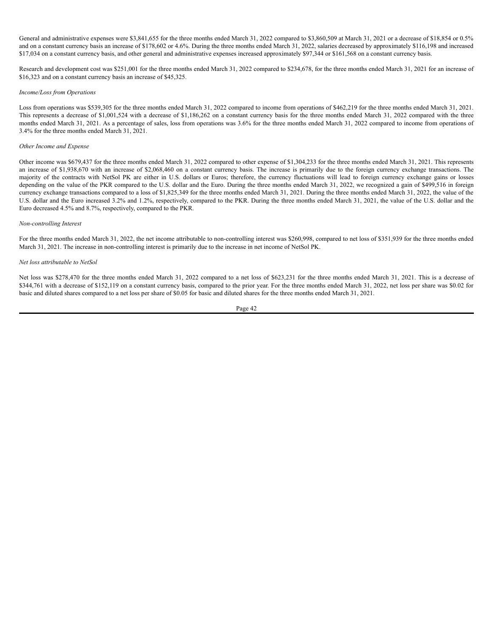General and administrative expenses were \$3,841,655 for the three months ended March 31, 2022 compared to \$3,860,509 at March 31, 2021 or a decrease of \$18,854 or 0.5% and on a constant currency basis an increase of \$178,602 or 4.6%. During the three months ended March 31, 2022, salaries decreased by approximately \$116,198 and increased \$17,034 on a constant currency basis, and other general and administrative expenses increased approximately \$97,344 or \$161,568 on a constant currency basis.

Research and development cost was \$251,001 for the three months ended March 31, 2022 compared to \$234,678, for the three months ended March 31, 2021 for an increase of \$16,323 and on a constant currency basis an increase of \$45,325.

#### *Income/Loss from Operations*

Loss from operations was \$539,305 for the three months ended March 31, 2022 compared to income from operations of \$462,219 for the three months ended March 31, 2021. This represents a decrease of \$1,001,524 with a decrease of \$1,186,262 on a constant currency basis for the three months ended March 31, 2022 compared with the three months ended March 31, 2021. As a percentage of sales, loss from operations was 3.6% for the three months ended March 31, 2022 compared to income from operations of 3.4% for the three months ended March 31, 2021.

#### *Other Income and Expense*

Other income was \$679,437 for the three months ended March 31, 2022 compared to other expense of \$1,304,233 for the three months ended March 31, 2021. This represents an increase of \$1,938,670 with an increase of \$2,068,460 on a constant currency basis. The increase is primarily due to the foreign currency exchange transactions. The majority of the contracts with NetSol PK are either in U.S. dollars or Euros; therefore, the currency fluctuations will lead to foreign currency exchange gains or losses depending on the value of the PKR compared to the U.S. dollar and the Euro. During the three months ended March 31, 2022, we recognized a gain of \$499,516 in foreign currency exchange transactions compared to a loss of \$1,825,349 for the three months ended March 31, 2021. During the three months ended March 31, 2022, the value of the U.S. dollar and the Euro increased 3.2% and 1.2%, respectively, compared to the PKR. During the three months ended March 31, 2021, the value of the U.S. dollar and the Euro decreased 4.5% and 8.7%, respectively, compared to the PKR.

#### *Non-controlling Interest*

For the three months ended March 31, 2022, the net income attributable to non-controlling interest was \$260,998, compared to net loss of \$351,939 for the three months ended March 31, 2021. The increase in non-controlling interest is primarily due to the increase in net income of NetSol PK.

## *Net loss attributable to NetSol*

Net loss was \$278,470 for the three months ended March 31, 2022 compared to a net loss of \$623,231 for the three months ended March 31, 2021. This is a decrease of \$344,761 with a decrease of \$152,119 on a constant currency basis, compared to the prior year. For the three months ended March 31, 2022, net loss per share was \$0.02 for basic and diluted shares compared to a net loss per share of \$0.05 for basic and diluted shares for the three months ended March 31, 2021.

Page 42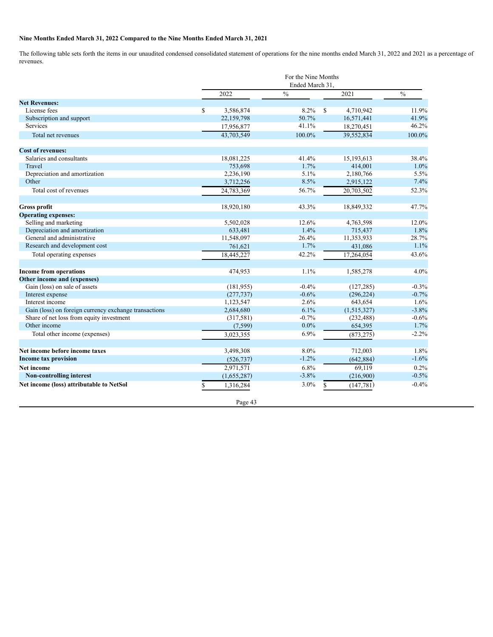# **Nine Months Ended March 31, 2022 Compared to the Nine Months Ended March 31, 2021**

The following table sets forth the items in our unaudited condensed consolidated statement of operations for the nine months ended March 31, 2022 and 2021 as a percentage of revenues.

|                                                       |                 | For the Nine Months<br>Ended March 31. |    |             |               |
|-------------------------------------------------------|-----------------|----------------------------------------|----|-------------|---------------|
|                                                       | 2022            | $\frac{0}{0}$                          |    | 2021        | $\frac{0}{0}$ |
| <b>Net Revenues:</b>                                  |                 |                                        |    |             |               |
| License fees                                          | \$<br>3,586,874 | 8.2%                                   | S  | 4,710,942   | 11.9%         |
| Subscription and support                              | 22,159,798      | 50.7%                                  |    | 16,571,441  | 41.9%         |
| Services                                              | 17,956,877      | 41.1%                                  |    | 18,270,451  | 46.2%         |
| Total net revenues                                    | 43.703.549      | 100.0%                                 |    | 39.552.834  | 100.0%        |
| <b>Cost of revenues:</b>                              |                 |                                        |    |             |               |
| Salaries and consultants                              | 18,081,225      | 41.4%                                  |    | 15,193,613  | 38.4%         |
| Travel                                                | 753,698         | 1.7%                                   |    | 414,001     | 1.0%          |
| Depreciation and amortization                         | 2,236,190       | 5.1%                                   |    | 2,180,766   | 5.5%          |
| Other                                                 | 3,712,256       | 8.5%                                   |    | 2,915,122   | 7.4%          |
| Total cost of revenues                                | 24,783,369      | 56.7%                                  |    | 20,703,502  | 52.3%         |
| Gross profit                                          | 18,920,180      | 43.3%                                  |    | 18,849,332  | 47.7%         |
| <b>Operating expenses:</b>                            |                 |                                        |    |             |               |
| Selling and marketing                                 | 5,502,028       | 12.6%                                  |    | 4,763,598   | 12.0%         |
| Depreciation and amortization                         | 633,481         | 1.4%                                   |    | 715,437     | 1.8%          |
| General and administrative                            | 11,548,097      | 26.4%                                  |    | 11,353,933  | 28.7%         |
| Research and development cost                         | 761,621         | 1.7%                                   |    | 431,086     | 1.1%          |
| Total operating expenses                              | 18,445,227      | 42.2%                                  |    | 17,264,054  | 43.6%         |
| <b>Income from operations</b>                         | 474,953         | 1.1%                                   |    | 1,585,278   | 4.0%          |
| Other income and (expenses)                           |                 |                                        |    |             |               |
| Gain (loss) on sale of assets                         | (181, 955)      | $-0.4%$                                |    | (127, 285)  | $-0.3%$       |
| Interest expense                                      | (277, 737)      | $-0.6%$                                |    | (296, 224)  | $-0.7%$       |
| Interest income                                       | 1,123,547       | 2.6%                                   |    | 643,654     | 1.6%          |
| Gain (loss) on foreign currency exchange transactions | 2,684,680       | 6.1%                                   |    | (1,515,327) | $-3.8%$       |
| Share of net loss from equity investment              | (317,581)       | $-0.7%$                                |    | (232, 488)  | $-0.6%$       |
| Other income                                          | (7,599)         | 0.0%                                   |    | 654,395     | 1.7%          |
| Total other income (expenses)                         | 3,023,355       | 6.9%                                   |    | (873, 275)  | $-2.2%$       |
| Net income before income taxes                        | 3,498,308       | 8.0%                                   |    | 712,003     | 1.8%          |
| <b>Income tax provision</b>                           | (526, 737)      | $-1.2%$                                |    | (642, 884)  | $-1.6%$       |
| Net income                                            | 2,971,571       | 6.8%                                   |    | 69,119      | 0.2%          |
| <b>Non-controlling interest</b>                       | (1,655,287)     | $-3.8%$                                |    | (216,900)   | $-0.5%$       |
| Net income (loss) attributable to NetSol              | \$<br>1,316,284 | 3.0%                                   | \$ | (147, 781)  | $-0.4%$       |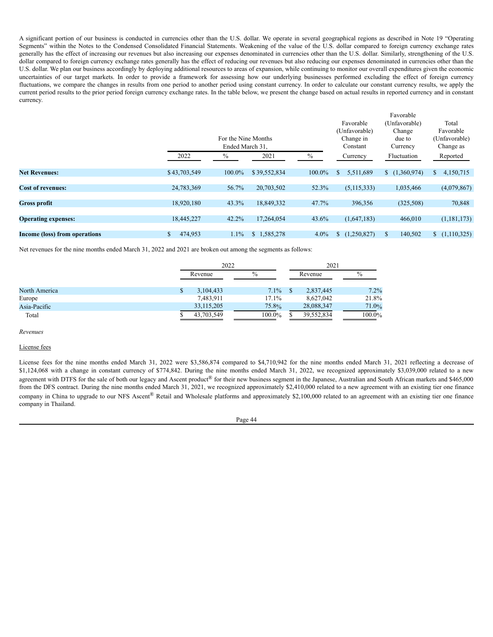A significant portion of our business is conducted in currencies other than the U.S. dollar. We operate in several geographical regions as described in Note 19 "Operating Segments" within the Notes to the Condensed Consolidated Financial Statements. Weakening of the value of the U.S. dollar compared to foreign currency exchange rates generally has the effect of increasing our revenues but also increasing our expenses denominated in currencies other than the U.S. dollar. Similarly, strengthening of the U.S. dollar compared to foreign currency exchange rates generally has the effect of reducing our revenues but also reducing our expenses denominated in currencies other than the U.S. dollar. We plan our business accordingly by deploying additional resources to areas of expansion, while continuing to monitor our overall expenditures given the economic uncertainties of our target markets. In order to provide a framework for assessing how our underlying businesses performed excluding the effect of foreign currency fluctuations, we compare the changes in results from one period to another period using constant currency. In order to calculate our constant currency results, we apply the current period results to the prior period foreign currency exchange rates. In the table below, we present the change based on actual results in reported currency and in constant currency.

|                         |              |                  |                                                        |                   | Favorable               |                   |
|-------------------------|--------------|------------------|--------------------------------------------------------|-------------------|-------------------------|-------------------|
|                         |              |                  |                                                        | Favorable         | (Unfavorable)           | Total             |
|                         |              |                  |                                                        | (Unfavorable)     | Change                  | Favorable         |
|                         |              |                  |                                                        | Change in         | due to                  | (Unfavorable)     |
|                         |              |                  |                                                        | Constant          | Currency                | Change as         |
| 2022                    | $\%$         | 2021             | $\%$                                                   | Currency          | Fluctuation             | Reported          |
|                         |              |                  |                                                        |                   |                         | 4,150,715<br>\$   |
|                         |              |                  |                                                        |                   |                         |                   |
| 24,783,369              | 56.7%        | 20,703,502       | 52.3%                                                  | (5, 115, 333)     | 1,035,466               | (4,079,867)       |
| 18,920,180              | 43.3%        | 18,849,332       | 47.7%                                                  | 396,356           | (325,508)               | 70,848            |
|                         |              |                  |                                                        |                   |                         |                   |
| 18,445,227              | 42.2%        | 17,264,054       | 43.6%                                                  | (1,647,183)       | 466,010                 | (1,181,173)       |
|                         |              |                  |                                                        |                   |                         |                   |
| $\mathbb{S}$<br>474,953 | 1.1%         | 1,585,278<br>\$. | $4.0\%$                                                | (1,250,827)<br>\$ | $\mathbb{S}$<br>140,502 | (1,110,325)<br>\$ |
|                         | \$43,703,549 | 100.0%           | For the Nine Months<br>Ended March 31.<br>\$39,552,834 | 100.0%            | 5,511,689<br>\$         | (1,360,974)       |

Net revenues for the nine months ended March 31, 2022 and 2021 are broken out among the segments as follows:

|               | 2022         |          |  | 2021       |           |  |
|---------------|--------------|----------|--|------------|-----------|--|
|               | Revenue      | $\%$     |  | Revenue    | $\%$      |  |
| North America | 3, 104, 433  | $7.1\%$  |  | 2,837,445  | 7.2%      |  |
| Europe        | 7,483,911    | 17.1%    |  | 8,627,042  | 21.8%     |  |
| Asia-Pacific  | 33, 115, 205 | $75.8\%$ |  | 28,088,347 | 71.0%     |  |
| Total         | 43,703,549   | 100.0%   |  | 39,552,834 | $100.0\%$ |  |

*Revenues*

#### License fees

License fees for the nine months ended March 31, 2022 were \$3,586,874 compared to \$4,710,942 for the nine months ended March 31, 2021 reflecting a decrease of \$1,124,068 with a change in constant currency of \$774,842. During the nine months ended March 31, 2022, we recognized approximately \$3,039,000 related to a new agreement with DTFS for the sale of both our legacy and Ascent product® for their new business segment in the Japanese, Australian and South African markets and \$465,000 from the DFS contract. During the nine months ended March 31, 2021, we recognized approximately \$2,410,000 related to a new agreement with an existing tier one finance company in China to upgrade to our NFS Ascent<sup>®</sup> Retail and Wholesale platforms and approximately \$2,100,000 related to an agreement with an existing tier one finance company in Thailand.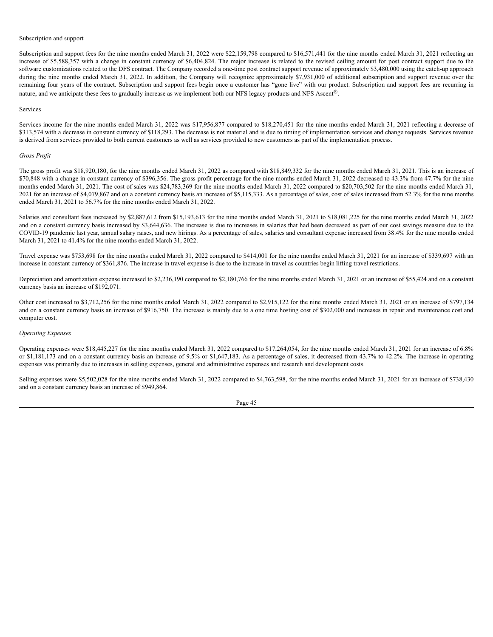## Subscription and support

Subscription and support fees for the nine months ended March 31, 2022 were \$22,159,798 compared to \$16,571,441 for the nine months ended March 31, 2021 reflecting an increase of \$5,588,357 with a change in constant currency of \$6,404,824. The major increase is related to the revised ceiling amount for post contract support due to the software customizations related to the DFS contract. The Company recorded a one-time post contract support revenue of approximately \$3,480,000 using the catch-up approach during the nine months ended March 31, 2022. In addition, the Company will recognize approximately \$7,931,000 of additional subscription and support revenue over the remaining four years of the contract. Subscription and support fees begin once a customer has "gone live" with our product. Subscription and support fees are recurring in nature, and we anticipate these fees to gradually increase as we implement both our NFS legacy products and NFS Ascent®.

#### Services

Services income for the nine months ended March 31, 2022 was \$17,956,877 compared to \$18,270,451 for the nine months ended March 31, 2021 reflecting a decrease of \$313,574 with a decrease in constant currency of \$118,293. The decrease is not material and is due to timing of implementation services and change requests. Services revenue is derived from services provided to both current customers as well as services provided to new customers as part of the implementation process.

## *Gross Profit*

The gross profit was \$18,920,180, for the nine months ended March 31, 2022 as compared with \$18,849,332 for the nine months ended March 31, 2021. This is an increase of \$70,848 with a change in constant currency of \$396,356. The gross profit percentage for the nine months ended March 31, 2022 decreased to 43.3% from 47.7% for the nine months ended March 31, 2021. The cost of sales was \$24,783,369 for the nine months ended March 31, 2022 compared to \$20,703,502 for the nine months ended March 31, 2021 for an increase of \$4,079,867 and on a constant currency basis an increase of \$5,115,333. As a percentage of sales, cost of sales increased from 52.3% for the nine months ended March 31, 2021 to 56.7% for the nine months ended March 31, 2022.

Salaries and consultant fees increased by \$2,887,612 from \$15,193,613 for the nine months ended March 31, 2021 to \$18,081,225 for the nine months ended March 31, 2022 and on a constant currency basis increased by \$3,644,636. The increase is due to increases in salaries that had been decreased as part of our cost savings measure due to the COVID-19 pandemic last year, annual salary raises, and new hirings. As a percentage of sales, salaries and consultant expense increased from 38.4% for the nine months ended March 31, 2021 to 41.4% for the nine months ended March 31, 2022.

Travel expense was \$753,698 for the nine months ended March 31, 2022 compared to \$414,001 for the nine months ended March 31, 2021 for an increase of \$339,697 with an increase in constant currency of \$361,876. The increase in travel expense is due to the increase in travel as countries begin lifting travel restrictions.

Depreciation and amortization expense increased to \$2,236,190 compared to \$2,180,766 for the nine months ended March 31, 2021 or an increase of \$55,424 and on a constant currency basis an increase of \$192,071.

Other cost increased to \$3,712,256 for the nine months ended March 31, 2022 compared to \$2,915,122 for the nine months ended March 31, 2021 or an increase of \$797,134 and on a constant currency basis an increase of \$916,750. The increase is mainly due to a one time hosting cost of \$302,000 and increases in repair and maintenance cost and computer cost.

#### *Operating Expenses*

Operating expenses were \$18,445,227 for the nine months ended March 31, 2022 compared to \$17,264,054, for the nine months ended March 31, 2021 for an increase of 6.8% or \$1,181,173 and on a constant currency basis an increase of 9.5% or \$1,647,183. As a percentage of sales, it decreased from 43.7% to 42.2%. The increase in operating expenses was primarily due to increases in selling expenses, general and administrative expenses and research and development costs.

Selling expenses were \$5,502,028 for the nine months ended March 31, 2022 compared to \$4,763,598, for the nine months ended March 31, 2021 for an increase of \$738,430 and on a constant currency basis an increase of \$949,864.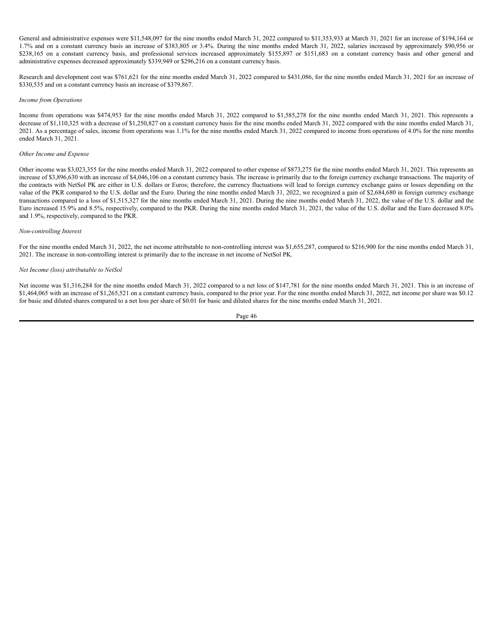General and administrative expenses were \$11,548,097 for the nine months ended March 31, 2022 compared to \$11,353,933 at March 31, 2021 for an increase of \$194,164 or 1.7% and on a constant currency basis an increase of \$383,805 or 3.4%. During the nine months ended March 31, 2022, salaries increased by approximately \$90,956 or \$238,165 on a constant currency basis, and professional services increased approximately \$155,897 or \$151,683 on a constant currency basis and other general and administrative expenses decreased approximately \$339,949 or \$296,216 on a constant currency basis.

Research and development cost was \$761,621 for the nine months ended March 31, 2022 compared to \$431,086, for the nine months ended March 31, 2021 for an increase of \$330,535 and on a constant currency basis an increase of \$379,867.

#### *Income from Operations*

Income from operations was \$474,953 for the nine months ended March 31, 2022 compared to \$1,585,278 for the nine months ended March 31, 2021. This represents a decrease of \$1,110,325 with a decrease of \$1,250,827 on a constant currency basis for the nine months ended March 31, 2022 compared with the nine months ended March 31, 2021. As a percentage of sales, income from operations was 1.1% for the nine months ended March 31, 2022 compared to income from operations of 4.0% for the nine months ended March 31, 2021.

#### *Other Income and Expense*

Other income was \$3,023,355 for the nine months ended March 31, 2022 compared to other expense of \$873,275 for the nine months ended March 31, 2021. This represents an increase of \$3,896,630 with an increase of \$4,046,106 on a constant currency basis. The increase is primarily due to the foreign currency exchange transactions. The majority of the contracts with NetSol PK are either in U.S. dollars or Euros; therefore, the currency fluctuations will lead to foreign currency exchange gains or losses depending on the value of the PKR compared to the U.S. dollar and the Euro. During the nine months ended March 31, 2022, we recognized a gain of \$2,684,680 in foreign currency exchange transactions compared to a loss of \$1,515,327 for the nine months ended March 31, 2021. During the nine months ended March 31, 2022, the value of the U.S. dollar and the Euro increased 15.9% and 8.5%, respectively, compared to the PKR. During the nine months ended March 31, 2021, the value of the U.S. dollar and the Euro decreased 8.0% and 1.9%, respectively, compared to the PKR.

## *Non-controlling Interest*

For the nine months ended March 31, 2022, the net income attributable to non-controlling interest was \$1,655,287, compared to \$216,900 for the nine months ended March 31, 2021. The increase in non-controlling interest is primarily due to the increase in net income of NetSol PK.

#### *Net Income (loss) attributable to NetSol*

Net income was \$1,316,284 for the nine months ended March 31, 2022 compared to a net loss of \$147,781 for the nine months ended March 31, 2021. This is an increase of \$1,464,065 with an increase of \$1,265,521 on a constant currency basis, compared to the prior year. For the nine months ended March 31, 2022, net income per share was \$0.12 for basic and diluted shares compared to a net loss per share of \$0.01 for basic and diluted shares for the nine months ended March 31, 2021.

Page 46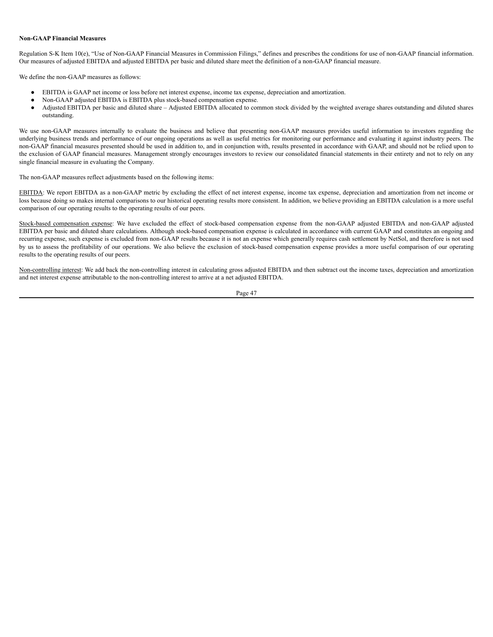## **Non-GAAP Financial Measures**

Regulation S-K Item 10(e), "Use of Non-GAAP Financial Measures in Commission Filings," defines and prescribes the conditions for use of non-GAAP financial information. Our measures of adjusted EBITDA and adjusted EBITDA per basic and diluted share meet the definition of a non-GAAP financial measure.

We define the non-GAAP measures as follows:

- EBITDA is GAAP net income or loss before net interest expense, income tax expense, depreciation and amortization.
- Non-GAAP adjusted EBITDA is EBITDA plus stock-based compensation expense.
- Adjusted EBITDA per basic and diluted share Adjusted EBITDA allocated to common stock divided by the weighted average shares outstanding and diluted shares outstanding.

We use non-GAAP measures internally to evaluate the business and believe that presenting non-GAAP measures provides useful information to investors regarding the underlying business trends and performance of our ongoing operations as well as useful metrics for monitoring our performance and evaluating it against industry peers. The non-GAAP financial measures presented should be used in addition to, and in conjunction with, results presented in accordance with GAAP, and should not be relied upon to the exclusion of GAAP financial measures. Management strongly encourages investors to review our consolidated financial statements in their entirety and not to rely on any single financial measure in evaluating the Company.

The non-GAAP measures reflect adjustments based on the following items:

EBITDA: We report EBITDA as a non-GAAP metric by excluding the effect of net interest expense, income tax expense, depreciation and amortization from net income or loss because doing so makes internal comparisons to our historical operating results more consistent. In addition, we believe providing an EBITDA calculation is a more useful comparison of our operating results to the operating results of our peers.

Stock-based compensation expense: We have excluded the effect of stock-based compensation expense from the non-GAAP adjusted EBITDA and non-GAAP adjusted EBITDA per basic and diluted share calculations. Although stock-based compensation expense is calculated in accordance with current GAAP and constitutes an ongoing and recurring expense, such expense is excluded from non-GAAP results because it is not an expense which generally requires cash settlement by NetSol, and therefore is not used by us to assess the profitability of our operations. We also believe the exclusion of stock-based compensation expense provides a more useful comparison of our operating results to the operating results of our peers.

Non-controlling interest: We add back the non-controlling interest in calculating gross adjusted EBITDA and then subtract out the income taxes, depreciation and amortization and net interest expense attributable to the non-controlling interest to arrive at a net adjusted EBITDA.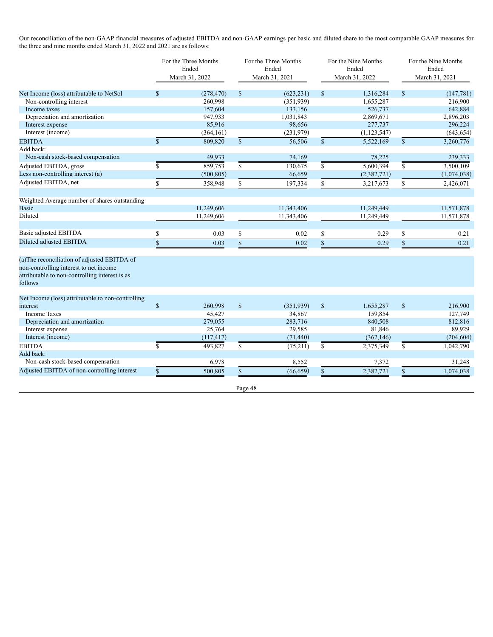Our reconciliation of the non-GAAP financial measures of adjusted EBITDA and non-GAAP earnings per basic and diluted share to the most comparable GAAP measures for the three and nine months ended March 31, 2022 and 2021 are as follows:

|                                                                                                                                                     | For the Three Months<br>For the Three Months<br>Ended<br>Ended<br>March 31, 2022<br>March 31, 2021 |            | For the Nine Months<br>Ended<br>March 31, 2022 |            | For the Nine Months<br>Ended<br>March 31, 2021 |               |                |             |
|-----------------------------------------------------------------------------------------------------------------------------------------------------|----------------------------------------------------------------------------------------------------|------------|------------------------------------------------|------------|------------------------------------------------|---------------|----------------|-------------|
| Net Income (loss) attributable to NetSol                                                                                                            | S                                                                                                  | (278, 470) | $\mathbb{S}$                                   | (623, 231) | \$                                             | 1,316,284     | $\mathbb{S}$   | (147, 781)  |
| Non-controlling interest                                                                                                                            |                                                                                                    | 260.998    |                                                | (351,939)  |                                                | 1,655,287     |                | 216,900     |
| Income taxes                                                                                                                                        |                                                                                                    | 157,604    |                                                | 133,156    |                                                | 526,737       |                | 642,884     |
| Depreciation and amortization                                                                                                                       |                                                                                                    | 947,933    |                                                | 1,031,843  |                                                | 2,869,671     |                | 2,896,203   |
| Interest expense                                                                                                                                    |                                                                                                    | 85,916     |                                                | 98,656     |                                                | 277,737       |                | 296,224     |
| Interest (income)                                                                                                                                   |                                                                                                    | (364, 161) |                                                | (231,979)  |                                                | (1, 123, 547) |                | (643, 654)  |
| <b>EBITDA</b>                                                                                                                                       | $\mathbf{s}$                                                                                       | 809.820    | $\overline{\mathbb{S}}$                        | 56,506     | $\mathcal{S}$                                  | 5,522,169     | $\mathbb{S}$   | 3,260,776   |
| Add back:                                                                                                                                           |                                                                                                    |            |                                                |            |                                                |               |                |             |
| Non-cash stock-based compensation                                                                                                                   |                                                                                                    | 49,933     |                                                | 74,169     |                                                | 78,225        |                | 239,333     |
| Adjusted EBITDA, gross                                                                                                                              | \$                                                                                                 | 859,753    | <sup>\$</sup>                                  | 130,675    | \$                                             | 5,600,394     | $\mathbb{S}$   | 3,500,109   |
| Less non-controlling interest (a)                                                                                                                   |                                                                                                    | (500, 805) |                                                | 66,659     |                                                | (2,382,721)   |                | (1,074,038) |
| Adjusted EBITDA, net                                                                                                                                | \$                                                                                                 | 358,948    | \$                                             | 197,334    | \$                                             | 3,217,673     | \$             | 2,426,071   |
| Weighted Average number of shares outstanding                                                                                                       |                                                                                                    |            |                                                |            |                                                |               |                |             |
| <b>Basic</b>                                                                                                                                        |                                                                                                    | 11,249,606 |                                                | 11,343,406 |                                                | 11,249,449    |                | 11,571,878  |
| Diluted                                                                                                                                             |                                                                                                    | 11,249,606 |                                                | 11,343,406 |                                                | 11,249,449    |                | 11,571,878  |
|                                                                                                                                                     |                                                                                                    |            |                                                |            |                                                |               |                |             |
| Basic adjusted EBITDA                                                                                                                               | S                                                                                                  | 0.03       | \$                                             | 0.02       | \$                                             | 0.29          | \$             | 0.21        |
| Diluted adjusted EBITDA                                                                                                                             | $\overline{s}$                                                                                     | 0.03       | $\overline{\overline{s}}$                      | 0.02       | $\overline{\$}$                                | 0.29          | $\overline{s}$ | 0.21        |
| (a) The reconciliation of adjusted EBITDA of<br>non-controlling interest to net income<br>attributable to non-controlling interest is as<br>follows |                                                                                                    |            |                                                |            |                                                |               |                |             |
| Net Income (loss) attributable to non-controlling                                                                                                   |                                                                                                    |            |                                                |            |                                                |               |                |             |
| interest                                                                                                                                            | \$                                                                                                 | 260,998    | $\mathbb{S}$                                   | (351,939)  | $\mathbb{S}$                                   | 1,655,287     | \$             | 216,900     |
| <b>Income Taxes</b>                                                                                                                                 |                                                                                                    | 45,427     |                                                | 34,867     |                                                | 159,854       |                | 127,749     |
| Depreciation and amortization                                                                                                                       |                                                                                                    | 279,055    |                                                | 283,716    |                                                | 840,508       |                | 812,816     |
| Interest expense                                                                                                                                    |                                                                                                    | 25,764     |                                                | 29,585     |                                                | 81,846        |                | 89,929      |
| Interest (income)                                                                                                                                   |                                                                                                    | (117, 417) |                                                | (71, 440)  |                                                | (362, 146)    |                | (204, 604)  |
| <b>EBITDA</b>                                                                                                                                       | \$                                                                                                 | 493,827    | \$                                             | (75, 211)  | \$                                             | 2,375,349     | \$             | 1,042,790   |
| Add back:                                                                                                                                           |                                                                                                    |            |                                                |            |                                                |               |                |             |
| Non-cash stock-based compensation                                                                                                                   |                                                                                                    | 6,978      |                                                | 8,552      |                                                | 7,372         |                | 31,248      |
| Adjusted EBITDA of non-controlling interest                                                                                                         | \$                                                                                                 | 500,805    | $\mathbb{S}$                                   | (66, 659)  | \$                                             | 2,382,721     | \$             | 1,074,038   |
|                                                                                                                                                     |                                                                                                    |            | Page 48                                        |            |                                                |               |                |             |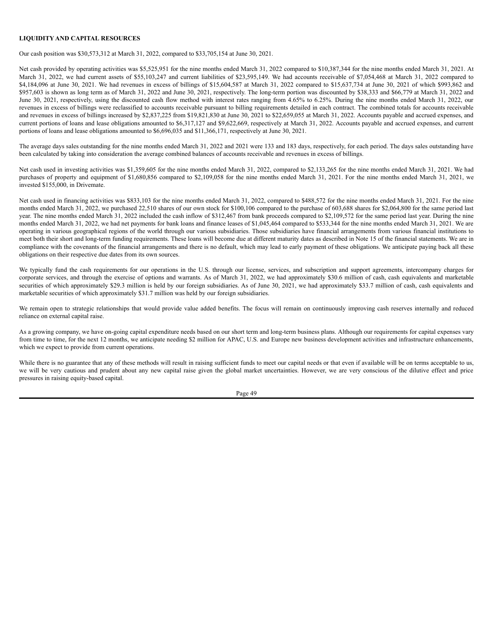## **LIQUIDITY AND CAPITAL RESOURCES**

Our cash position was \$30,573,312 at March 31, 2022, compared to \$33,705,154 at June 30, 2021.

Net cash provided by operating activities was \$5,525,951 for the nine months ended March 31, 2022 compared to \$10,387,344 for the nine months ended March 31, 2021. At March 31, 2022, we had current assets of \$55,103,247 and current liabilities of \$23,595,149. We had accounts receivable of \$7,054,468 at March 31, 2022 compared to \$4,184,096 at June 30, 2021. We had revenues in excess of billings of \$15,604,587 at March 31, 2022 compared to \$15,637,734 at June 30, 2021 of which \$993,862 and \$957,603 is shown as long term as of March 31, 2022 and June 30, 2021, respectively. The long-term portion was discounted by \$38,333 and \$66,779 at March 31, 2022 and June 30, 2021, respectively, using the discounted cash flow method with interest rates ranging from 4.65% to 6.25%. During the nine months ended March 31, 2022, our revenues in excess of billings were reclassified to accounts receivable pursuant to billing requirements detailed in each contract. The combined totals for accounts receivable and revenues in excess of billings increased by \$2,837,225 from \$19,821,830 at June 30, 2021 to \$22,659,055 at March 31, 2022. Accounts payable and accrued expenses, and current portions of loans and lease obligations amounted to \$6,317,127 and \$9,622,669, respectively at March 31, 2022. Accounts payable and accrued expenses, and current portions of loans and lease obligations amounted to \$6,696,035 and \$11,366,171, respectively at June 30, 2021.

The average days sales outstanding for the nine months ended March 31, 2022 and 2021 were 133 and 183 days, respectively, for each period. The days sales outstanding have been calculated by taking into consideration the average combined balances of accounts receivable and revenues in excess of billings.

Net cash used in investing activities was \$1,359,605 for the nine months ended March 31, 2022, compared to \$2,133,265 for the nine months ended March 31, 2021. We had purchases of property and equipment of \$1,680,856 compared to \$2,109,058 for the nine months ended March 31, 2021. For the nine months ended March 31, 2021, we invested \$155,000, in Drivemate.

Net cash used in financing activities was \$833,103 for the nine months ended March 31, 2022, compared to \$488,572 for the nine months ended March 31, 2021. For the nine months ended March 31, 2022, we purchased 22,510 shares of our own stock for \$100,106 compared to the purchase of 603,688 shares for \$2,064,800 for the same period last year. The nine months ended March 31, 2022 included the cash inflow of \$312,467 from bank proceeds compared to \$2,109,572 for the same period last year. During the nine months ended March 31, 2022, we had net payments for bank loans and finance leases of \$1,045,464 compared to \$533,344 for the nine months ended March 31, 2021. We are operating in various geographical regions of the world through our various subsidiaries. Those subsidiaries have financial arrangements from various financial institutions to meet both their short and long-term funding requirements. These loans will become due at different maturity dates as described in Note 15 of the financial statements. We are in compliance with the covenants of the financial arrangements and there is no default, which may lead to early payment of these obligations. We anticipate paying back all these obligations on their respective due dates from its own sources.

We typically fund the cash requirements for our operations in the U.S. through our license, services, and subscription and support agreements, intercompany charges for corporate services, and through the exercise of options and warrants. As of March 31, 2022, we had approximately \$30.6 million of cash, cash equivalents and marketable securities of which approximately \$29.3 million is held by our foreign subsidiaries. As of June 30, 2021, we had approximately \$33.7 million of cash, cash equivalents and marketable securities of which approximately \$31.7 million was held by our foreign subsidiaries.

We remain open to strategic relationships that would provide value added benefits. The focus will remain on continuously improving cash reserves internally and reduced reliance on external capital raise.

As a growing company, we have on-going capital expenditure needs based on our short term and long-term business plans. Although our requirements for capital expenses vary from time to time, for the next 12 months, we anticipate needing \$2 million for APAC, U.S. and Europe new business development activities and infrastructure enhancements, which we expect to provide from current operations.

While there is no guarantee that any of these methods will result in raising sufficient funds to meet our capital needs or that even if available will be on terms acceptable to us, we will be very cautious and prudent about any new capital raise given the global market uncertainties. However, we are very conscious of the dilutive effect and price pressures in raising equity-based capital.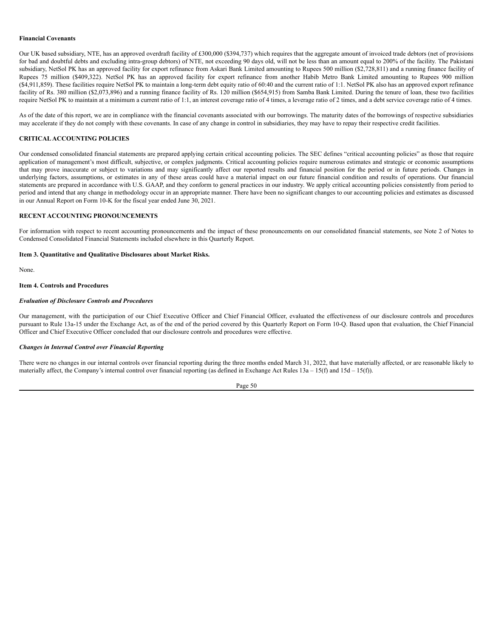#### **Financial Covenants**

Our UK based subsidiary, NTE, has an approved overdraft facility of £300,000 (\$394,737) which requires that the aggregate amount of invoiced trade debtors (net of provisions for bad and doubtful debts and excluding intra-group debtors) of NTE, not exceeding 90 days old, will not be less than an amount equal to 200% of the facility. The Pakistani subsidiary, NetSol PK has an approved facility for export refinance from Askari Bank Limited amounting to Rupees 500 million (\$2,728,811) and a running finance facility of Rupees 75 million (\$409,322). NetSol PK has an approved facility for export refinance from another Habib Metro Bank Limited amounting to Rupees 900 million (\$4,911,859). These facilities require NetSol PK to maintain a long-term debt equity ratio of 60:40 and the current ratio of 1:1. NetSol PK also has an approved export refinance facility of Rs. 380 million (\$2,073,896) and a running finance facility of Rs. 120 million (\$654,915) from Samba Bank Limited. During the tenure of loan, these two facilities require NetSol PK to maintain at a minimum a current ratio of 1:1, an interest coverage ratio of 4 times, a leverage ratio of 2 times, and a debt service coverage ratio of 4 times.

As of the date of this report, we are in compliance with the financial covenants associated with our borrowings. The maturity dates of the borrowings of respective subsidiaries may accelerate if they do not comply with these covenants. In case of any change in control in subsidiaries, they may have to repay their respective credit facilities.

# **CRITICALACCOUNTING POLICIES**

Our condensed consolidated financial statements are prepared applying certain critical accounting policies. The SEC defines "critical accounting policies" as those that require application of management's most difficult, subjective, or complex judgments. Critical accounting policies require numerous estimates and strategic or economic assumptions that may prove inaccurate or subject to variations and may significantly affect our reported results and financial position for the period or in future periods. Changes in underlying factors, assumptions, or estimates in any of these areas could have a material impact on our future financial condition and results of operations. Our financial statements are prepared in accordance with U.S. GAAP, and they conform to general practices in our industry. We apply critical accounting policies consistently from period to period and intend that any change in methodology occur in an appropriate manner. There have been no significant changes to our accounting policies and estimates as discussed in our Annual Report on Form 10-K for the fiscal year ended June 30, 2021.

#### **RECENT ACCOUNTING PRONOUNCEMENTS**

For information with respect to recent accounting pronouncements and the impact of these pronouncements on our consolidated financial statements, see Note 2 of Notes to Condensed Consolidated Financial Statements included elsewhere in this Quarterly Report.

#### <span id="page-49-0"></span>**Item 3. Quantitative and Qualitative Disclosures about Market Risks.**

None.

#### <span id="page-49-1"></span>**Item 4. Controls and Procedures**

#### *Evaluation of Disclosure Controls and Procedures*

Our management, with the participation of our Chief Executive Officer and Chief Financial Officer, evaluated the effectiveness of our disclosure controls and procedures pursuant to Rule 13a-15 under the Exchange Act, as of the end of the period covered by this Quarterly Report on Form 10-Q. Based upon that evaluation, the Chief Financial Officer and Chief Executive Officer concluded that our disclosure controls and procedures were effective.

#### *Changes in Internal Control over Financial Reporting*

There were no changes in our internal controls over financial reporting during the three months ended March 31, 2022, that have materially affected, or are reasonable likely to materially affect, the Company's internal control over financial reporting (as defined in Exchange Act Rules  $13a - 15(f)$  and  $15d - 15(f)$ ).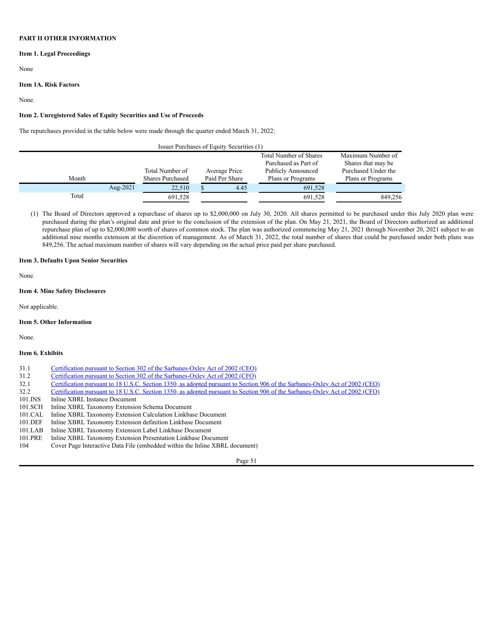## <span id="page-50-0"></span>**PART II OTHER INFORMATION**

# <span id="page-50-1"></span>**Item 1. Legal Proceedings**

None

## <span id="page-50-2"></span>**Item 1A. Risk Factors**

None.

#### <span id="page-50-3"></span>**Item 2. Unregistered Sales of Equity Securities and Use of Proceeds**

The repurchases provided in the table below were made through the quarter ended March 31, 2022:

|       |          |                                            | Issuer Purchases of Equity Securities (1) |                                                                                                         |                                                                                     |
|-------|----------|--------------------------------------------|-------------------------------------------|---------------------------------------------------------------------------------------------------------|-------------------------------------------------------------------------------------|
| Month |          | Total Number of<br><b>Shares Purchased</b> | Average Price<br>Paid Per Share           | <b>Total Number of Shares</b><br>Purchased as Part of<br><b>Publicly Announced</b><br>Plans or Programs | Maximum Number of<br>Shares that may be<br>Purchased Under the<br>Plans or Programs |
|       | Aug-2021 | 22.510                                     | 4.45                                      | 691,528                                                                                                 |                                                                                     |
| Total |          | 691.528                                    |                                           | 691.528                                                                                                 | 849.256                                                                             |

(1) The Board of Directors approved a repurchase of shares up to \$2,000,000 on July 30, 2020. All shares permitted to be purchased under this July 2020 plan were purchased during the plan's original date and prior to the conclusion of the extension of the plan. On May 21, 2021, the Board of Directors authorized an additional repurchase plan of up to \$2,000,000 worth of shares of common stock. The plan was authorized commencing May 21, 2021 through November 20, 2021 subject to an additional nine months extension at the discretion of management. As of March 31, 2022, the total number of shares that could be purchased under both plans was 849,256. The actual maximum number of shares will vary depending on the actual price paid per share purchased.

#### <span id="page-50-4"></span>**Item 3. Defaults Upon Senior Securities**

None.

# <span id="page-50-5"></span>**Item 4. Mine Safety Disclosures**

Not applicable.

#### <span id="page-50-6"></span>**Item 5. Other Information**

None.

# <span id="page-50-7"></span>**Item 6. Exhibits**

|  | 31.1 |  | <u>Certification pursuant to Section 302 of the Sarbanes-Oxley Act of 2002 (CEO)</u> |  |
|--|------|--|--------------------------------------------------------------------------------------|--|
|--|------|--|--------------------------------------------------------------------------------------|--|

- 31.2 Certification pursuant to Section 302 of the [Sarbanes-Oxley](https://s3.amazonaws.com/content.stockpr.com/sec/0001493152-22-012966/ex31-2.htm) Act of 2002 (CFO)
- 32.1 Certification pursuant to 18 U.S.C. Section 1350, as adopted pursuant to Section 906 of the [Sarbanes-Oxley](https://s3.amazonaws.com/content.stockpr.com/sec/0001493152-22-012966/ex32-1.htm) Act of 2002 (CEO)
- 32.2 Certification pursuant to 18 U.S.C. Section 1350, as adopted pursuant to Section 906 of the [Sarbanes-Oxley](https://s3.amazonaws.com/content.stockpr.com/sec/0001493152-22-012966/ex32-2.htm) Act of 2002 (CFO)
- 101.INS Inline XBRL Instance Document
- 101.SCH Inline XBRL Taxonomy Extension Schema Document
- 101.CAL Inline XBRL Taxonomy Extension Calculation Linkbase Document
- 101.DEF Inline XBRL Taxonomy Extension definition Linkbase Document
- 101.LAB Inline XBRL Taxonomy Extension Label Linkbase Document
- 101.PRE Inline XBRL Taxonomy Extension Presentation Linkbase Document
- 104 Cover Page Interactive Data File (embedded within the Inline XBRL document)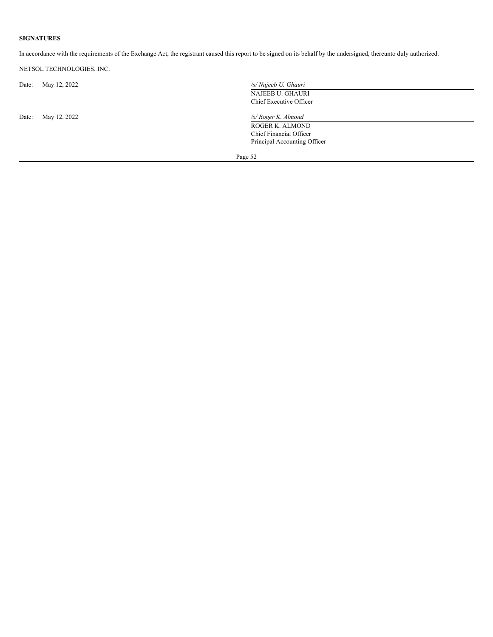# **SIGNATURES**

In accordance with the requirements of the Exchange Act, the registrant caused this report to be signed on its behalf by the undersigned, thereunto duly authorized.

NETSOL TECHNOLOGIES, INC.

Date: May 12, 2022 */s/ Roger K. Almond*

Date: May 12, 2022 */s/ Najeeb U. Ghauri* NAJEEB U. GHAURI Chief Executive Officer

> ROGER K. ALMOND Chief Financial Officer Principal Accounting Officer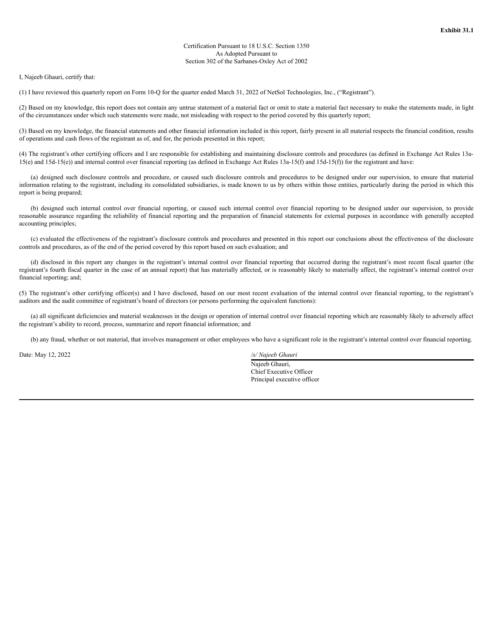Certification Pursuant to 18 U.S.C. Section 1350 As Adopted Pursuant to Section 302 of the Sarbanes-Oxley Act of 2002

I, Najeeb Ghauri, certify that:

(1) I have reviewed this quarterly report on Form 10-Q for the quarter ended March 31, 2022 of NetSol Technologies, Inc., ("Registrant").

(2) Based on my knowledge, this report does not contain any untrue statement of a material fact or omit to state a material fact necessary to make the statements made, in light of the circumstances under which such statements were made, not misleading with respect to the period covered by this quarterly report;

(3) Based on my knowledge, the financial statements and other financial information included in this report, fairly present in all material respects the financial condition, results of operations and cash flows of the registrant as of, and for, the periods presented in this report;

(4) The registrant's other certifying officers and I are responsible for establishing and maintaining disclosure controls and procedures (as defined in Exchange Act Rules 13a- $15(e)$  and  $15d-15(e)$  and internal control over financial reporting (as defined in Exchange Act Rules  $13a-15(f)$  and  $15d-15(f)$ ) for the registrant and have:

(a) designed such disclosure controls and procedure, or caused such disclosure controls and procedures to be designed under our supervision, to ensure that material information relating to the registrant, including its consolidated subsidiaries, is made known to us by others within those entities, particularly during the period in which this report is being prepared;

(b) designed such internal control over financial reporting, or caused such internal control over financial reporting to be designed under our supervision, to provide reasonable assurance regarding the reliability of financial reporting and the preparation of financial statements for external purposes in accordance with generally accepted accounting principles;

(c) evaluated the effectiveness of the registrant's disclosure controls and procedures and presented in this report our conclusions about the effectiveness of the disclosure controls and procedures, as of the end of the period covered by this report based on such evaluation; and

(d) disclosed in this report any changes in the registrant's internal control over financial reporting that occurred during the registrant's most recent fiscal quarter (the registrant's fourth fiscal quarter in the case of an annual report) that has materially affected, or is reasonably likely to materially affect, the registrant's internal control over financial reporting; and;

(5) The registrant's other certifying officer(s) and I have disclosed, based on our most recent evaluation of the internal control over financial reporting, to the registrant's auditors and the audit committee of registrant's board of directors (or persons performing the equivalent functions):

(a) all significant deficiencies and material weaknesses in the design or operation of internal control over financial reporting which are reasonably likely to adversely affect the registrant's ability to record, process, summarize and report financial information; and

(b) any fraud, whether or not material, that involves management or other employees who have a significant role in the registrant's internal control over financial reporting.

Date: May 12, 2022 */s/ Najeeb Ghauri*

Najeeb Ghauri, Chief Executive Officer

Principal executive officer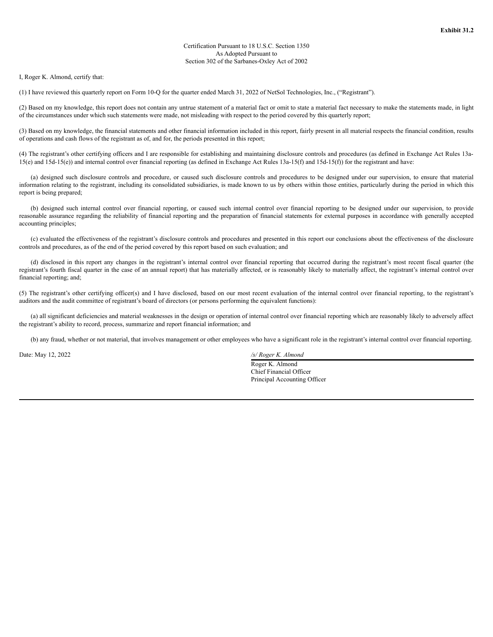Certification Pursuant to 18 U.S.C. Section 1350 As Adopted Pursuant to Section 302 of the Sarbanes-Oxley Act of 2002

I, Roger K. Almond, certify that:

(1) I have reviewed this quarterly report on Form 10-Q for the quarter ended March 31, 2022 of NetSol Technologies, Inc., ("Registrant").

(2) Based on my knowledge, this report does not contain any untrue statement of a material fact or omit to state a material fact necessary to make the statements made, in light of the circumstances under which such statements were made, not misleading with respect to the period covered by this quarterly report;

(3) Based on my knowledge, the financial statements and other financial information included in this report, fairly present in all material respects the financial condition, results of operations and cash flows of the registrant as of, and for, the periods presented in this report;

(4) The registrant's other certifying officers and I are responsible for establishing and maintaining disclosure controls and procedures (as defined in Exchange Act Rules 13a- $15(e)$  and  $15d-15(e)$  and internal control over financial reporting (as defined in Exchange Act Rules  $13a-15(f)$  and  $15d-15(f)$ ) for the registrant and have:

(a) designed such disclosure controls and procedure, or caused such disclosure controls and procedures to be designed under our supervision, to ensure that material information relating to the registrant, including its consolidated subsidiaries, is made known to us by others within those entities, particularly during the period in which this report is being prepared;

(b) designed such internal control over financial reporting, or caused such internal control over financial reporting to be designed under our supervision, to provide reasonable assurance regarding the reliability of financial reporting and the preparation of financial statements for external purposes in accordance with generally accepted accounting principles;

(c) evaluated the effectiveness of the registrant's disclosure controls and procedures and presented in this report our conclusions about the effectiveness of the disclosure controls and procedures, as of the end of the period covered by this report based on such evaluation; and

(d) disclosed in this report any changes in the registrant's internal control over financial reporting that occurred during the registrant's most recent fiscal quarter (the registrant's fourth fiscal quarter in the case of an annual report) that has materially affected, or is reasonably likely to materially affect, the registrant's internal control over financial reporting; and;

(5) The registrant's other certifying officer(s) and I have disclosed, based on our most recent evaluation of the internal control over financial reporting, to the registrant's auditors and the audit committee of registrant's board of directors (or persons performing the equivalent functions):

(a) all significant deficiencies and material weaknesses in the design or operation of internal control over financial reporting which are reasonably likely to adversely affect the registrant's ability to record, process, summarize and report financial information; and

(b) any fraud, whether or not material, that involves management or other employees who have a significant role in the registrant's internal control over financial reporting.

Date: May 12, 2022 */s/ Roger K. Almond* Roger K. Almond Chief Financial Officer Principal Accounting Officer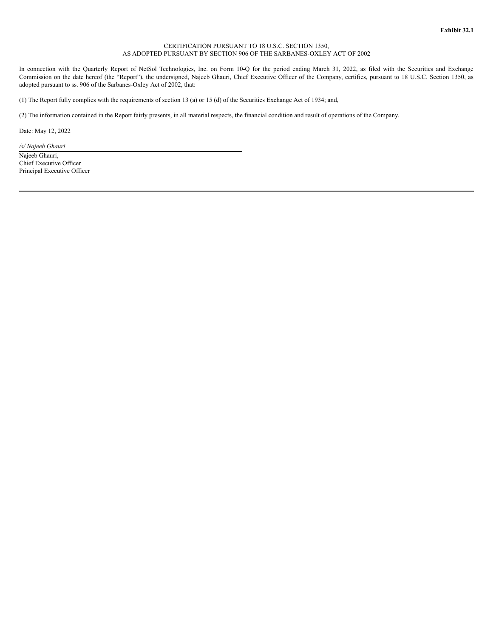# CERTIFICATION PURSUANT TO 18 U.S.C. SECTION 1350, AS ADOPTED PURSUANT BY SECTION 906 OF THE SARBANES-OXLEY ACT OF 2002

In connection with the Quarterly Report of NetSol Technologies, Inc. on Form 10-Q for the period ending March 31, 2022, as filed with the Securities and Exchange Commission on the date hereof (the "Report"), the undersigned, Najeeb Ghauri, Chief Executive Officer of the Company, certifies, pursuant to 18 U.S.C. Section 1350, as adopted pursuant to ss. 906 of the Sarbanes-Oxley Act of 2002, that:

(1) The Report fully complies with the requirements of section 13 (a) or 15 (d) of the Securities Exchange Act of 1934; and,

(2) The information contained in the Report fairly presents, in all material respects, the financial condition and result of operations of the Company.

Date: May 12, 2022

*/s/ Najeeb Ghauri* Najeeb Ghauri, Chief Executive Officer Principal Executive Officer